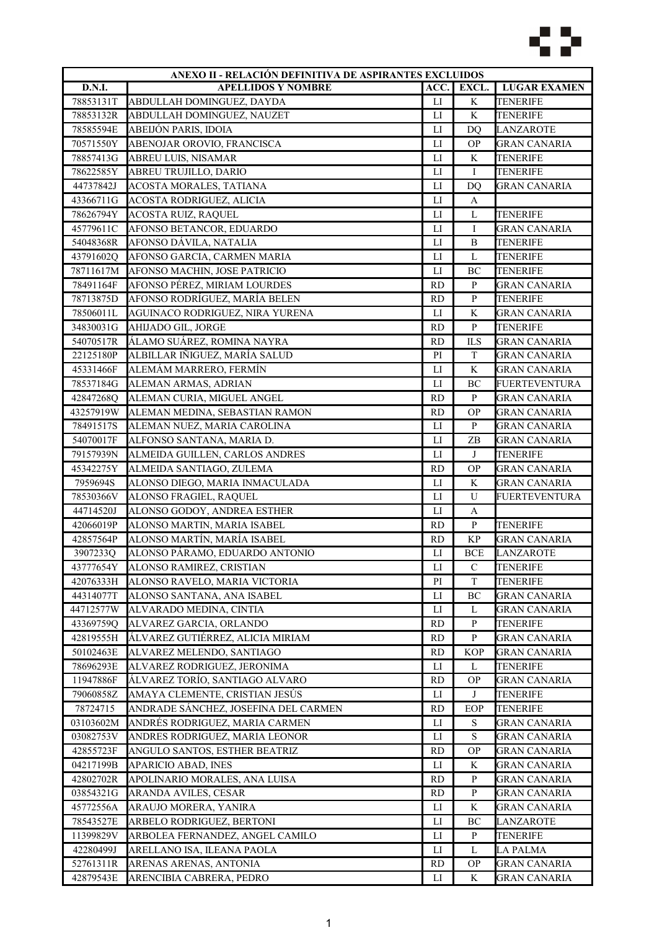

|               | ANEXO II - RELACIÓN DEFINITIVA DE ASPIRANTES EXCLUIDOS |                        |                |                      |  |
|---------------|--------------------------------------------------------|------------------------|----------------|----------------------|--|
| <b>D.N.I.</b> | <b>APELLIDOS Y NOMBRE</b>                              | ACC.                   | EXCL.          | <b>LUGAR EXAMEN</b>  |  |
| 78853131T     | <b>ABDULLAH DOMINGUEZ, DAYDA</b>                       | LI                     | K              | <b>TENERIFE</b>      |  |
| 78853132R     | ABDULLAH DOMINGUEZ, NAUZET                             | $_{\text{LI}}$         | K              | <b>TENERIFE</b>      |  |
| 78585594E     | ABEIJÓN PARIS, IDOIA                                   | $_{\text{LI}}$         | D <sub>O</sub> | LANZAROTE            |  |
| 70571550Y     | ABENOJAR OROVIO, FRANCISCA                             | LI                     | <b>OP</b>      | <b>GRAN CANARIA</b>  |  |
| 78857413G     | ABREU LUIS, NISAMAR                                    | $\mathbf{L}$           | K              | <b>TENERIFE</b>      |  |
| 78622585Y     | ABREU TRUJILLO, DARIO                                  | $_{\text{LI}}$         | I              | <b>TENERIFE</b>      |  |
| 44737842J     | ACOSTA MORALES, TATIANA                                | $_{\text{LI}}$         | D <sub>O</sub> | <b>GRAN CANARIA</b>  |  |
| 43366711G     | ACOSTA RODRIGUEZ, ALICIA                               | $\mathbf{L}\mathbf{I}$ | A              |                      |  |
| 78626794Y     | ACOSTA RUIZ, RAQUEL                                    | $\mathbf{L}$           | L              | TENERIFE             |  |
| 45779611C     | AFONSO BETANCOR, EDUARDO                               | $_{\text{LI}}$         | Ι              | <b>GRAN CANARIA</b>  |  |
| 54048368R     | AFONSO DÁVILA, NATALIA                                 | $\mathbf{L}$           | B              | <b>TENERIFE</b>      |  |
| 43791602Q     | AFONSO GARCIA, CARMEN MARIA                            | $\mathbf{L}$           | L              | <b>TENERIFE</b>      |  |
| 78711617M     | AFONSO MACHIN, JOSE PATRICIO                           | $_{\rm LI}$            | BC             | <b>TENERIFE</b>      |  |
| 78491164F     | AFONSO PÉREZ, MIRIAM LOURDES                           | <b>RD</b>              | ${\bf P}$      | <b>GRAN CANARIA</b>  |  |
| 78713875D     | AFONSO RODRÍGUEZ, MARÍA BELEN                          | <b>RD</b>              | $\mathbf{P}$   | <b>TENERIFE</b>      |  |
| 78506011L     | AGUINACO RODRIGUEZ, NIRA YURENA                        | LI                     | K              | <b>GRAN CANARIA</b>  |  |
| 34830031G     | AHIJADO GIL, JORGE                                     | <b>RD</b>              | ${\bf P}$      | <b>TENERIFE</b>      |  |
| 54070517R     | ÁLAMO SUÁREZ, ROMINA NAYRA                             | <b>RD</b>              | <b>ILS</b>     | <b>GRAN CANARIA</b>  |  |
| 22125180P     | ALBILLAR IÑIGUEZ, MARÍA SALUD                          | PI                     | $\mathbf T$    | <b>GRAN CANARIA</b>  |  |
| 45331466F     | ALEMÁM MARRERO, FERMÍN                                 | LI                     | $\mathbf K$    | <b>GRAN CANARIA</b>  |  |
| 78537184G     | ALEMAN ARMAS, ADRIAN                                   | LI                     | BC             | <b>FUERTEVENTURA</b> |  |
| 42847268Q     | ALEMAN CURIA, MIGUEL ANGEL                             | <b>RD</b>              | ${\bf P}$      | <b>GRAN CANARIA</b>  |  |
| 43257919W     | ALEMAN MEDINA, SEBASTIAN RAMON                         | <b>RD</b>              | <b>OP</b>      | <b>GRAN CANARIA</b>  |  |
| 78491517S     | ALEMAN NUEZ, MARIA CAROLINA                            | $\mathbf{L}$           | ${\bf P}$      | <b>GRAN CANARIA</b>  |  |
| 54070017F     | ALFONSO SANTANA, MARIA D.                              | LI                     | ZB             | GRAN CANARIA         |  |
| 79157939N     | ALMEIDA GUILLEN, CARLOS ANDRES                         | LI                     | J              | <b>TENERIFE</b>      |  |
| 45342275Y     | ALMEIDA SANTIAGO, ZULEMA                               | <b>RD</b>              | <b>OP</b>      | <b>GRAN CANARIA</b>  |  |
| 7959694S      | ALONSO DIEGO, MARIA INMACULADA                         | $_{\rm LI}$            | K              | <b>GRAN CANARIA</b>  |  |
| 78530366V     | ALONSO FRAGIEL, RAQUEL                                 | LI                     | U              | <b>FUERTEVENTURA</b> |  |
| 44714520J     | ALONSO GODOY, ANDREA ESTHER                            | LI                     | A              |                      |  |
| 42066019P     | ALONSO MARTIN, MARIA ISABEL                            | <b>RD</b>              | ${\bf P}$      | <b>TENERIFE</b>      |  |
| 42857564P     | ALONSO MARTÍN, MARÍA ISABEL                            | <b>RD</b>              | $\mathbf{KP}$  | <b>GRAN CANARIA</b>  |  |
| 3907233Q      | ALONSO PÁRAMO, EDUARDO ANTONIO                         | LI                     | <b>BCE</b>     | LANZAROTE            |  |
| 43777654Y     | ALONSO RAMIREZ, CRISTIAN                               | ${\rm LI}$             | $\mathcal{C}$  | <b>TENERIFE</b>      |  |
| 42076333H     | ALONSO RAVELO, MARIA VICTORIA                          | PI                     | $\mathbf T$    | <b>TENERIFE</b>      |  |
| 44314077T     | ALONSO SANTANA, ANA ISABEL                             | LI                     | BC             | <b>GRAN CANARIA</b>  |  |
| 44712577W     | ALVARADO MEDINA, CINTIA                                | LI                     | L              | <b>GRAN CANARIA</b>  |  |
| 43369759Q     | ALVAREZ GARCIA, ORLANDO                                | <b>RD</b>              | P              | <b>TENERIFE</b>      |  |
| 42819555H     | ÁLVAREZ GUTIÉRREZ, ALICIA MIRIAM                       | <b>RD</b>              | P              | <b>GRAN CANARIA</b>  |  |
| 50102463E     | ALVAREZ MELENDO, SANTIAGO                              | <b>RD</b>              | <b>KOP</b>     | <b>GRAN CANARIA</b>  |  |
| 78696293E     | ALVAREZ RODRIGUEZ, JERONIMA                            | LI                     | L              | TENERIFE             |  |
| 11947886F     | ÁLVAREZ TORÍO, SANTIAGO ALVARO                         | <b>RD</b>              | <b>OP</b>      | <b>GRAN CANARIA</b>  |  |
| 79060858Z     | AMAYA CLEMENTE, CRISTIAN JESÚS                         | LI                     | J              | <b>TENERIFE</b>      |  |
|               |                                                        |                        | EOP            |                      |  |
| 78724715      | ANDRADE SÁNCHEZ, JOSEFINA DEL CARMEN                   | RD                     |                | <b>TENERIFE</b>      |  |
| 03103602M     | ANDRÉS RODRIGUEZ, MARIA CARMEN                         | LI                     | S              | <b>GRAN CANARIA</b>  |  |
| 03082753V     | ANDRES RODRIGUEZ, MARIA LEONOR                         | $_{\rm LI}$            | S              | <b>GRAN CANARIA</b>  |  |
| 42855723F     | ANGULO SANTOS, ESTHER BEATRIZ                          | <b>RD</b>              | <b>OP</b>      | GRAN CANARIA         |  |
| 04217199B     | APARICIO ABAD, INES                                    | LI                     | K              | GRAN CANARIA         |  |
| 42802702R     | APOLINARIO MORALES, ANA LUISA                          | <b>RD</b>              | P              | GRAN CANARIA         |  |
| 03854321G     | ARANDA AVILES, CESAR                                   | <b>RD</b>              | P              | <b>GRAN CANARIA</b>  |  |
| 45772556A     | ARAUJO MORERA, YANIRA                                  | LI                     | K              | <b>GRAN CANARIA</b>  |  |
| 78543527E     | ARBELO RODRIGUEZ, BERTONI                              | LI                     | BC             | <b>LANZAROTE</b>     |  |
| 11399829V     | ARBOLEA FERNANDEZ, ANGEL CAMILO                        | LI                     | P              | <b>TENERIFE</b>      |  |
| 42280499J     | ARELLANO ISA, ILEANA PAOLA                             | $_{\rm LI}$            | L              | <b>LA PALMA</b>      |  |
| 52761311R     | ARENAS ARENAS, ANTONIA                                 | <b>RD</b>              | <b>OP</b>      | GRAN CANARIA         |  |
| 42879543E     | ARENCIBIA CABRERA, PEDRO                               | LI                     | K              | <b>GRAN CANARIA</b>  |  |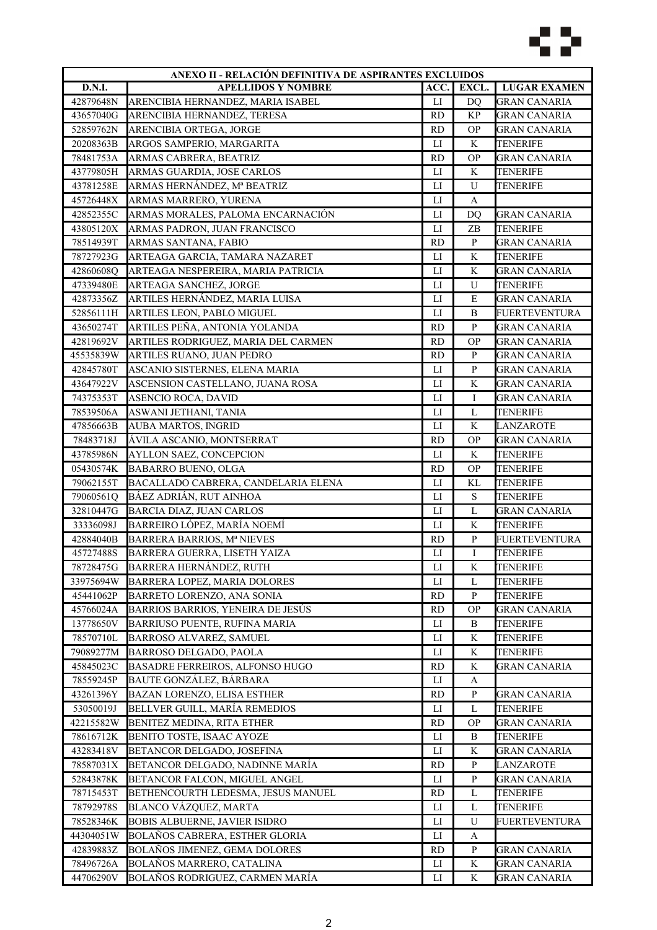

| ANEXO II - RELACIÓN DEFINITIVA DE ASPIRANTES EXCLUIDOS |                                      |                |                   |                      |
|--------------------------------------------------------|--------------------------------------|----------------|-------------------|----------------------|
| D.N.I.                                                 | <b>APELLIDOS Y NOMBRE</b>            | ACC.           | EXCL.             | <b>LUGAR EXAMEN</b>  |
| 42879648N                                              | ARENCIBIA HERNANDEZ, MARIA ISABEL    | ${\rm LI}$     | DQ                | <b>GRAN CANARIA</b>  |
| 43657040G                                              | ARENCIBIA HERNANDEZ, TERESA          | <b>RD</b>      | <b>KP</b>         | <b>GRAN CANARIA</b>  |
| 52859762N                                              | ARENCIBIA ORTEGA, JORGE              | <b>RD</b>      | <b>OP</b>         | GRAN CANARIA         |
| 20208363B                                              | ARGOS SAMPERIO, MARGARITA            | LI             | K                 | <b>TENERIFE</b>      |
| 78481753A                                              | ARMAS CABRERA, BEATRIZ               | <b>RD</b>      | <b>OP</b>         | <b>GRAN CANARIA</b>  |
| 43779805H                                              | ARMAS GUARDIA, JOSE CARLOS           | LI             | K                 | <b>TENERIFE</b>      |
| 43781258E                                              | ARMAS HERNÁNDEZ, Mª BEATRIZ          | LI             | U                 | <b>TENERIFE</b>      |
| 45726448X                                              | ARMAS MARRERO, YURENA                | $_{\text{LI}}$ | A                 |                      |
| 42852355C                                              | ARMAS MORALES, PALOMA ENCARNACIÓN    | $_{\text{LI}}$ | DQ                | <b>GRAN CANARIA</b>  |
| 43805120X                                              | ARMAS PADRON, JUAN FRANCISCO         | LI             | ZB                | <b>TENERIFE</b>      |
| 78514939T                                              | ARMAS SANTANA, FABIO                 | <b>RD</b>      | ${\bf P}$         | GRAN CANARIA         |
| 78727923G                                              | ARTEAGA GARCIA, TAMARA NAZARET       | $_{\text{LI}}$ | K                 | <b>TENERIFE</b>      |
| 42860608Q                                              | ARTEAGA NESPEREIRA, MARIA PATRICIA   | $_{\text{LI}}$ | K                 | <b>GRAN CANARIA</b>  |
| 47339480E                                              | ARTEAGA SANCHEZ, JORGE               | $_{\text{LI}}$ | U                 | <b>TENERIFE</b>      |
| 42873356Z                                              | ARTILES HERNÁNDEZ, MARIA LUISA       | LI             | $\mathbf E$       | <b>GRAN CANARIA</b>  |
| 52856111H                                              | ARTILES LEON, PABLO MIGUEL           | $_{\rm LI}$    | B                 | <b>FUERTEVENTURA</b> |
| 43650274T                                              | ARTILES PEÑA, ANTONIA YOLANDA        | <b>RD</b>      | $\, {\bf p}$      | <b>GRAN CANARIA</b>  |
| 42819692V                                              | ARTILES RODRIGUEZ, MARIA DEL CARMEN  | <b>RD</b>      | <b>OP</b>         | <b>GRAN CANARIA</b>  |
| 45535839W                                              | ARTILES RUANO, JUAN PEDRO            | <b>RD</b>      | $\mathbf{P}$      | <b>GRAN CANARIA</b>  |
| 42845780T                                              | ASCANIO SISTERNES, ELENA MARIA       | ${\rm LI}$     | ${\bf P}$         | <b>GRAN CANARIA</b>  |
| 43647922V                                              | ASCENSION CASTELLANO, JUANA ROSA     | $_{\text{LI}}$ | K                 | <b>GRAN CANARIA</b>  |
| 74375353T                                              | ASENCIO ROCA, DAVID                  | LI             | I                 | <b>GRAN CANARIA</b>  |
| 78539506A                                              | ASWANI JETHANI, TANIA                | $_{\rm LI}$    | $\mathbf L$       | <b>TENERIFE</b>      |
| 47856663B                                              | <b>AUBA MARTOS, INGRID</b>           | $_{\rm LI}$    | K                 | <b>LANZAROTE</b>     |
| 78483718J                                              | ÁVILA ASCANIO, MONTSERRAT            | <b>RD</b>      | <b>OP</b>         | GRAN CANARIA         |
| 43785986N                                              | AYLLON SAEZ, CONCEPCION              | LI             | K                 | TENERIFE             |
| 05430574K                                              | <b>BABARRO BUENO, OLGA</b>           | <b>RD</b>      | <b>OP</b>         | <b>TENERIFE</b>      |
| 79062155T                                              | BACALLADO CABRERA, CANDELARIA ELENA  | ${\rm LI}$     | KL                | <b>TENERIFE</b>      |
| 79060561Q                                              | BÁEZ ADRIÁN, RUT AINHOA              | LI             | ${\bf S}$         | <b>TENERIFE</b>      |
| 32810447G                                              | BARCIA DIAZ, JUAN CARLOS             | $_{\rm LI}$    | L                 | <b>GRAN CANARIA</b>  |
| 33336098J                                              | BARREIRO LÓPEZ, MARÍA NOEMÍ          | $_{\text{LI}}$ | K                 | <b>TENERIFE</b>      |
| 42884040B                                              | <b>BARRERA BARRIOS, Mª NIEVES</b>    | <b>RD</b>      | ${\bf P}$         | FUERTEVENTURA        |
| 45727488S                                              | BARRERA GUERRA, LISETH YAIZA         | $_{\rm LI}$    | I                 | TENERIFE             |
| 78728475G                                              | <b>BARRERA HERNÁNDEZ, RUTH</b>       | LI             | K                 | <b>TENERIFE</b>      |
| 33975694W                                              | BARRERA LOPEZ, MARIA DOLORES         | $_{\rm LI}$    | L                 | <b>TENERIFE</b>      |
| 45441062P                                              | BARRETO LORENZO, ANA SONIA           | <b>RD</b>      | $\, {\bf P}$      | <b>TENERIFE</b>      |
| 45766024A                                              | BARRIOS BARRIOS, YENEIRA DE JESÚS    | RD             | <b>OP</b>         | <b>GRAN CANARIA</b>  |
| 13778650V                                              | BARRIUSO PUENTE, RUFINA MARIA        | LI             | B                 | TENERIFE             |
| 78570710L                                              | <b>BARROSO ALVAREZ, SAMUEL</b>       | П              | K                 | TENERIFE             |
| 79089277M                                              | <b>BARROSO DELGADO, PAOLA</b>        | П              | K                 | TENERIFE             |
| 45845023C                                              | BASADRE FERREIROS, ALFONSO HUGO      | <b>RD</b>      | K                 | GRAN CANARIA         |
| 78559245P                                              | BAUTE GONZÁLEZ, BÁRBARA              | LI             | A                 |                      |
| 43261396Y                                              | BAZAN LORENZO, ELISA ESTHER          | <b>RD</b>      | $\, {\bf P}$      | <b>GRAN CANARIA</b>  |
| 53050019J                                              | BELLVER GUILL, MARÍA REMEDIOS        | LI             | L                 | <b>TENERIFE</b>      |
| 42215582W                                              | BENITEZ MEDINA, RITA ETHER           | <b>RD</b>      | <b>OP</b>         | <b>GRAN CANARIA</b>  |
| 78616712K                                              | BENITO TOSTE, ISAAC AYOZE            | LI             | B                 | TENERIFE             |
| 43283418V                                              | BETANCOR DELGADO, JOSEFINA           | П              | K                 | <b>GRAN CANARIA</b>  |
| 78587031X                                              | BETANCOR DELGADO, NADINNE MARÍA      | <b>RD</b>      | P                 | LANZAROTE            |
| 52843878K                                              | BETANCOR FALCON, MIGUEL ANGEL        | LI             | P                 | GRAN CANARIA         |
| 78715453T                                              | BETHENCOURTH LEDESMA, JESUS MANUEL   | <b>RD</b>      | L                 | <b>TENERIFE</b>      |
| 78792978S                                              | BLANCO VÁZQUEZ, MARTA                | ${\rm LI}$     | L                 | <b>TENERIFE</b>      |
| 78528346K                                              | <b>BOBIS ALBUERNE, JAVIER ISIDRO</b> |                | U                 |                      |
|                                                        | BOLAÑOS CABRERA, ESTHER GLORIA       | LI<br>LI       |                   | FUERTEVENTURA        |
| 44304051W                                              |                                      |                | A<br>$\mathbf{P}$ |                      |
| 42839883Z                                              | BOLAÑOS JIMENEZ, GEMA DOLORES        | <b>RD</b>      |                   | GRAN CANARIA         |
| 78496726A                                              | BOLAÑOS MARRERO, CATALINA            | $_{\rm LI}$    | K                 | GRAN CANARIA         |
| 44706290V                                              | BOLAÑOS RODRIGUEZ, CARMEN MARÍA      | П              | K                 | GRAN CANARIA         |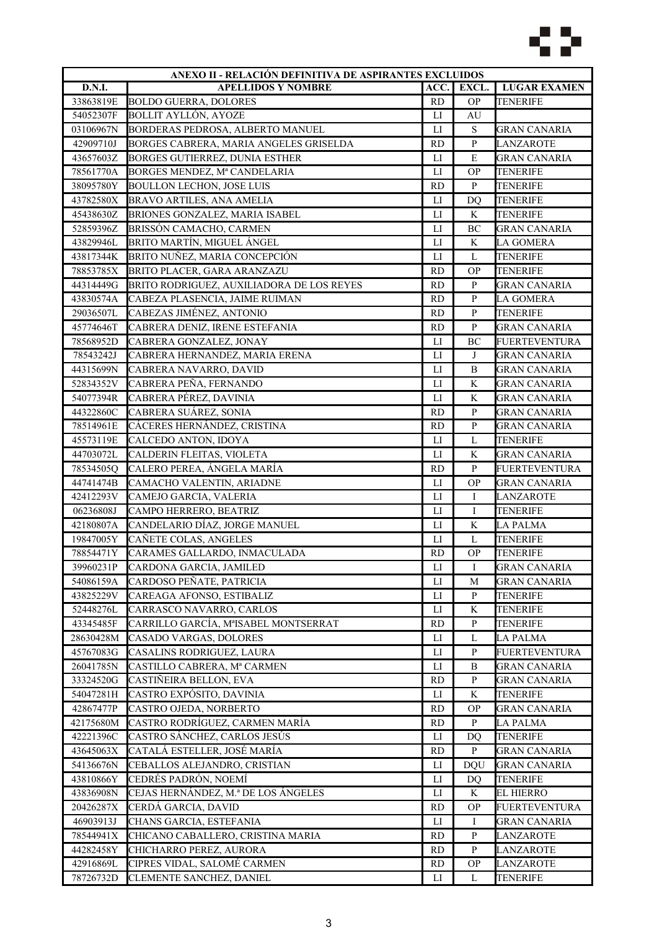

| ANEXO II - RELACIÓN DEFINITIVA DE ASPIRANTES EXCLUIDOS |                                           |                |                |                      |
|--------------------------------------------------------|-------------------------------------------|----------------|----------------|----------------------|
| <b>D.N.I.</b>                                          | <b>APELLIDOS Y NOMBRE</b>                 | ACC.           | EXCL.          | <b>LUGAR EXAMEN</b>  |
| 33863819E                                              | <b>BOLDO GUERRA, DOLORES</b>              | <b>RD</b>      | <b>OP</b>      | <b>TENERIFE</b>      |
| 54052307F                                              | <b>BOLLIT AYLLÓN, AYOZE</b>               | LI             | AU             |                      |
| 03106967N                                              | BORDERAS PEDROSA, ALBERTO MANUEL          | LI             | ${\bf S}$      | <b>GRAN CANARIA</b>  |
| 42909710J                                              | BORGES CABRERA, MARIA ANGELES GRISELDA    | <b>RD</b>      | $\, {\bf p}$   | <b>LANZAROTE</b>     |
| 43657603Z                                              | <b>BORGES GUTIERREZ, DUNIA ESTHER</b>     | $_{\text{LI}}$ | ${\bf E}$      | <b>GRAN CANARIA</b>  |
| 78561770A                                              | BORGES MENDEZ, Mª CANDELARIA              | LI             | <b>OP</b>      | <b>TENERIFE</b>      |
| 38095780Y                                              | <b>BOULLON LECHON, JOSE LUIS</b>          | <b>RD</b>      | $\mathbf{P}$   | <b>TENERIFE</b>      |
| 43782580X                                              | <b>BRAVO ARTILES, ANA AMELIA</b>          | LI             | D <sub>O</sub> | <b>TENERIFE</b>      |
| 45438630Z                                              | BRIONES GONZALEZ, MARIA ISABEL            | $_{\rm LI}$    | K              | TENERIFE             |
| 52859396Z                                              | BRISSÓN CAMACHO, CARMEN                   | LI             | BC             | <b>GRAN CANARIA</b>  |
| 43829946L                                              | BRITO MARTÍN, MIGUEL ÁNGEL                | LI             | K              | LA GOMERA            |
| 43817344K                                              | BRITO NUÑEZ, MARIA CONCEPCIÓN             | $_{\text{LI}}$ | L              | <b>TENERIFE</b>      |
| 78853785X                                              | BRITO PLACER, GARA ARANZAZU               | <b>RD</b>      | <b>OP</b>      | <b>TENERIFE</b>      |
| 44314449G                                              | BRITO RODRIGUEZ, AUXILIADORA DE LOS REYES | <b>RD</b>      | $\, {\bf P}$   | <b>GRAN CANARIA</b>  |
| 43830574A                                              | CABEZA PLASENCIA, JAIME RUIMAN            | <b>RD</b>      | $\, {\bf p}$   | <b>LA GOMERA</b>     |
| 29036507L                                              | CABEZAS JIMÉNEZ, ANTONIO                  | <b>RD</b>      | ${\bf P}$      | <b>TENERIFE</b>      |
| 45774646T                                              | CABRERA DENIZ, IRENE ESTEFANIA            | <b>RD</b>      | $\, {\bf p}$   | <b>GRAN CANARIA</b>  |
| 78568952D                                              |                                           |                | BC             |                      |
|                                                        | CABRERA GONZALEZ, JONAY                   | П              |                | FUERTEVENTURA        |
| 78543242J                                              | CABRERA HERNANDEZ, MARIA ERENA            | $_{\text{LI}}$ | J              | <b>GRAN CANARIA</b>  |
| 44315699N                                              | CABRERA NAVARRO, DAVID                    | ${\rm LI}$     | $\, {\bf B}$   | <b>GRAN CANARIA</b>  |
| 52834352V                                              | CABRERA PEÑA, FERNANDO                    | $_{\text{LI}}$ | K              | <b>GRAN CANARIA</b>  |
| 54077394R                                              | CABRERA PÉREZ, DAVINIA                    | LI             | K              | <b>GRAN CANARIA</b>  |
| 44322860C                                              | CABRERA SUÁREZ, SONIA                     | <b>RD</b>      | $\mathbf{P}$   | <b>GRAN CANARIA</b>  |
| 78514961E                                              | CÁCERES HERNÁNDEZ, CRISTINA               | <b>RD</b>      | $\, {\bf p}$   | <b>GRAN CANARIA</b>  |
| 45573119E                                              | CALCEDO ANTON, IDOYA                      | LI             | L              | TENERIFE             |
| 44703072L                                              | CALDERIN FLEITAS, VIOLETA                 | LI             | K              | <b>GRAN CANARIA</b>  |
| 78534505Q                                              | CALERO PEREA, ÁNGELA MARÍA                | <b>RD</b>      | $\mathbf{P}$   | <b>FUERTEVENTURA</b> |
| 44741474B                                              | CAMACHO VALENTIN, ARIADNE                 | ${\rm LI}$     | <b>OP</b>      | <b>GRAN CANARIA</b>  |
| 42412293V                                              | CAMEJO GARCIA, VALERIA                    | LI             | I              | <b>LANZAROTE</b>     |
| 06236808J                                              | CAMPO HERRERO, BEATRIZ                    | $_{\rm LI}$    | $\mathbf I$    | <b>TENERIFE</b>      |
| 42180807A                                              | CANDELARIO DÍAZ, JORGE MANUEL             | $_{\text{LI}}$ | K              | <b>LA PALMA</b>      |
| 19847005Y                                              | CAÑETE COLAS, ANGELES                     | $_{\rm LI}$    | $\mathbf L$    | <b>TENERIFE</b>      |
| 78854471Y                                              | CARAMES GALLARDO, INMACULADA              | <b>RD</b>      | <b>OP</b>      | TENERIFE             |
| 39960231P                                              | CARDONA GARCIA, JAMILED                   | $_{\rm LI}$    | Ι              | <b>GRAN CANARIA</b>  |
| 54086159A                                              | CARDOSO PEÑATE, PATRICIA                  | П              | M              | <b>GRAN CANARIA</b>  |
| 43825229V                                              | CAREAGA AFONSO, ESTIBALIZ                 | ${\rm LI}$     | ${\bf P}$      | <b>TENERIFE</b>      |
| 52448276L                                              | CARRASCO NAVARRO, CARLOS                  | LI             | K              | <b>TENERIFE</b>      |
| 43345485F                                              | CARRILLO GARCÍA, MªISABEL MONTSERRAT      | <b>RD</b>      | $\mathbf{P}$   | <b>TENERIFE</b>      |
| 28630428M                                              | CASADO VARGAS, DOLORES                    | $_{\rm LI}$    | L              | <b>LA PALMA</b>      |
| 45767083G                                              | CASALINS RODRIGUEZ, LAURA                 | П              | $\, {\bf P}$   | FUERTEVENTURA        |
| 26041785N                                              | CASTILLO CABRERA, Mª CARMEN               | $_{\rm LI}$    | B              | GRAN CANARIA         |
| 33324520G                                              | CASTIÑEIRA BELLON, EVA                    | <b>RD</b>      | P              | <b>GRAN CANARIA</b>  |
| 54047281H                                              | CASTRO EXPÓSITO, DAVINIA                  | ${\rm LI}$     | K              | <b>TENERIFE</b>      |
| 42867477P                                              | CASTRO OJEDA, NORBERTO                    | <b>RD</b>      | <b>OP</b>      | <b>GRAN CANARIA</b>  |
| 42175680M                                              | CASTRO RODRÍGUEZ, CARMEN MARÍA            | <b>RD</b>      | $\mathbf{P}$   | <b>LA PALMA</b>      |
| 42221396C                                              | CASTRO SÁNCHEZ, CARLOS JESÚS              | LI             | DQ             | TENERIFE             |
| 43645063X                                              | CATALÁ ESTELLER, JOSÉ MARÍA               | <b>RD</b>      | ${\bf P}$      | <b>GRAN CANARIA</b>  |
| 54136676N                                              | CEBALLOS ALEJANDRO, CRISTIAN              | LI             | <b>DQU</b>     | GRAN CANARIA         |
| 43810866Y                                              | CEDRÉS PADRÓN, NOEMÍ                      | LI             | DQ             | TENERIFE             |
| 43836908N                                              | CEJAS HERNÁNDEZ, M.ª DE LOS ÁNGELES       |                | K              | <b>EL HIERRO</b>     |
|                                                        | CERDÁ GARCIA, DAVID                       | $_{\rm LI}$    |                |                      |
| 20426287X                                              |                                           | <b>RD</b>      | <b>OP</b>      | <b>FUERTEVENTURA</b> |
| 46903913J                                              | CHANS GARCIA, ESTEFANIA                   | $_{\rm LI}$    | Ι              | <b>GRAN CANARIA</b>  |
| 78544941X                                              | CHICANO CABALLERO, CRISTINA MARIA         | <b>RD</b>      | $\, {\bf P}$   | LANZAROTE            |
| 44282458Y                                              | CHICHARRO PEREZ, AURORA                   | <b>RD</b>      | ${\bf P}$      | LANZAROTE            |
| 42916869L                                              | CIPRES VIDAL, SALOMÉ CARMEN               | <b>RD</b>      | <b>OP</b>      | LANZAROTE            |
| 78726732D                                              | CLEMENTE SANCHEZ, DANIEL                  | LI             | L              | TENERIFE             |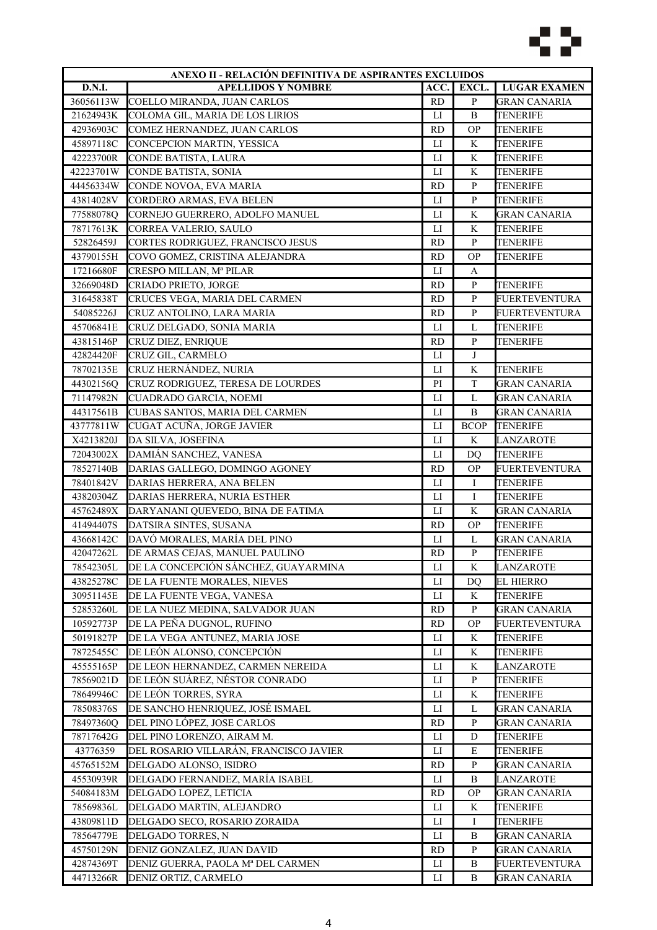

| ANEXO II - RELACIÓN DEFINITIVA DE ASPIRANTES EXCLUIDOS |                                        |                |                |                                    |
|--------------------------------------------------------|----------------------------------------|----------------|----------------|------------------------------------|
| D.N.I.                                                 | <b>APELLIDOS Y NOMBRE</b>              | ACC.           | EXCL.          | <b>LUGAR EXAMEN</b>                |
| 36056113W                                              | COELLO MIRANDA, JUAN CARLOS            | <b>RD</b>      | $\, {\bf p}$   | <b>GRAN CANARIA</b>                |
| 21624943K                                              | COLOMA GIL, MARIA DE LOS LIRIOS        | LI             | $\, {\bf B}$   | <b>TENERIFE</b>                    |
| 42936903C                                              | COMEZ HERNANDEZ, JUAN CARLOS           | <b>RD</b>      | <b>OP</b>      | <b>TENERIFE</b>                    |
| 45897118C                                              | CONCEPCION MARTIN, YESSICA             | $_{\text{LI}}$ | K              | <b>TENERIFE</b>                    |
| 42223700R                                              | CONDE BATISTA, LAURA                   | $_{\text{LI}}$ | K              | <b>TENERIFE</b>                    |
| 42223701W                                              | CONDE BATISTA, SONIA                   | LI             | K              | <b>TENERIFE</b>                    |
| 44456334W                                              | CONDE NOVOA, EVA MARIA                 | <b>RD</b>      | $\mathbf{P}$   | <b>TENERIFE</b>                    |
| 43814028V                                              | CORDERO ARMAS, EVA BELEN               | $_{\text{LI}}$ | $\, {\bf p}$   | <b>TENERIFE</b>                    |
| 77588078Q                                              | CORNEJO GUERRERO, ADOLFO MANUEL        | $_{\rm LI}$    | K              | <b>GRAN CANARIA</b>                |
| 78717613K                                              | CORREA VALERIO, SAULO                  | LI             | K              | <b>TENERIFE</b>                    |
| 52826459J                                              | CORTES RODRIGUEZ, FRANCISCO JESUS      | <b>RD</b>      | $\mathbf{P}$   | TENERIFE                           |
| 43790155H                                              | COVO GOMEZ, CRISTINA ALEJANDRA         | <b>RD</b>      | <b>OP</b>      | <b>TENERIFE</b>                    |
| 17216680F                                              | CRESPO MILLAN, Mª PILAR                | LI             | A              |                                    |
| 32669048D                                              | CRIADO PRIETO, JORGE                   | <b>RD</b>      | $\, {\bf P}$   | <b>TENERIFE</b>                    |
| 31645838T                                              | CRUCES VEGA, MARIA DEL CARMEN          | <b>RD</b>      | $\, {\bf p}$   | <b>FUERTEVENTURA</b>               |
| 54085226J                                              | CRUZ ANTOLINO, LARA MARIA              | <b>RD</b>      | $\mathbf{P}$   | <b>FUERTEVENTURA</b>               |
| 45706841E                                              | CRUZ DELGADO, SONIA MARIA              | LI             | L              | <b>TENERIFE</b>                    |
| 43815146P                                              | <b>CRUZ DIEZ, ENRIQUE</b>              | <b>RD</b>      | $\, {\bf P}$   | TENERIFE                           |
| 42824420F                                              | CRUZ GIL, CARMELO                      | LI             | J              |                                    |
| 78702135E                                              | CRUZ HERNÁNDEZ, NURIA                  | $_{\text{LI}}$ | K              | <b>TENERIFE</b>                    |
| 44302156Q                                              | CRUZ RODRIGUEZ, TERESA DE LOURDES      | PI             | $\mathbf T$    | <b>GRAN CANARIA</b>                |
| 71147982N                                              | <b>CUADRADO GARCIA, NOEMI</b>          | LI             | L              | <b>GRAN CANARIA</b>                |
| 44317561B                                              | CUBAS SANTOS, MARIA DEL CARMEN         | $_{\rm LI}$    | B              | <b>GRAN CANARIA</b>                |
| 43777811W                                              | CUGAT ACUÑA, JORGE JAVIER              | $_{\text{LI}}$ | <b>BCOP</b>    | <b>TENERIFE</b>                    |
| X4213820J                                              | DA SILVA, JOSEFINA                     | LI             | K              | LANZAROTE                          |
| 72043002X                                              | DAMIÁN SANCHEZ, VANESA                 | LI             | D <sub>O</sub> | <b>TENERIFE</b>                    |
| 78527140B                                              | DARIAS GALLEGO, DOMINGO AGONEY         | <b>RD</b>      | <b>OP</b>      | <b>FUERTEVENTURA</b>               |
| 78401842V                                              | DARIAS HERRERA, ANA BELEN              | $_{\text{LI}}$ | Ι              | <b>TENERIFE</b>                    |
| 43820304Z                                              | DARIAS HERRERA, NURIA ESTHER           | LI             | I              | <b>TENERIFE</b>                    |
| 45762489X                                              | DARYANANI QUEVEDO, BINA DE FATIMA      | $_{\rm LI}$    | $\rm K$        | <b>GRAN CANARIA</b>                |
| 41494407S                                              | DATSIRA SINTES, SUSANA                 | <b>RD</b>      | <b>OP</b>      | <b>TENERIFE</b>                    |
| 43668142C                                              | DAVÓ MORALES, MARÍA DEL PINO           | $_{\text{LI}}$ | L              | <b>GRAN CANARIA</b>                |
| 42047262L                                              | DE ARMAS CEJAS, MANUEL PAULINO         | <b>RD</b>      | $\, {\bf p}$   | <b>TENERIFE</b>                    |
| 78542305L                                              | DE LA CONCEPCIÓN SÁNCHEZ, GUAYARMINA   | LI             | K              | <b>LANZAROTE</b>                   |
| 43825278C                                              | DE LA FUENTE MORALES, NIEVES           | ${\rm LI}$     | <b>DQ</b>      | <b>EL HIERRO</b>                   |
| 30951145E                                              | DE LA FUENTE VEGA, VANESA              | ${\rm LI}$     | K              | <b>TENERIFE</b>                    |
| 52853260L                                              | DE LA NUEZ MEDINA, SALVADOR JUAN       | <b>RD</b>      | $\, {\bf P}$   | <b>GRAN CANARIA</b>                |
| 10592773P                                              | DE LA PEÑA DUGNOL, RUFINO              | <b>RD</b>      | <b>OP</b>      | FUERTEVENTURA                      |
| 50191827P                                              | DE LA VEGA ANTUNEZ, MARIA JOSE         | $_{\rm LI}$    | K              | <b>TENERIFE</b>                    |
| 78725455C                                              | DE LEÓN ALONSO, CONCEPCIÓN             | $_{\rm LI}$    | K              | TENERIFE                           |
| 45555165P                                              | DE LEON HERNANDEZ, CARMEN NEREIDA      | LI             | K              | LANZAROTE                          |
| 78569021D                                              | DE LEÓN SUÁREZ, NÉSTOR CONRADO         | LI             | P              | TENERIFE                           |
| 78649946C                                              | DE LEÓN TORRES, SYRA                   | ${\rm LI}$     | $\rm K$        | <b>TENERIFE</b>                    |
| 78508376S                                              | DE SANCHO HENRIQUEZ, JOSÉ ISMAEL       | LI             | L              | <b>GRAN CANARIA</b>                |
| 78497360Q                                              | DEL PINO LÓPEZ, JOSE CARLOS            | <b>RD</b>      | $\mathbf{P}$   | <b>GRAN CANARIA</b>                |
| 78717642G                                              | DEL PINO LORENZO, AIRAM M.             | LI             | D              | TENERIFE                           |
| 43776359                                               | DEL ROSARIO VILLARÁN, FRANCISCO JAVIER | П              | E              | TENERIFE                           |
| 45765152M                                              | DELGADO ALONSO, ISIDRO                 | <b>RD</b>      | P              | GRAN CANARIA                       |
| 45530939R                                              | DELGADO FERNANDEZ, MARÍA ISABEL        | LI             | B              | LANZAROTE                          |
| 54084183M                                              | DELGADO LOPEZ, LETICIA                 | <b>RD</b>      | <b>OP</b>      | <b>GRAN CANARIA</b>                |
|                                                        |                                        |                |                |                                    |
| 78569836L<br>43809811D                                 | DELGADO MARTIN, ALEJANDRO              | ${\rm LI}$     | $\rm K$<br>Ι   | <b>TENERIFE</b><br><b>TENERIFE</b> |
|                                                        | DELGADO SECO, ROSARIO ZORAIDA          | LI<br>LI       | $\, {\bf B}$   |                                    |
| 78564779E                                              | DELGADO TORRES, N                      |                | $\mathbf{P}$   | <b>GRAN CANARIA</b>                |
| 45750129N                                              | DENIZ GONZALEZ, JUAN DAVID             | <b>RD</b>      |                | <b>GRAN CANARIA</b>                |
| 42874369T                                              | DENIZ GUERRA, PAOLA Mª DEL CARMEN      | $_{\rm LI}$    | B              | <b>FUERTEVENTURA</b>               |
| 44713266R                                              | DENIZ ORTIZ, CARMELO                   | LI             | B              | GRAN CANARIA                       |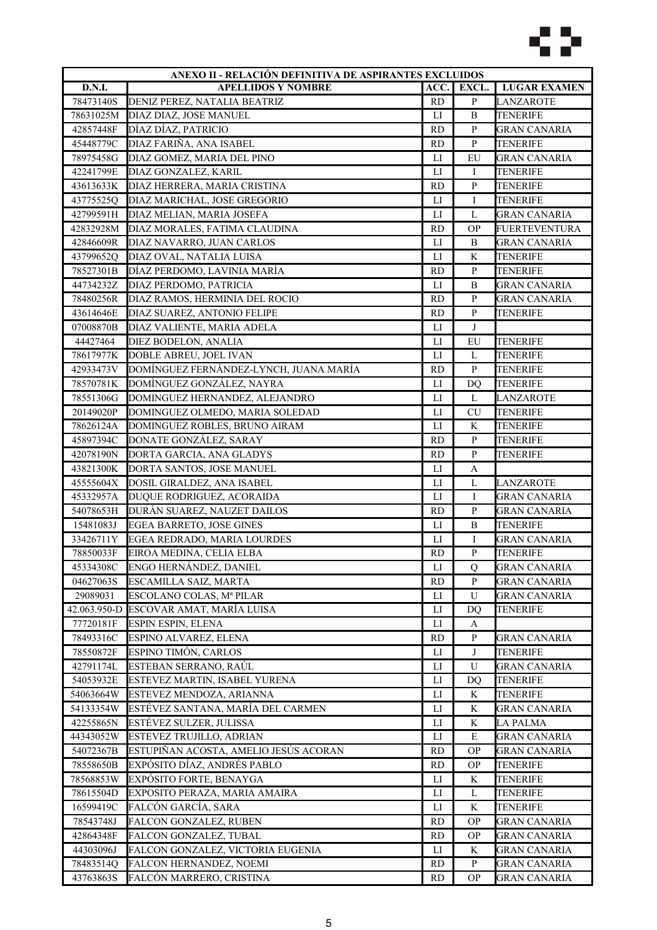

|               | ANEXO II - RELACIÓN DEFINITIVA DE ASPIRANTES EXCLUIDOS |                |                |                      |
|---------------|--------------------------------------------------------|----------------|----------------|----------------------|
| <b>D.N.I.</b> | <b>APELLIDOS Y NOMBRE</b>                              | ACC.           | EXCL.          | <b>LUGAR EXAMEN</b>  |
| 78473140S     | DENIZ PEREZ, NATALIA BEATRIZ                           | <b>RD</b>      | $\, {\bf p}$   | LANZAROTE            |
| 78631025M     | DIAZ DIAZ, JOSE MANUEL                                 | LI             | $\, {\bf B}$   | <b>TENERIFE</b>      |
| 42857448F     | DÍAZ DÍAZ, PATRICIO                                    | <b>RD</b>      | $\mathbf{P}$   | <b>GRAN CANARIA</b>  |
| 45448779C     | DIAZ FARIÑA, ANA ISABEL                                | <b>RD</b>      | $\, {\bf p}$   | <b>TENERIFE</b>      |
| 78975458G     | DIAZ GOMEZ, MARIA DEL PINO                             | LI             | EU             | <b>GRAN CANARIA</b>  |
| 42241799E     | DIAZ GONZALEZ, KARIL                                   | $_{\rm LI}$    | Ι              | <b>TENERIFE</b>      |
| 43613633K     | DIAZ HERRERA, MARIA CRISTINA                           | <b>RD</b>      | $\, {\bf p}$   | <b>TENERIFE</b>      |
| 43775525Q     | DIAZ MARICHAL, JOSE GREGORIO                           | LI             | I              | <b>TENERIFE</b>      |
| 42799591H     | DIAZ MELIAN, MARIA JOSEFA                              | LI             | L              | <b>GRAN CANARIA</b>  |
| 42832928M     | DIAZ MORALES, FATIMA CLAUDINA                          | <b>RD</b>      | <b>OP</b>      | <b>FUERTEVENTURA</b> |
| 42846609R     | DIAZ NAVARRO, JUAN CARLOS                              | LI             | B              | <b>GRAN CANARIA</b>  |
| 43799652Q     | DIAZ OVAL, NATALIA LUISA                               | $_{\text{LI}}$ | K              | <b>TENERIFE</b>      |
| 78527301B     | DÍAZ PERDOMO, LAVINIA MARÍA                            | <b>RD</b>      | ${\bf P}$      | <b>TENERIFE</b>      |
| 44734232Z     | DIAZ PERDOMO, PATRICIA                                 | LI             | $\, {\bf B}$   | <b>GRAN CANARIA</b>  |
| 78480256R     | DIAZ RAMOS, HERMINIA DEL ROCIO                         | <b>RD</b>      | ${\bf P}$      | <b>GRAN CANARIA</b>  |
| 43614646E     | DIAZ SUAREZ, ANTONIO FELIPE                            | <b>RD</b>      | $\, {\bf p}$   | <b>TENERIFE</b>      |
| 07008870B     | DIAZ VALIENTE, MARIA ADELA                             | LI             | J              |                      |
| 44427464      | DIEZ BODELON, ANALIA                                   | LI             | EU             | <b>TENERIFE</b>      |
| 78617977K     | DOBLE ABREU, JOEL IVAN                                 | LI             | L              | <b>TENERIFE</b>      |
| 42933473V     | DOMÍNGUEZ FERNÁNDEZ-LYNCH, JUANA MARÍA                 | <b>RD</b>      | $\, {\bf p}$   | <b>TENERIFE</b>      |
| 78570781K     | DOMÌNGUEZ GONZÁLEZ, NAYRA                              | LI             | DQ             | <b>TENERIFE</b>      |
| 78551306G     | DOMINGUEZ HERNANDEZ, ALEJANDRO                         | LI             | L              | <b>LANZAROTE</b>     |
| 20149020P     | DOMINGUEZ OLMEDO, MARIA SOLEDAD                        | $_{\rm LI}$    | <b>CU</b>      | <b>TENERIFE</b>      |
| 78626124A     | DOMINGUEZ ROBLES, BRUNO AIRAM                          | $_{\text{LI}}$ | K              | <b>TENERIFE</b>      |
|               |                                                        |                |                |                      |
| 45897394C     | DONATE GONZÁLEZ, SARAY                                 | <b>RD</b>      | $\, {\bf P}$   | TENERIFE             |
| 42078190N     | DORTA GARCIA, ANA GLADYS                               | <b>RD</b>      | $\mathbf{P}$   | TENERIFE             |
| 43821300K     | DORTA SANTOS, JOSE MANUEL                              | ${\rm LI}$     | A              |                      |
| 45555604X     | DOSIL GIRALDEZ, ANA ISABEL                             | $_{\text{LI}}$ | L              | <b>LANZAROTE</b>     |
| 45332957A     | DUQUE RODRIGUEZ, ACORAIDA                              | LI             | I              | <b>GRAN CANARIA</b>  |
| 54078653H     | DURÁN SUAREZ, NAUZET DAILOS                            | <b>RD</b>      | $\, {\bf p}$   | <b>GRAN CANARIA</b>  |
| 15481083J     | EGEA BARRETO, JOSE GINES                               | $_{\text{LI}}$ | $\, {\bf B}$   | <b>TENERIFE</b>      |
| 33426711Y     | EGEA REDRADO, MARIA LOURDES                            | $_{\rm LI}$    | Ι              | <b>GRAN CANARIA</b>  |
| 78850033F     | EIROA MEDINA, CELIA ELBA                               | <b>RD</b>      | ${\bf P}$      | <b>TENERIFE</b>      |
| 45334308C     | ENGO HERNÁNDEZ, DANIEL                                 | ${\rm LI}$     | Q              | <b>GRAN CANARIA</b>  |
| 04627063S     | ESCAMILLA SAIZ, MARTA                                  | <b>RD</b>      | P              | <b>GRAN CANARIA</b>  |
| 29089031      | ESCOLANO COLAS, Mª PILAR                               | $_{\rm LI}$    | U              | <b>GRAN CANARIA</b>  |
|               | 42.063.950-D ESCOVAR AMAT, MARÍA LUISA                 | $_{\rm LI}$    | D <sub>O</sub> | <b>TENERIFE</b>      |
| 77720181F     | <b>ESPIN ESPIN, ELENA</b>                              | LI             | A              |                      |
| 78493316C     | ESPINO ALVAREZ, ELENA                                  | <b>RD</b>      | ${\bf P}$      | <b>GRAN CANARIA</b>  |
| 78550872F     | ESPINO TIMÓN, CARLOS                                   | LI             | J              | <b>TENERIFE</b>      |
| 42791174L     | ESTEBAN SERRANO, RAÚL                                  | LI             | U              | <b>GRAN CANARIA</b>  |
| 54053932E     | ESTEVEZ MARTIN, ISABEL YURENA                          | П              | DQ             | <b>TENERIFE</b>      |
| 54063664W     | ESTEVEZ MENDOZA, ARIANNA                               | ${\rm LI}$     | K              | <b>TENERIFE</b>      |
| 54133354W     | ESTÉVEZ SANTANA, MARÍA DEL CARMEN                      | LI             | K              | <b>GRAN CANARIA</b>  |
| 42255865N     | ESTÉVEZ SULZER, JULISSA                                | LI             | K              | <b>LA PALMA</b>      |
| 44343052W     | ESTEVEZ TRUJILLO, ADRIAN                               | П              | E              | <b>GRAN CANARIA</b>  |
| 54072367B     | ESTUPIÑAN ACOSTA, AMELIO JESÚS ACORAN                  | <b>RD</b>      | <b>OP</b>      | GRAN CANARIA         |
| 78558650B     | EXPÓSITO DÍAZ, ANDRÉS PABLO                            | RD             | ОP             | TENERIFE             |
| 78568853W     | EXPÓSITO FORTE, BENAYGA                                | LI             | K              | TENERIFE             |
| 78615504D     | EXPOSITO PERAZA, MARIA AMAIRA                          | ${\rm LI}$     | L              | <b>TENERIFE</b>      |
| 16599419C     | FALCÓN GARCÍA, SARA                                    | LI             | K              | TENERIFE             |
| 78543748J     | FALCON GONZALEZ, RUBEN                                 | <b>RD</b>      | <b>OP</b>      | <b>GRAN CANARIA</b>  |
| 42864348F     | FALCON GONZALEZ, TUBAL                                 | <b>RD</b>      | <b>OP</b>      | <b>GRAN CANARIA</b>  |
| 44303096J     | FALCON GONZALEZ, VICTORIA EUGENIA                      | LI             | K              | <b>GRAN CANARIA</b>  |
| 78483514Q     | FALCON HERNANDEZ, NOEMI                                | <b>RD</b>      | P              | GRAN CANARIA         |
| 43763863S     | FALCÓN MARRERO, CRISTINA                               | <b>RD</b>      | <b>OP</b>      | <b>GRAN CANARIA</b>  |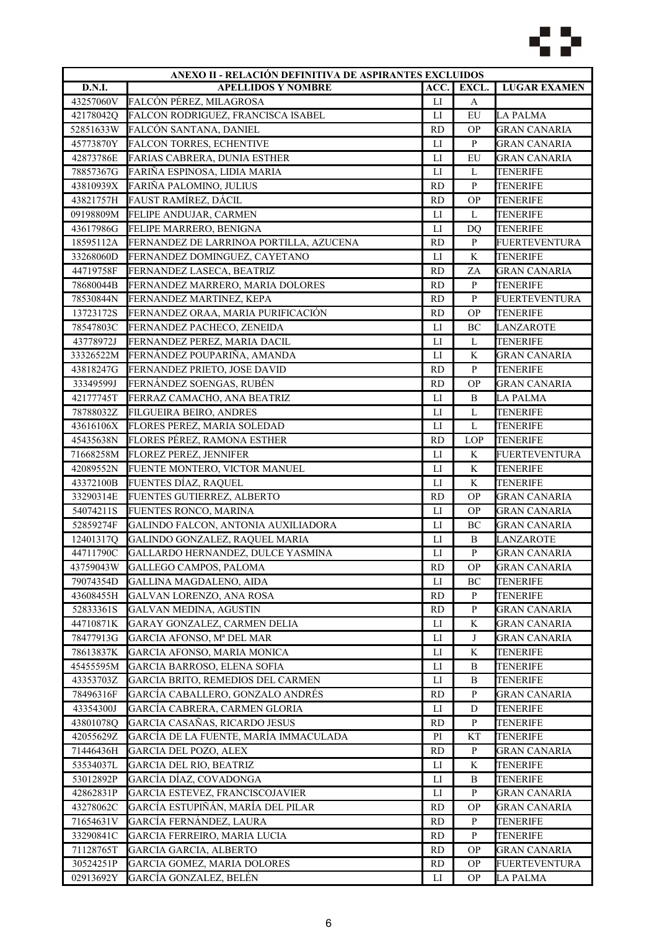

|           | ANEXO II - RELACIÓN DEFINITIVA DE ASPIRANTES EXCLUIDOS |                |              |                      |
|-----------|--------------------------------------------------------|----------------|--------------|----------------------|
| D.N.I.    | <b>APELLIDOS Y NOMBRE</b>                              | ACC.           | EXCL.        | <b>LUGAR EXAMEN</b>  |
| 43257060V | FALCÓN PÉREZ, MILAGROSA                                | $_{\rm LI}$    | A            |                      |
| 42178042Q | FALCON RODRIGUEZ, FRANCISCA ISABEL                     | LI             | EU           | <b>LA PALMA</b>      |
| 52851633W | <b>FALCÓN SANTANA, DANIEL</b>                          | <b>RD</b>      | <b>OP</b>    | <b>GRAN CANARIA</b>  |
| 45773870Y | <b>FALCON TORRES, ECHENTIVE</b>                        | $_{\text{LI}}$ | $\, {\bf P}$ | <b>GRAN CANARIA</b>  |
| 42873786E | FARIAS CABRERA, DUNIA ESTHER                           | $_{\text{LI}}$ | EU           | <b>GRAN CANARIA</b>  |
| 78857367G | FARIÑA ESPINOSA, LIDIA MARIA                           | LI             | L            | <b>TENERIFE</b>      |
| 43810939X | FARIÑA PALOMINO, JULIUS                                | <b>RD</b>      | $\, {\bf p}$ | <b>TENERIFE</b>      |
| 43821757H | FAUST RAMÍREZ, DÁCIL                                   | <b>RD</b>      | <b>OP</b>    | <b>TENERIFE</b>      |
| 09198809M | FELIPE ANDUJAR, CARMEN                                 | LI             | L            | <b>TENERIFE</b>      |
| 43617986G | FELIPE MARRERO, BENIGNA                                | LI             | DQ           | TENERIFE             |
| 18595112A | FERNANDEZ DE LARRINOA PORTILLA, AZUCENA                | <b>RD</b>      | $\, {\bf P}$ | FUERTEVENTURA        |
| 33268060D | FERNANDEZ DOMINGUEZ, CAYETANO                          | $_{\text{LI}}$ | K            | <b>TENERIFE</b>      |
| 44719758F | FERNANDEZ LASECA, BEATRIZ                              | <b>RD</b>      | ZA           | <b>GRAN CANARIA</b>  |
| 78680044B | FERNANDEZ MARRERO, MARIA DOLORES                       | <b>RD</b>      | $\, {\bf p}$ | <b>TENERIFE</b>      |
| 78530844N | FERNANDEZ MARTINEZ, KEPA                               | <b>RD</b>      | ${\bf P}$    | <b>FUERTEVENTURA</b> |
| 13723172S | FERNANDEZ ORAA, MARIA PURIFICACIÓN                     | <b>RD</b>      | <b>OP</b>    | <b>TENERIFE</b>      |
| 78547803C | FERNANDEZ PACHECO, ZENEIDA                             | LI             | BC           |                      |
|           |                                                        |                |              | LANZAROTE            |
| 43778972J | FERNANDEZ PEREZ, MARIA DACIL                           | $_{\rm LI}$    | L            | TENERIFE             |
| 33326522M | FERNÁNDEZ POUPARIÑA, AMANDA                            | LI             | K            | <b>GRAN CANARIA</b>  |
| 43818247G | FERNANDEZ PRIETO, JOSE DAVID                           | <b>RD</b>      | ${\bf P}$    | <b>TENERIFE</b>      |
| 33349599J | FERNÁNDEZ SOENGAS, RUBÉN                               | <b>RD</b>      | <b>OP</b>    | <b>GRAN CANARIA</b>  |
| 42177745T | FERRAZ CAMACHO, ANA BEATRIZ                            | $_{\rm LI}$    | B            | <b>LA PALMA</b>      |
| 78788032Z | <b>FILGUEIRA BEIRO, ANDRES</b>                         | $_{\rm LI}$    | $\mathbf L$  | <b>TENERIFE</b>      |
| 43616106X | FLORES PEREZ, MARIA SOLEDAD                            | $_{\text{LI}}$ | L            | TENERIFE             |
| 45435638N | FLORES PÉREZ, RAMONA ESTHER                            | <b>RD</b>      | <b>LOP</b>   | TENERIFE             |
| 71668258M | FLOREZ PEREZ, JENNIFER                                 | LI             | K            | FUERTEVENTURA        |
| 42089552N | FUENTE MONTERO, VICTOR MANUEL                          | ${\rm LI}$     | $\rm K$      | <b>TENERIFE</b>      |
| 43372100B | FUENTES DÍAZ, RAQUEL                                   | $_{\text{LI}}$ | K            | <b>TENERIFE</b>      |
| 33290314E | FUENTES GUTIERREZ, ALBERTO                             | <b>RD</b>      | <b>OP</b>    | <b>GRAN CANARIA</b>  |
| 54074211S | FUENTES RONCO, MARINA                                  | $_{\text{LI}}$ | <b>OP</b>    | <b>GRAN CANARIA</b>  |
| 52859274F | GALINDO FALCON, ANTONIA AUXILIADORA                    | $_{\text{LI}}$ | BC           | <b>GRAN CANARIA</b>  |
| 12401317Q | GALINDO GONZALEZ, RAQUEL MARIA                         | ${\rm LI}$     | B            | LANZAROTE            |
| 44711790C | GALLARDO HERNANDEZ, DULCE YASMINA                      | $_{\text{LI}}$ | ${\bf P}$    | <b>GRAN CANARIA</b>  |
| 43759043W | GALLEGO CAMPOS, PALOMA                                 | <b>RD</b>      | <b>OP</b>    | <b>GRAN CANARIA</b>  |
| 79074354D | <b>GALLINA MAGDALENO, AIDA</b>                         | $_{\text{LI}}$ | BC           | <b>TENERIFE</b>      |
| 43608455H | <b>GALVAN LORENZO, ANA ROSA</b>                        | <b>RD</b>      | $\mathbf{P}$ | <b>TENERIFE</b>      |
| 52833361S | <b>GALVAN MEDINA, AGUSTIN</b>                          | <b>RD</b>      | $\, {\bf P}$ | <b>GRAN CANARIA</b>  |
| 44710871K | GARAY GONZALEZ, CARMEN DELIA                           | LI             | K            | <b>GRAN CANARIA</b>  |
| 78477913G | GARCIA AFONSO, Mª DEL MAR                              | П              | J            | <b>GRAN CANARIA</b>  |
| 78613837K | GARCIA AFONSO, MARIA MONICA                            | П              | K            | <b>TENERIFE</b>      |
| 45455595M | GARCIA BARROSO, ELENA SOFIA                            | LI             | Β            | TENERIFE             |
| 43353703Z | GARCIA BRITO, REMEDIOS DEL CARMEN                      | LI             | B            | <b>TENERIFE</b>      |
| 78496316F | GARCÍA CABALLERO, GONZALO ANDRÉS                       | <b>RD</b>      | P            | <b>GRAN CANARIA</b>  |
| 43354300J | GARCÍA CABRERA, CARMEN GLORIA                          | LI             | D            | <b>TENERIFE</b>      |
| 43801078Q | GARCIA CASAÑAS, RICARDO JESUS                          | <b>RD</b>      | $\mathbf{P}$ | TENERIFE             |
| 42055629Z | GARCÍA DE LA FUENTE, MARÍA IMMACULADA                  | PI             | KT           | TENERIFE             |
| 71446436H | <b>GARCIA DEL POZO, ALEX</b>                           | <b>RD</b>      | $\, {\bf P}$ | GRAN CANARIA         |
| 53534037L | <b>GARCIA DEL RIO, BEATRIZ</b>                         | LI             | K            | TENERIFE             |
|           |                                                        |                |              |                      |
| 53012892P | GARCÍA DÍAZ, COVADONGA                                 | LI             | B            | TENERIFE             |
| 42862831P | GARCIA ESTEVEZ, FRANCISCOJAVIER                        | ${\rm LI}$     | ${\bf P}$    | <b>GRAN CANARIA</b>  |
| 43278062C | GARCÍA ESTUPIÑÁN, MARÍA DEL PILAR                      | <b>RD</b>      | <b>OP</b>    | <b>GRAN CANARIA</b>  |
| 71654631V | GARCÍA FERNÁNDEZ, LAURA                                | <b>RD</b>      | $\mathbf{P}$ | <b>TENERIFE</b>      |
| 33290841C | GARCIA FERREIRO, MARIA LUCIA                           | <b>RD</b>      | $\mathbf{P}$ | <b>TENERIFE</b>      |
| 71128765T | <b>GARCIA GARCIA, ALBERTO</b>                          | <b>RD</b>      | <b>OP</b>    | <b>GRAN CANARIA</b>  |
| 30524251P | <b>GARCIA GOMEZ, MARIA DOLORES</b>                     | <b>RD</b>      | <b>OP</b>    | FUERTEVENTURA        |
| 02913692Y | GARCÍA GONZALEZ, BELÉN                                 | LI             | <b>OP</b>    | LA PALMA             |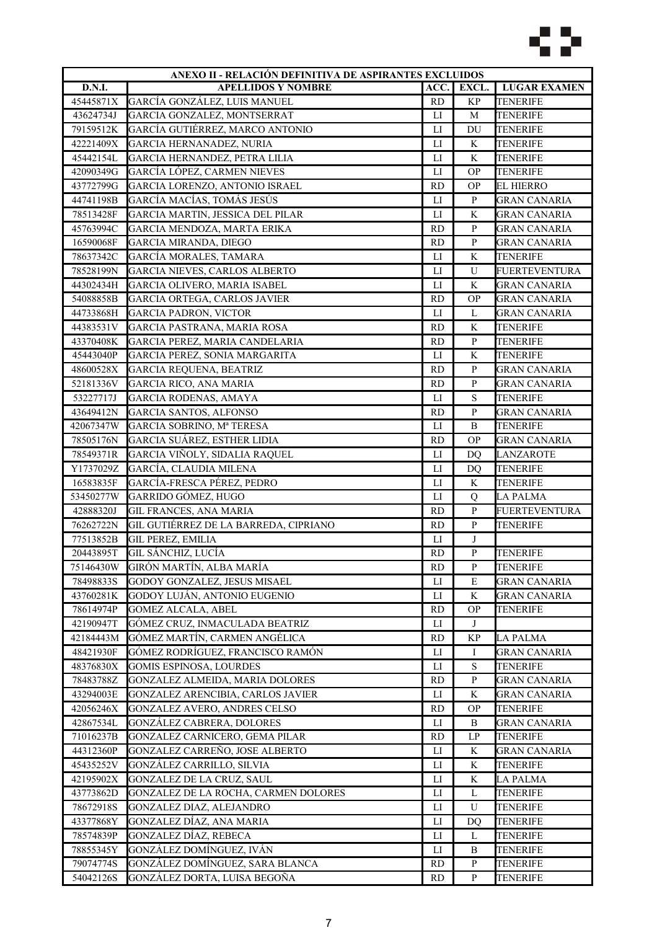

| ANEXO II - RELACIÓN DEFINITIVA DE ASPIRANTES EXCLUIDOS |                                          |                |                        |                      |
|--------------------------------------------------------|------------------------------------------|----------------|------------------------|----------------------|
| <b>D.N.I.</b>                                          | <b>APELLIDOS Y NOMBRE</b>                | ACC.           | EXCL.                  | <b>LUGAR EXAMEN</b>  |
| 45445871X                                              | GARCÍA GONZÁLEZ, LUIS MANUEL             | <b>RD</b>      | <b>KP</b>              | <b>TENERIFE</b>      |
| 43624734J                                              | GARCIA GONZALEZ, MONTSERRAT              | LI             | M                      | <b>TENERIFE</b>      |
| 79159512K                                              | GARCÍA GUTIÉRREZ, MARCO ANTONIO          | LI             | DU                     | TENERIFE             |
| 42221409X                                              | GARCIA HERNANADEZ, NURIA                 | $_{\text{LI}}$ | K                      | <b>TENERIFE</b>      |
| 45442154L                                              | GARCIA HERNANDEZ, PETRA LILIA            | $_{\text{LI}}$ | K                      | <b>TENERIFE</b>      |
| 42090349G                                              | GARCÍA LÓPEZ, CARMEN NIEVES              | $_{\rm LI}$    | <b>OP</b>              | <b>TENERIFE</b>      |
| 43772799G                                              | GARCIA LORENZO, ANTONIO ISRAEL           | <b>RD</b>      | <b>OP</b>              | <b>EL HIERRO</b>     |
| 44741198B                                              | GARCÍA MACÍAS, TOMÁS JESÚS               | $_{\rm LI}$    | ${\bf P}$              | <b>GRAN CANARIA</b>  |
| 78513428F                                              | GARCIA MARTIN, JESSICA DEL PILAR         | LI             | K                      | <b>GRAN CANARIA</b>  |
| 45763994C                                              | GARCIA MENDOZA, MARTA ERIKA              | <b>RD</b>      | P                      | GRAN CANARIA         |
| 16590068F                                              | <b>GARCIA MIRANDA, DIEGO</b>             | <b>RD</b>      | $\mathbf{P}$           | <b>GRAN CANARIA</b>  |
| 78637342C                                              | GARCÍA MORALES, TAMARA                   | $_{\text{LI}}$ | K                      | <b>TENERIFE</b>      |
| 78528199N                                              | <b>GARCIA NIEVES, CARLOS ALBERTO</b>     | $_{\text{LI}}$ | U                      | <b>FUERTEVENTURA</b> |
| 44302434H                                              | <b>GARCIA OLIVERO, MARIA ISABEL</b>      | ${\rm LI}$     | $\rm K$                | <b>GRAN CANARIA</b>  |
| 54088858B                                              |                                          | <b>RD</b>      | <b>OP</b>              | <b>GRAN CANARIA</b>  |
| 44733868H                                              | <b>GARCIA ORTEGA, CARLOS JAVIER</b>      |                |                        |                      |
|                                                        | <b>GARCIA PADRON, VICTOR</b>             | LI             | L                      | <b>GRAN CANARIA</b>  |
| 44383531V                                              | <b>GARCIA PASTRANA, MARIA ROSA</b>       | <b>RD</b>      | K                      | <b>TENERIFE</b>      |
| 43370408K                                              | GARCIA PEREZ, MARIA CANDELARIA           | <b>RD</b>      | $\, {\bf P}$           | <b>TENERIFE</b>      |
| 45443040P                                              | GARCIA PEREZ, SONIA MARGARITA            | LI             | K                      | <b>TENERIFE</b>      |
| 48600528X                                              | GARCIA REQUENA, BEATRIZ                  | <b>RD</b>      | $\, {\bf p}$           | <b>GRAN CANARIA</b>  |
| 52181336V                                              | <b>GARCIA RICO, ANA MARIA</b>            | <b>RD</b>      | $\, {\bf p}$           | <b>GRAN CANARIA</b>  |
| 53227717J                                              | GARCIA RODENAS, AMAYA                    | $_{\rm LI}$    | ${\bf S}$              | <b>TENERIFE</b>      |
| 43649412N                                              | <b>GARCIA SANTOS, ALFONSO</b>            | <b>RD</b>      | $\mathbf{P}$           | <b>GRAN CANARIA</b>  |
| 42067347W                                              | GARCIA SOBRINO, Mª TERESA                | LI             | B                      | TENERIFE             |
| 78505176N                                              | GARCIA SUÁREZ, ESTHER LIDIA              | <b>RD</b>      | <b>OP</b>              | <b>GRAN CANARIA</b>  |
| 78549371R                                              | GARCIA VIÑOLY, SIDALIA RAQUEL            | LI             | D <sub>O</sub>         | LANZAROTE            |
| Y1737029Z                                              | GARCÍA, CLAUDIA MILENA                   | ${\rm LI}$     | DQ                     | <b>TENERIFE</b>      |
| 16583835F                                              | GARCÍA-FRESCA PÉREZ, PEDRO               | $_{\text{LI}}$ | K                      | <b>TENERIFE</b>      |
| 53450277W                                              | GARRIDO GÓMEZ, HUGO                      | LI             | Q                      | <b>LA PALMA</b>      |
| 42888320J                                              | <b>GIL FRANCES, ANA MARIA</b>            | <b>RD</b>      | $\, {\bf p}$           | <b>FUERTEVENTURA</b> |
| 76262722N                                              | GIL GUTIÉRREZ DE LA BARREDA, CIPRIANO    | <b>RD</b>      | $\, {\bf p}$           | <b>TENERIFE</b>      |
| 77513852B                                              | <b>GIL PEREZ, EMILIA</b>                 | LI             | J                      |                      |
| 20443895T                                              | GIL SÁNCHIZ, LUCÍA                       | <b>RD</b>      | ${\bf P}$              | <b>TENERIFE</b>      |
| 75146430W                                              | GIRÓN MARTÍN, ALBA MARÍA                 | <b>RD</b>      | P                      | <b>TENERIFE</b>      |
| 78498833S                                              | GODOY GONZALEZ, JESUS MISAEL             | ${\rm LI}$     | E                      | <b>GRAN CANARIA</b>  |
| 43760281K                                              | GODOY LUJÁN, ANTONIO EUGENIO             | $_{\rm LI}$    | K                      | <b>GRAN CANARIA</b>  |
| 78614974P                                              | <b>GOMEZ ALCALA, ABEL</b>                | <b>RD</b>      | <b>OP</b>              | <b>TENERIFE</b>      |
| 42190947T                                              | GÓMEZ CRUZ, INMACULADA BEATRIZ           | LI             | J                      |                      |
| 42184443M                                              | GÓMEZ MARTÍN, CARMEN ANGÉLICA            | <b>RD</b>      | <b>KP</b>              | LA PALMA             |
| 48421930F                                              | GÓMEZ RODRÍGUEZ, FRANCISCO RAMÓN         | $_{\rm LI}$    | Ι                      | GRAN CANARIA         |
| 48376830X                                              | <b>GOMIS ESPINOSA, LOURDES</b>           | LI             | ${\bf S}$              | TENERIFE             |
| 78483788Z                                              | GONZALEZ ALMEIDA, MARIA DOLORES          | <b>RD</b>      | $\mathbf{P}$           | <b>GRAN CANARIA</b>  |
| 43294003E                                              | <b>GONZALEZ ARENCIBIA, CARLOS JAVIER</b> | $_{\rm LI}$    | K                      | <b>GRAN CANARIA</b>  |
| 42056246X                                              | GONZALEZ AVERO, ANDRES CELSO             | <b>RD</b>      | <b>OP</b>              | <b>TENERIFE</b>      |
| 42867534L                                              | <b>GONZÁLEZ CABRERA, DOLORES</b>         | LI             | B                      | <b>GRAN CANARIA</b>  |
| 71016237B                                              | GONZALEZ CARNICERO, GEMA PILAR           | <b>RD</b>      | $\mathbf{L}\mathbf{P}$ | TENERIFE             |
| 44312360P                                              | GONZALEZ CARREÑO, JOSE ALBERTO           |                |                        |                      |
|                                                        |                                          | LI<br>LI       | K                      | GRAN CANARIA         |
| 45435252V                                              | GONZÁLEZ CARRILLO, SILVIA                |                | K                      | TENERIFE             |
| 42195902X                                              | GONZALEZ DE LA CRUZ, SAUL                | LI             | K                      | LA PALMA             |
| 43773862D                                              | GONZALEZ DE LA ROCHA, CARMEN DOLORES     | ${\rm LI}$     | L                      | <b>TENERIFE</b>      |
| 78672918S                                              | GONZALEZ DIAZ, ALEJANDRO                 | LI             | U                      | <b>TENERIFE</b>      |
| 43377868Y                                              | GONZALEZ DÍAZ, ANA MARIA                 | LI             | DQ                     | <b>TENERIFE</b>      |
| 78574839P                                              | GONZALEZ DÍAZ, REBECA                    | LI             | L                      | <b>TENERIFE</b>      |
| 78855345Y                                              | GONZÁLEZ DOMÍNGUEZ, IVÁN                 | П              | B                      | TENERIFE             |
| 79074774S                                              | GONZÁLEZ DOMÍNGUEZ, SARA BLANCA          | <b>RD</b>      | P                      | TENERIFE             |
| 54042126S                                              | GONZÁLEZ DORTA, LUISA BEGOÑA             | <b>RD</b>      | P                      | TENERIFE             |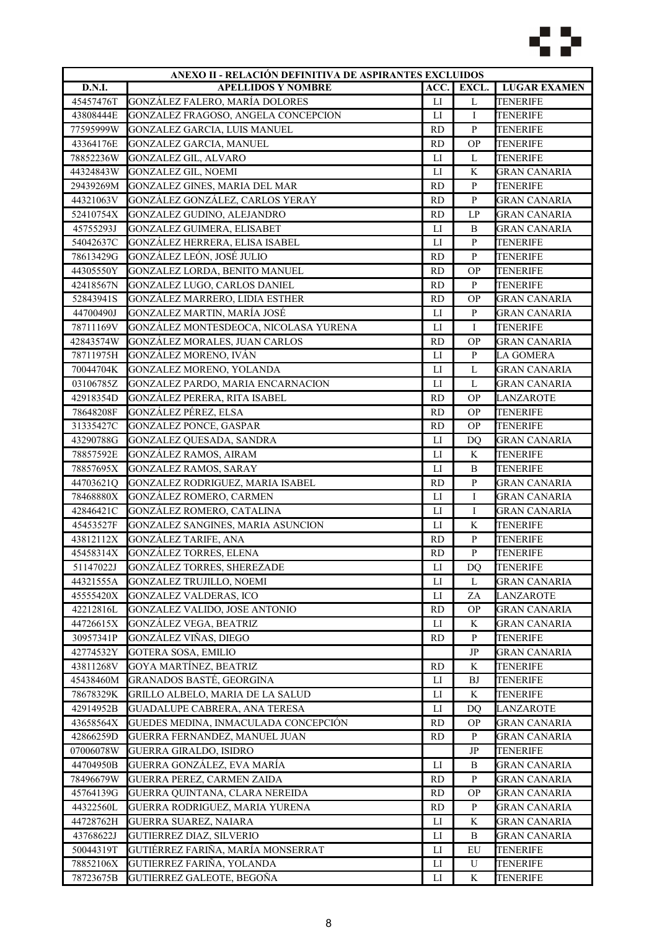

| ANEXO II - RELACIÓN DEFINITIVA DE ASPIRANTES EXCLUIDOS |                                       |                |              |                     |
|--------------------------------------------------------|---------------------------------------|----------------|--------------|---------------------|
| D.N.I.                                                 | <b>APELLIDOS Y NOMBRE</b>             | ACC.           | EXCL.        | <b>LUGAR EXAMEN</b> |
| 45457476T                                              | GONZÁLEZ FALERO, MARÍA DOLORES        | ${\rm LI}$     | $\mathbf L$  | <b>TENERIFE</b>     |
| 43808444E                                              | GONZALEZ FRAGOSO, ANGELA CONCEPCION   | LI             | Ι            | <b>TENERIFE</b>     |
| 77595999W                                              | GONZALEZ GARCIA, LUIS MANUEL          | <b>RD</b>      | ${\bf P}$    | <b>TENERIFE</b>     |
| 43364176E                                              | <b>GONZALEZ GARCIA, MANUEL</b>        | <b>RD</b>      | <b>OP</b>    | <b>TENERIFE</b>     |
| 78852236W                                              | <b>GONZALEZ GIL, ALVARO</b>           | $_{\text{LI}}$ | L            | <b>TENERIFE</b>     |
| 44324843W                                              | <b>GONZALEZ GIL, NOEMI</b>            | LI             | K            | <b>GRAN CANARIA</b> |
| 29439269M                                              | GONZALEZ GINES, MARIA DEL MAR         | <b>RD</b>      | $\, {\bf p}$ | <b>TENERIFE</b>     |
| 44321063V                                              | GONZÁLEZ GONZÁLEZ, CARLOS YERAY       | <b>RD</b>      | ${\bf P}$    | <b>GRAN CANARIA</b> |
| 52410754X                                              | GONZALEZ GUDINO, ALEJANDRO            | <b>RD</b>      | LP           | <b>GRAN CANARIA</b> |
| 45755293J                                              | GONZALEZ GUIMERA, ELISABET            | LI             | B            | GRAN CANARIA        |
| 54042637C                                              | GONZÁLEZ HERRERA, ELISA ISABEL        | LI             | ${\bf P}$    | TENERIFE            |
| 78613429G                                              | GONZÁLEZ LEÓN, JOSÉ JULIO             | <b>RD</b>      | ${\bf P}$    | <b>TENERIFE</b>     |
| 44305550Y                                              | GONZALEZ LORDA, BENITO MANUEL         | <b>RD</b>      | <b>OP</b>    | <b>TENERIFE</b>     |
| 42418567N                                              | GONZALEZ LUGO, CARLOS DANIEL          | <b>RD</b>      | $\, {\bf P}$ | <b>TENERIFE</b>     |
| 52843941S                                              | GONZÁLEZ MARRERO, LIDIA ESTHER        | <b>RD</b>      | <b>OP</b>    | <b>GRAN CANARIA</b> |
| 44700490J                                              | GONZALEZ MARTIN, MARÍA JOSÉ           | $_{\rm LI}$    | ${\bf P}$    | <b>GRAN CANARIA</b> |
| 78711169V                                              | GONZÁLEZ MONTESDEOCA, NICOLASA YURENA | $_{\text{LI}}$ | I            | <b>TENERIFE</b>     |
| 42843574W                                              | GONZÁLEZ MORALES, JUAN CARLOS         | <b>RD</b>      | <b>OP</b>    | <b>GRAN CANARIA</b> |
| 78711975H                                              | GONZÁLEZ MORENO, IVÁN                 | LI             | $\mathbf{P}$ | <b>LA GOMERA</b>    |
| 70044704K                                              | GONZALEZ MORENO, YOLANDA              | ${\rm LI}$     | L            | <b>GRAN CANARIA</b> |
| 03106785Z                                              | GONZALEZ PARDO, MARIA ENCARNACION     | $_{\text{LI}}$ | L            | <b>GRAN CANARIA</b> |
| 42918354D                                              | GONZÁLEZ PERERA, RITA ISABEL          | <b>RD</b>      | <b>OP</b>    | <b>LANZAROTE</b>    |
| 78648208F                                              | GONZÁLEZ PÉREZ, ELSA                  | <b>RD</b>      | <b>OP</b>    | <b>TENERIFE</b>     |
| 31335427C                                              | <b>GONZALEZ PONCE, GASPAR</b>         | <b>RD</b>      | <b>OP</b>    | <b>TENERIFE</b>     |
| 43290788G                                              | <b>GONZALEZ QUESADA, SANDRA</b>       | LI             | DO           | GRAN CANARIA        |
| 78857592E                                              | <b>GONZÁLEZ RAMOS, AIRAM</b>          | LI             | K            | TENERIFE            |
| 78857695X                                              | <b>GONZALEZ RAMOS, SARAY</b>          | LI             | B            | <b>TENERIFE</b>     |
| 44703621Q                                              | GONZALEZ RODRIGUEZ, MARIA ISABEL      | <b>RD</b>      | ${\bf P}$    | <b>GRAN CANARIA</b> |
| 78468880X                                              | GONZÁLEZ ROMERO, CARMEN               | LI             | I            | <b>GRAN CANARIA</b> |
| 42846421C                                              | GONZÁLEZ ROMERO, CATALINA             | $_{\rm LI}$    | I            | <b>GRAN CANARIA</b> |
| 45453527F                                              | GONZALEZ SANGINES, MARIA ASUNCION     | $_{\text{LI}}$ | K            | <b>TENERIFE</b>     |
| 43812112X                                              | <b>GONZÁLEZ TARIFE, ANA</b>           | <b>RD</b>      | ${\bf P}$    | <b>TENERIFE</b>     |
| 45458314X                                              | <b>GONZÁLEZ TORRES, ELENA</b>         | <b>RD</b>      | ${\bf P}$    | TENERIFE            |
| 51147022J                                              | <b>GONZÁLEZ TORRES, SHEREZADE</b>     | LI             | DQ           | <b>TENERIFE</b>     |
| 44321555A                                              | <b>GONZALEZ TRUJILLO, NOEMI</b>       | ${\rm LI}$     | L            | <b>GRAN CANARIA</b> |
| 45555420X                                              | <b>GONZALEZ VALDERAS, ICO</b>         | ${\rm LI}$     | ZA           | <b>LANZAROTE</b>    |
| 42212816L                                              | GONZALEZ VALIDO, JOSE ANTONIO         | RD             | <b>OP</b>    | <b>GRAN CANARIA</b> |
| 44726615X                                              | GONZÁLEZ VEGA, BEATRIZ                | LI             | K            | <b>GRAN CANARIA</b> |
| 30957341P                                              | GONZÁLEZ VIÑAS, DIEGO                 | <b>RD</b>      | $\mathbf{P}$ | <b>TENERIFE</b>     |
| 42774532Y                                              | <b>GOTERA SOSA, EMILIO</b>            |                | JP           | GRAN CANARIA        |
| 43811268V                                              | GOYA MARTÍNEZ, BEATRIZ                | <b>RD</b>      | K            | TENERIFE            |
| 45438460M                                              | GRANADOS BASTÉ, GEORGINA              | LI             | <b>BJ</b>    | <b>TENERIFE</b>     |
| 78678329K                                              | GRILLO ALBELO, MARIA DE LA SALUD      | ${\rm LI}$     | K            | <b>TENERIFE</b>     |
| 42914952B                                              | GUADALUPE CABRERA, ANA TERESA         | LI             | DQ           | LANZAROTE           |
|                                                        |                                       |                |              |                     |
| 43658564X                                              | GUEDES MEDINA, INMACULADA CONCEPCIÓN  | <b>RD</b>      | <b>OP</b>    | <b>GRAN CANARIA</b> |
| 42866259D                                              | GUERRA FERNANDEZ, MANUEL JUAN         | <b>RD</b>      | $\mathbf{P}$ | <b>GRAN CANARIA</b> |
| 07006078W                                              | <b>GUERRA GIRALDO, ISIDRO</b>         |                | JP           | TENERIFE            |
| 44704950B                                              | GUERRA GONZÁLEZ, EVA MARÍA            | LI             | B            | GRAN CANARIA        |
| 78496679W                                              | GUERRA PEREZ, CARMEN ZAIDA            | <b>RD</b>      | P            | GRAN CANARIA        |
| 45764139G                                              | GUERRA QUINTANA, CLARA NEREIDA        | <b>RD</b>      | <b>OP</b>    | <b>GRAN CANARIA</b> |
| 44322560L                                              | GUERRA RODRIGUEZ, MARIA YURENA        | <b>RD</b>      | $\mathbf{P}$ | <b>GRAN CANARIA</b> |
| 44728762H                                              | <b>GUERRA SUAREZ, NAIARA</b>          | $_{\rm LI}$    | K            | <b>GRAN CANARIA</b> |
| 43768622J                                              | <b>GUTIERREZ DIAZ, SILVERIO</b>       | LI             | B            | <b>GRAN CANARIA</b> |
| 50044319T                                              | GUTIÉRREZ FARIÑA, MARÍA MONSERRAT     | ${\rm LI}$     | EU           | <b>TENERIFE</b>     |
| 78852106X                                              | GUTIERREZ FARIÑA, YOLANDA             | $_{\rm LI}$    | U            | <b>TENERIFE</b>     |
| 78723675B                                              | GUTIERREZ GALEOTE, BEGOÑA             | LI             | K            | TENERIFE            |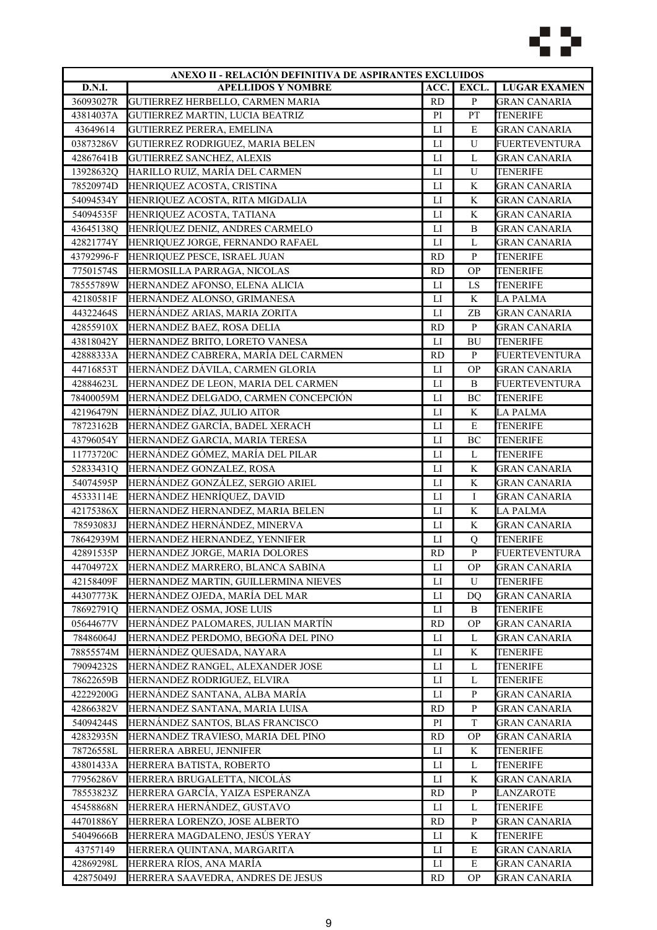

|            | ANEXO II - RELACIÓN DEFINITIVA DE ASPIRANTES EXCLUIDOS         |                |                   |                                        |
|------------|----------------------------------------------------------------|----------------|-------------------|----------------------------------------|
| D.N.I.     | <b>APELLIDOS Y NOMBRE</b>                                      | ACC.           | EXCL.             | <b>LUGAR EXAMEN</b>                    |
| 36093027R  | GUTIERREZ HERBELLO, CARMEN MARIA                               | <b>RD</b>      | $\, {\bf P}$      | <b>GRAN CANARIA</b>                    |
| 43814037A  | GUTIERREZ MARTIN, LUCIA BEATRIZ                                | PI             | PT                | TENERIFE                               |
| 43649614   | GUTIERREZ PERERA, EMELINA                                      | $_{\text{LI}}$ | E                 | <b>GRAN CANARIA</b>                    |
| 03873286V  | GUTIERREZ RODRIGUEZ, MARIA BELEN                               | LI             | ${\bf U}$         | FUERTEVENTURA                          |
| 42867641B  | GUTIERREZ SANCHEZ, ALEXIS                                      | LI             | L                 | <b>GRAN CANARIA</b>                    |
| 13928632Q  | HARILLO RUIZ, MARÍA DEL CARMEN                                 | LI             | U                 | <b>TENERIFE</b>                        |
| 78520974D  | HENRIQUEZ ACOSTA, CRISTINA                                     | $_{\text{LI}}$ | K                 | <b>GRAN CANARIA</b>                    |
| 54094534Y  | HENRIQUEZ ACOSTA, RITA MIGDALIA                                | $_{\rm LI}$    | K                 | <b>GRAN CANARIA</b>                    |
| 54094535F  | HENRIQUEZ ACOSTA, TATIANA                                      | LI             | K                 | GRAN CANARIA                           |
| 43645138Q  | HENRÍQUEZ DENIZ, ANDRES CARMELO                                | LI             | B                 | GRAN CANARIA                           |
| 42821774Y  | HENRIQUEZ JORGE, FERNANDO RAFAEL                               | $_{\text{LI}}$ | L                 | <b>GRAN CANARIA</b>                    |
| 43792996-F | HENRIQUEZ PESCE, ISRAEL JUAN                                   | <b>RD</b>      | ${\bf P}$         | <b>TENERIFE</b>                        |
| 77501574S  | HERMOSILLA PARRAGA, NICOLAS                                    | <b>RD</b>      | <b>OP</b>         | <b>TENERIFE</b>                        |
| 78555789W  | HERNANDEZ AFONSO, ELENA ALICIA                                 | LI             | LS                | <b>TENERIFE</b>                        |
| 42180581F  | HERNÁNDEZ ALONSO, GRIMANESA                                    | $_{\rm LI}$    | K                 | <b>LA PALMA</b>                        |
| 44322464S  | HERNÁNDEZ ARIAS, MARIA ZORITA                                  | $_{\text{LI}}$ | ZB                | <b>GRAN CANARIA</b>                    |
| 42855910X  | HERNANDEZ BAEZ, ROSA DELIA                                     | <b>RD</b>      | $\, {\bf P}$      | <b>GRAN CANARIA</b>                    |
| 43818042Y  | HERNANDEZ BRITO, LORETO VANESA                                 | $_{\rm LI}$    | <b>BU</b>         | <b>TENERIFE</b>                        |
| 42888333A  | HERNÁNDEZ CABRERA, MARÍA DEL CARMEN                            | <b>RD</b>      | $\, {\bf P}$      | <b>FUERTEVENTURA</b>                   |
| 44716853T  | HERNÁNDEZ DÁVILA, CARMEN GLORIA                                | LI             | <b>OP</b>         | <b>GRAN CANARIA</b>                    |
| 42884623L  | HERNANDEZ DE LEON, MARIA DEL CARMEN                            | $_{\text{LI}}$ | B                 | <b>FUERTEVENTURA</b>                   |
| 78400059M  | HERNÁNDEZ DELGADO, CARMEN CONCEPCIÓN                           | $_{\text{LI}}$ | BC                | <b>TENERIFE</b>                        |
| 42196479N  | HERNÁNDEZ DÍAZ, JULIO AITOR                                    | $_{\rm LI}$    | K                 | <b>LA PALMA</b>                        |
| 78723162B  | HERNÁNDEZ GARCÍA, BADEL XERACH                                 | LI             | E                 | <b>TENERIFE</b>                        |
| 43796054Y  | HERNANDEZ GARCIA, MARIA TERESA                                 | LI             | BC                | <b>TENERIFE</b>                        |
| 11773720C  | HERNÁNDEZ GÓMEZ, MARÍA DEL PILAR                               | $_{\text{LI}}$ | L                 | <b>TENERIFE</b>                        |
|            | HERNANDEZ GONZALEZ, ROSA                                       | $_{\text{LI}}$ | $\rm K$           | <b>GRAN CANARIA</b>                    |
| 52833431Q  | HERNÁNDEZ GONZÁLEZ, SERGIO ARIEL                               |                |                   |                                        |
| 54074595P  |                                                                | LI             | K<br>I            | <b>GRAN CANARIA</b>                    |
| 45333114E  | HERNÁNDEZ HENRÍQUEZ, DAVID<br>HERNANDEZ HERNANDEZ, MARIA BELEN | LI             | $\rm K$           | <b>GRAN CANARIA</b>                    |
| 42175386X  | HERNÁNDEZ HERNÁNDEZ, MINERVA                                   | $_{\text{LI}}$ | K                 | <b>LA PALMA</b><br><b>GRAN CANARIA</b> |
| 78593083J  |                                                                | $_{\rm LI}$    |                   |                                        |
| 78642939M  | HERNANDEZ HERNANDEZ, YENNIFER                                  | П              | Q<br>$\, {\bf p}$ | <b>TENERIFE</b>                        |
| 42891535P  | HERNANDEZ JORGE, MARIA DOLORES                                 | <b>RD</b>      |                   | FUERTEVENTURA                          |
| 44704972X  | HERNANDEZ MARRERO, BLANCA SABINA                               | $_{\rm LI}$    | <b>OP</b>         | <b>GRAN CANARIA</b>                    |
| 42158409F  | HERNANDEZ MARTIN, GUILLERMINA NIEVES                           | $_{\rm LI}$    | U                 | <b>TENERIFE</b>                        |
| 44307773K  | HERNÁNDEZ OJEDA, MARÍA DEL MAR                                 | LI             | DQ                | <b>GRAN CANARIA</b>                    |
| 78692791Q  | HERNANDEZ OSMA, JOSE LUIS                                      | LI             | B                 | <b>TENERIFE</b>                        |
| 05644677V  | HERNÁNDEZ PALOMARES, JULIAN MARTÍN                             | <b>RD</b>      | <b>OP</b>         | <b>GRAN CANARIA</b>                    |
| 78486064J  | HERNANDEZ PERDOMO, BEGOÑA DEL PINO                             | LI             | L                 | <b>GRAN CANARIA</b>                    |
| 78855574M  | HERNÁNDEZ QUESADA, NAYARA                                      | П              | K                 | <b>TENERIFE</b>                        |
| 79094232S  | HERNÁNDEZ RANGEL, ALEXANDER JOSE                               | LI             | L                 | TENERIFE                               |
| 78622659B  | HERNANDEZ RODRIGUEZ, ELVIRA                                    | ${\rm LI}$     | L                 | <b>TENERIFE</b>                        |
| 42229200G  | HERNÁNDEZ SANTANA, ALBA MARÍA                                  | LI             | $\mathbf{P}$      | <b>GRAN CANARIA</b>                    |
| 42866382V  | HERNANDEZ SANTANA, MARIA LUISA                                 | <b>RD</b>      | $\mathbf{P}$      | <b>GRAN CANARIA</b>                    |
| 54094244S  | HERNÁNDEZ SANTOS, BLAS FRANCISCO                               | PI             | T                 | <b>GRAN CANARIA</b>                    |
| 42832935N  | HERNANDEZ TRAVIESO, MARIA DEL PINO                             | <b>RD</b>      | <b>OP</b>         | <b>GRAN CANARIA</b>                    |
| 78726558L  | HERRERA ABREU, JENNIFER                                        | LI             | K                 | TENERIFE                               |
| 43801433A  | HERRERA BATISTA, ROBERTO                                       | LI             | L                 | TENERIFE                               |
| 77956286V  | HERRERA BRUGALETTA, NICOLÁS                                    | $_{\rm LI}$    | K                 | <b>GRAN CANARIA</b>                    |
| 78553823Z  | HERRERA GARCÍA, YAIZA ESPERANZA                                | <b>RD</b>      | ${\bf P}$         | LANZAROTE                              |
| 45458868N  | HERRERA HERNÁNDEZ, GUSTAVO                                     | $_{\rm LI}$    | L                 | <b>TENERIFE</b>                        |
| 44701886Y  | HERRERA LORENZO, JOSE ALBERTO                                  | <b>RD</b>      | $\, {\bf P}$      | <b>GRAN CANARIA</b>                    |
| 54049666B  | HERRERA MAGDALENO, JESÚS YERAY                                 | LI             | K                 | TENERIFE                               |
| 43757149   | HERRERA QUINTANA, MARGARITA                                    | П              | ${\bf E}$         | <b>GRAN CANARIA</b>                    |
| 42869298L  | HERRERA RÍOS, ANA MARÍA                                        | П              | E                 | GRAN CANARIA                           |
| 42875049J  | HERRERA SAAVEDRA, ANDRES DE JESUS                              | <b>RD</b>      | <b>OP</b>         | <b>GRAN CANARIA</b>                    |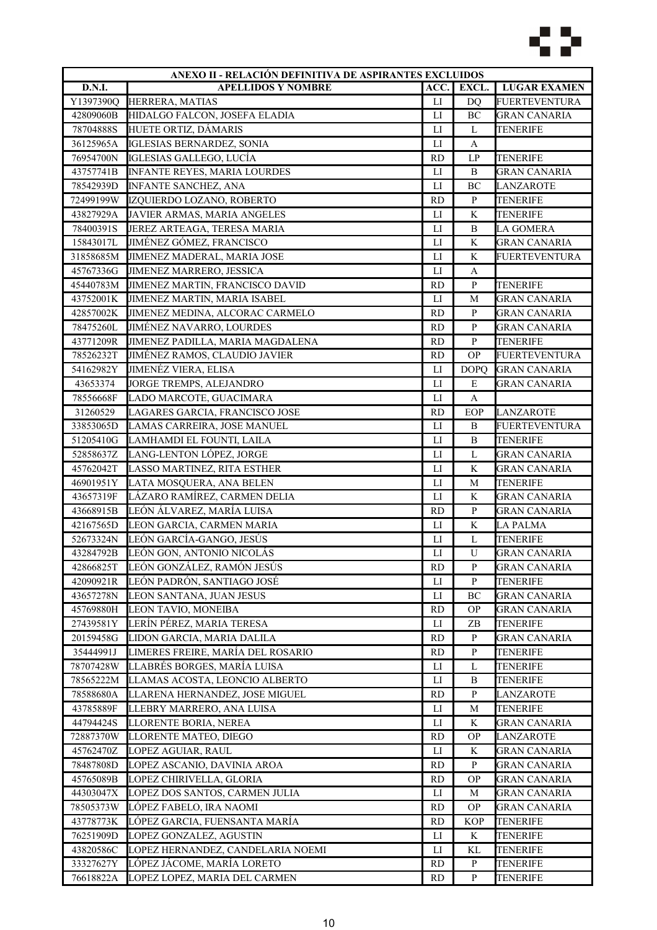

| ANEXO II - RELACIÓN DEFINITIVA DE ASPIRANTES EXCLUIDOS |                                     |                |                |                      |
|--------------------------------------------------------|-------------------------------------|----------------|----------------|----------------------|
| <b>D.N.I.</b>                                          | <b>APELLIDOS Y NOMBRE</b>           | ACC.           | EXCL.          | <b>LUGAR EXAMEN</b>  |
| Y1397390Q                                              | HERRERA, MATIAS                     | $_{\text{LI}}$ | D <sub>O</sub> | <b>FUERTEVENTURA</b> |
| 42809060B                                              | HIDALGO FALCON, JOSEFA ELADIA       | ${\rm LI}$     | BC             | <b>GRAN CANARIA</b>  |
| 78704888S                                              | HUETE ORTIZ, DÁMARIS                | LI             | L              | <b>TENERIFE</b>      |
| 36125965A                                              | <b>IGLESIAS BERNARDEZ, SONIA</b>    | ${\rm LI}$     | A              |                      |
| 76954700N                                              | IGLESIAS GALLEGO, LUCÍA             | <b>RD</b>      | LP             | <b>TENERIFE</b>      |
| 43757741B                                              | <b>INFANTE REYES, MARIA LOURDES</b> | LI             | $\, {\bf B}$   | <b>GRAN CANARIA</b>  |
| 78542939D                                              | <b>INFANTE SANCHEZ, ANA</b>         | LI             | BC             | <b>LANZAROTE</b>     |
| 72499199W                                              | IZQUIERDO LOZANO, ROBERTO           | <b>RD</b>      | $\mathbf{P}$   | <b>TENERIFE</b>      |
| 43827929A                                              | JAVIER ARMAS, MARIA ANGELES         | $_{\rm LI}$    | K              | <b>TENERIFE</b>      |
| 78400391S                                              | JEREZ ARTEAGA, TERESA MARIA         | LI             | B              | LA GOMERA            |
| 15843017L                                              | JIMÉNEZ GÓMEZ, FRANCISCO            | $_{\text{LI}}$ | K              | <b>GRAN CANARIA</b>  |
| 31858685M                                              | JIMENEZ MADERAL, MARIA JOSE         | LI             | K              | <b>FUERTEVENTURA</b> |
| 45767336G                                              | JIMENEZ MARRERO, JESSICA            | $_{\rm LI}$    | A              |                      |
| 45440783M                                              | JIMENEZ MARTIN, FRANCISCO DAVID     | <b>RD</b>      | ${\bf P}$      | <b>TENERIFE</b>      |
| 43752001K                                              | JIMENEZ MARTIN, MARIA ISABEL        | LI             | M              | <b>GRAN CANARIA</b>  |
| 42857002K                                              | JIMENEZ MEDINA, ALCORAC CARMELO     | <b>RD</b>      | $\mathbf{P}$   | <b>GRAN CANARIA</b>  |
| 78475260L                                              | <b>JIMÉNEZ NAVARRO, LOURDES</b>     | <b>RD</b>      | ${\bf P}$      | <b>GRAN CANARIA</b>  |
| 43771209R                                              | JIMENEZ PADILLA, MARIA MAGDALENA    | <b>RD</b>      | $\mathbf{P}$   | <b>TENERIFE</b>      |
| 78526232T                                              | JIMÉNEZ RAMOS, CLAUDIO JAVIER       | <b>RD</b>      | <b>OP</b>      | <b>FUERTEVENTURA</b> |
| 54162982Y                                              | <b>JIMENÉZ VIERA, ELISA</b>         | $_{\rm LI}$    | <b>DOPQ</b>    | <b>GRAN CANARIA</b>  |
| 43653374                                               | JORGE TREMPS, ALEJANDRO             | LI             | E              | <b>GRAN CANARIA</b>  |
| 78556668F                                              | LADO MARCOTE, GUACIMARA             | LI             | A              |                      |
| 31260529                                               | LAGARES GARCIA, FRANCISCO JOSE      | <b>RD</b>      | EOP            | <b>LANZAROTE</b>     |
| 33853065D                                              | LAMAS CARREIRA, JOSE MANUEL         | LI             | B              | <b>FUERTEVENTURA</b> |
| 51205410G                                              | LAMHAMDI EL FOUNTI, LAILA           | LI             | $\, {\bf B}$   | <b>TENERIFE</b>      |
| 52858637Z                                              | LANG-LENTON LÓPEZ, JORGE            | LI             | L              | <b>GRAN CANARIA</b>  |
| 45762042T                                              | LASSO MARTINEZ, RITA ESTHER         | LI             | K              | <b>GRAN CANARIA</b>  |
| 46901951Y                                              | LATA MOSQUERA, ANA BELEN            | $\mathbf{L}$   | $\mathbf M$    | <b>TENERIFE</b>      |
| 43657319F                                              | LÁZARO RAMÍREZ, CARMEN DELIA        | LI             | K              | <b>GRAN CANARIA</b>  |
| 43668915B                                              | LEÓN ÁLVAREZ, MARÍA LUISA           | <b>RD</b>      | ${\bf P}$      | <b>GRAN CANARIA</b>  |
| 42167565D                                              | LEON GARCIA, CARMEN MARIA           | LI             | K              | <b>LA PALMA</b>      |
| 52673324N                                              | LEÓN GARCÍA-GANGO, JESÚS            | ${\rm LI}$     | $\mathbf L$    | <b>TENERIFE</b>      |
| 43284792B                                              | LEÓN GON, ANTONIO NICOLÁS           | LI             | U              | <b>GRAN CANARIA</b>  |
| 42866825T                                              | LEÓN GONZÁLEZ, RAMÓN JESUS          | <b>RD</b>      | P              | <b>GRAN CANARIA</b>  |
| 42090921R                                              | LEÓN PADRÓN, SANTIAGO JOSÉ          | LI             | P              | TENERIFE             |
| 43657278N                                              | LEON SANTANA, JUAN JESUS            | ${\rm LI}$     | BC             | <b>GRAN CANARIA</b>  |
| 45769880H                                              | LEON TAVIO, MONEIBA                 | <b>RD</b>      | <b>OP</b>      | <b>GRAN CANARIA</b>  |
| 27439581Y                                              | LERÍN PÉREZ, MARIA TERESA           | LI             | ZB             | <b>TENERIFE</b>      |
| 20159458G                                              | LIDON GARCIA, MARIA DALILA          | <b>RD</b>      | P              | <b>GRAN CANARIA</b>  |
| 35444991J                                              | LIMERES FREIRE, MARÍA DEL ROSARIO   | <b>RD</b>      | ${\bf P}$      | <b>TENERIFE</b>      |
| 78707428W                                              | LLABRÉS BORGES, MARÍA LUISA         | LI             | L              | TENERIFE             |
| 78565222M                                              | LLAMAS ACOSTA, LEONCIO ALBERTO      | LI             | B              | TENERIFE             |
| 78588680A                                              | LLARENA HERNANDEZ, JOSE MIGUEL      | <b>RD</b>      | $\mathbf{P}$   | LANZAROTE            |
| 43785889F                                              | LLEBRY MARRERO, ANA LUISA           | LI             | M              | <b>TENERIFE</b>      |
| 44794424S                                              | LLORENTE BORIA, NEREA               | LI             | K              | <b>GRAN CANARIA</b>  |
| 72887370W                                              | LLORENTE MATEO, DIEGO               | <b>RD</b>      | <b>OP</b>      | LANZAROTE            |
| 45762470Z                                              | LOPEZ AGUIAR, RAUL                  | $_{\rm LI}$    | K              | <b>GRAN CANARIA</b>  |
| 78487808D                                              | LOPEZ ASCANIO, DAVINIA AROA         | <b>RD</b>      | P              | GRAN CANARIA         |
| 45765089B                                              | LOPEZ CHIRIVELLA, GLORIA            | RD             | ОP             | GRAN CANARIA         |
| 44303047X                                              | LOPEZ DOS SANTOS, CARMEN JULIA      | LI             | М              | GRAN CANARIA         |
| 78505373W                                              | LÓPEZ FABELO, IRA NAOMI             | <b>RD</b>      | <b>OP</b>      | <b>GRAN CANARIA</b>  |
| 43778773K                                              | LÓPEZ GARCIA, FUENSANTA MARÍA       | <b>RD</b>      | <b>KOP</b>     | <b>TENERIFE</b>      |
| 76251909D                                              | LOPEZ GONZALEZ, AGUSTIN             | LI             | K              | <b>TENERIFE</b>      |
| 43820586C                                              | LOPEZ HERNANDEZ, CANDELARIA NOEMI   | LI             | KL             | TENERIFE             |
| 33327627Y                                              | LÓPEZ JÁCOME, MARÍA LORETO          | <b>RD</b>      | ${\bf P}$      | TENERIFE             |
| 76618822A                                              | LOPEZ LOPEZ, MARIA DEL CARMEN       | <b>RD</b>      | P              | TENERIFE             |
|                                                        |                                     |                |                |                      |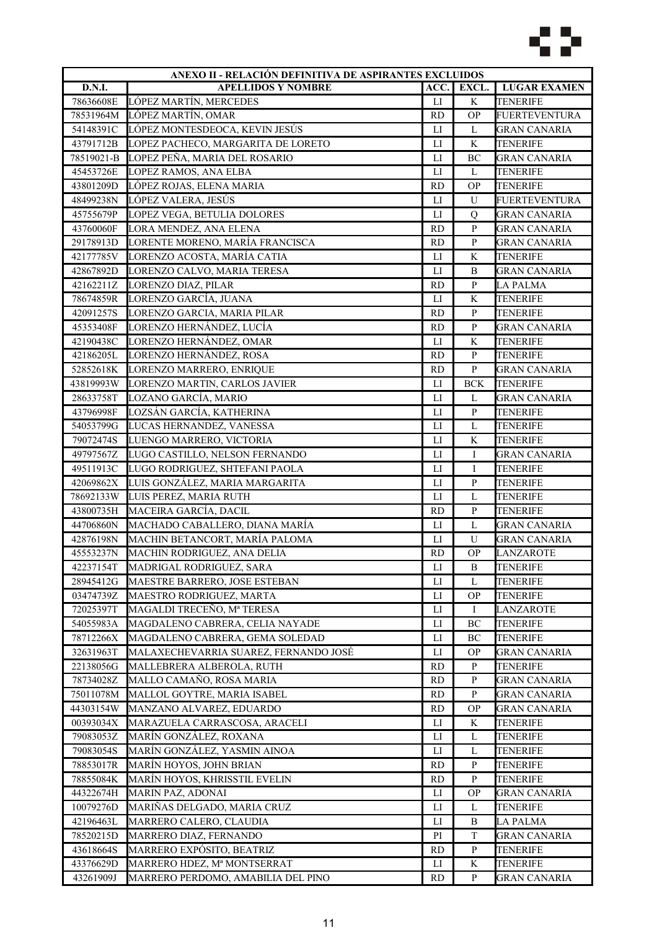

| ANEXO II - RELACIÓN DEFINITIVA DE ASPIRANTES EXCLUIDOS |                                       |                |              |                              |
|--------------------------------------------------------|---------------------------------------|----------------|--------------|------------------------------|
| D.N.I.                                                 | <b>APELLIDOS Y NOMBRE</b>             | ACC.           | EXCL.        | <b>LUGAR EXAMEN</b>          |
| 78636608E                                              | LÓPEZ MARTÍN, MERCEDES                | LI             | K            | <b>TENERIFE</b>              |
| 78531964M                                              | LÓPEZ MARTÍN, OMAR                    | <b>RD</b>      | <b>OP</b>    | <b>FUERTEVENTURA</b>         |
| 54148391C                                              | LÓPEZ MONTESDEOCA, KEVIN JESÚS        | LI             | L            | <b>GRAN CANARIA</b>          |
| 43791712B                                              | LOPEZ PACHECO, MARGARITA DE LORETO    | LI             | $\rm K$      | <b>TENERIFE</b>              |
| 78519021-B                                             | LOPEZ PEÑA, MARIA DEL ROSARIO         | $_{\text{LI}}$ | BC           | <b>GRAN CANARIA</b>          |
| 45453726E                                              | LOPEZ RAMOS, ANA ELBA                 | $_{\rm LI}$    | L            | <b>TENERIFE</b>              |
| 43801209D                                              | LÓPEZ ROJAS, ELENA MARIA              | <b>RD</b>      | <b>OP</b>    | <b>TENERIFE</b>              |
| 48499238N                                              | LÓPEZ VALERA, JESÚS                   | $_{\text{LI}}$ | U            | <b>FUERTEVENTURA</b>         |
| 45755679P                                              | LOPEZ VEGA, BETULIA DOLORES           | LI             | Q            | <b>GRAN CANARIA</b>          |
| 43760060F                                              | LORA MENDEZ, ANA ELENA                | <b>RD</b>      | $\, {\bf P}$ | <b>GRAN CANARIA</b>          |
| 29178913D                                              | LORENTE MORENO, MARÍA FRANCISCA       | <b>RD</b>      | $\mathbf{P}$ | <b>GRAN CANARIA</b>          |
| 42177785V                                              | LORENZO ACOSTA, MARÍA CATIA           | $_{\text{LI}}$ | K            | <b>TENERIFE</b>              |
| 42867892D                                              | LORENZO CALVO, MARIA TERESA           | LI             | $\, {\bf B}$ | <b>GRAN CANARIA</b>          |
| 42162211Z                                              | LORENZO DIAZ, PILAR                   | <b>RD</b>      | $\, {\bf p}$ | <b>LA PALMA</b>              |
| 78674859R                                              | LORENZO GARCÍA, JUANA                 | $_{\text{LI}}$ | K            | <b>TENERIFE</b>              |
| 42091257S                                              | LORENZO GARCIA, MARIA PILAR           | <b>RD</b>      | $\, {\bf p}$ | <b>TENERIFE</b>              |
| 45353408F                                              | LORENZO HERNÁNDEZ, LUCÍA              | <b>RD</b>      | $\, {\bf P}$ | <b>GRAN CANARIA</b>          |
| 42190438C                                              | LORENZO HERNÁNDEZ, OMAR               | LI             | K            | <b>TENERIFE</b>              |
| 42186205L                                              | LORENZO HERNÁNDEZ, ROSA               | <b>RD</b>      | $\mathbf{P}$ | <b>TENERIFE</b>              |
| 52852618K                                              | LORENZO MARRERO, ENRIQUE              | <b>RD</b>      | $\, {\bf p}$ | <b>GRAN CANARIA</b>          |
| 43819993W                                              | LORENZO MARTIN, CARLOS JAVIER         | LI             | <b>BCK</b>   | <b>TENERIFE</b>              |
| 28633758T                                              | LOZANO GARCÍA, MARIO                  | LI             | L            | <b>GRAN CANARIA</b>          |
| 43796998F                                              | LOZSÁN GARCÍA, KATHERINA              | $_{\rm LI}$    | ${\bf P}$    | <b>TENERIFE</b>              |
| 54053799G                                              | LUCAS HERNANDEZ, VANESSA              | $_{\text{LI}}$ | $\mathbf L$  | <b>TENERIFE</b>              |
| 79072474S                                              | LUENGO MARRERO, VICTORIA              | П              | K            | TENERIFE                     |
| 49797567Z                                              | LUGO CASTILLO, NELSON FERNANDO        | $_{\text{LI}}$ | Ι            | <b>GRAN CANARIA</b>          |
| 49511913C                                              | LUGO RODRIGUEZ, SHTEFANI PAOLA        | ${\rm LI}$     | I            | <b>TENERIFE</b>              |
| 42069862X                                              | LUIS GONZÁLEZ, MARIA MARGARITA        | $_{\text{LI}}$ | ${\bf P}$    | <b>TENERIFE</b>              |
| 78692133W                                              | LUIS PEREZ, MARIA RUTH                | LI             | L            | <b>TENERIFE</b>              |
| 43800735H                                              | MACEIRA GARCÍA, DACIL                 | <b>RD</b>      | $\, {\bf p}$ | <b>TENERIFE</b>              |
| 44706860N                                              | MACHADO CABALLERO, DIANA MARÍA        | $_{\text{LI}}$ | $\mathbf L$  | <b>GRAN CANARIA</b>          |
| 42876198N                                              | MACHIN BETANCORT, MARÍA PALOMA        | ${\rm LI}$     | $\mathbf U$  | <b>GRAN CANARIA</b>          |
| 45553237N                                              | MACHIN RODRIGUEZ, ANA DELIA           | <b>RD</b>      | <b>OP</b>    |                              |
|                                                        |                                       |                |              | LANZAROTE<br><b>TENERIFE</b> |
| 42237154T<br>28945412G                                 | MADRIGAL RODRIGUEZ, SARA              | ${\rm LI}$     | $\, {\bf B}$ |                              |
|                                                        | MAESTRE BARRERO, JOSE ESTEBAN         | $_{\text{LI}}$ | L            | <b>TENERIFE</b>              |
| 03474739Z                                              | MAESTRO RODRIGUEZ, MARTA              | LI             | <b>OP</b>    | <b>TENERIFE</b>              |
| 72025397T                                              | MAGALDI TRECEÑO, Mª TERESA            | $_{\rm LI}$    | L            | LANZAROTE<br><b>TENERIFE</b> |
| 54055983A                                              | MAGDALENO CABRERA, CELIA NAYADE       | LI             | BC           |                              |
| 78712266X                                              | MAGDALENO CABRERA, GEMA SOLEDAD       | $_{\rm LI}$    | BC           | TENERIFE                     |
| 32631963T                                              | MALAXECHEVARRIA SUAREZ, FERNANDO JOSÉ | $_{\rm LI}$    | <b>OP</b>    | GRAN CANARIA                 |
| 22138056G                                              | MALLEBRERA ALBEROLA, RUTH             | <b>RD</b>      | P            | TENERIFE                     |
| 78734028Z                                              | MALLO CAMAÑO, ROSA MARIA              | <b>RD</b>      | $\mathbf{P}$ | <b>GRAN CANARIA</b>          |
| 75011078M                                              | MALLOL GOYTRE, MARIA ISABEL           | <b>RD</b>      | P            | <b>GRAN CANARIA</b>          |
| 44303154W                                              | MANZANO ALVAREZ, EDUARDO              | <b>RD</b>      | <b>OP</b>    | <b>GRAN CANARIA</b>          |
| 00393034X                                              | MARAZUELA CARRASCOSA, ARACELI         | LI             | K            | <b>TENERIFE</b>              |
| 79083053Z                                              | MARÍN GONZÁLEZ, ROXANA                | П              | L            | TENERIFE                     |
| 79083054S                                              | MARÍN GONZÁLEZ, YASMIN AINOA          | LI             | L            | TENERIFE                     |
| 78853017R                                              | MARÍN HOYOS, JOHN BRIAN               | <b>RD</b>      | P            | TENERIFE                     |
| 78855084K                                              | MARÍN HOYOS, KHRISSTIL EVELIN         | <b>RD</b>      | P            | TENERIFE                     |
| 44322674H                                              | MARIN PAZ, ADONAI                     | LI             | <b>OP</b>    | <b>GRAN CANARIA</b>          |
| 10079276D                                              | MARIÑAS DELGADO, MARIA CRUZ           | LI             | L            | TENERIFE                     |
| 42196463L                                              | MARRERO CALERO, CLAUDIA               | LI             | B            | <b>LA PALMA</b>              |
| 78520215D                                              | MARRERO DIAZ, FERNANDO                | PI             | T            | <b>GRAN CANARIA</b>          |
| 43618664S                                              | MARRERO EXPÓSITO, BEATRIZ             | <b>RD</b>      | $\, {\bf P}$ | <b>TENERIFE</b>              |
| 43376629D                                              | MARRERO HDEZ, Mª MONTSERRAT           | LI             | K            | TENERIFE                     |
| 43261909J                                              | MARRERO PERDOMO, AMABILIA DEL PINO    | <b>RD</b>      | P            | <b>GRAN CANARIA</b>          |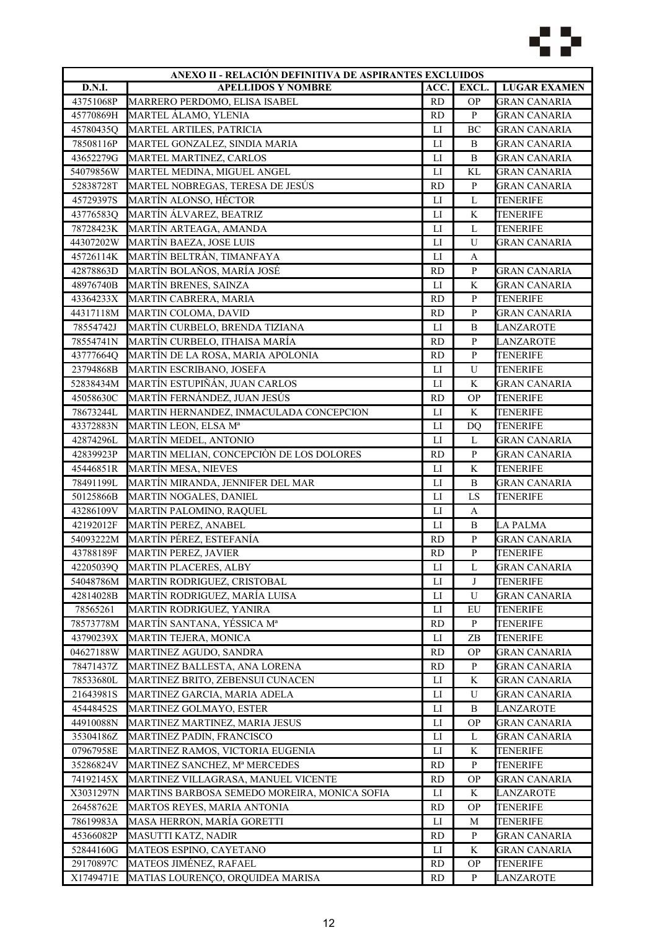

|                        | ANEXO II - RELACIÓN DEFINITIVA DE ASPIRANTES EXCLUIDOS |                |              |                     |  |
|------------------------|--------------------------------------------------------|----------------|--------------|---------------------|--|
| <b>D.N.I.</b>          | <b>APELLIDOS Y NOMBRE</b>                              | ACC.           | EXCL.        | <b>LUGAR EXAMEN</b> |  |
| 43751068P              | MARRERO PERDOMO, ELISA ISABEL                          | RD             | <b>OP</b>    | <b>GRAN CANARIA</b> |  |
| 45770869H              | MARTEL ÁLAMO, YLENIA                                   | RD             | $\mathbf{P}$ | <b>GRAN CANARIA</b> |  |
| 45780435Q              | MARTEL ARTILES, PATRICIA                               | LI             | BC           | <b>GRAN CANARIA</b> |  |
| 78508116P              | MARTEL GONZALEZ, SINDIA MARIA                          | $\mathbf{L}$   | B            | <b>GRAN CANARIA</b> |  |
| 43652279G              | MARTEL MARTINEZ, CARLOS                                | $_{\text{LI}}$ | B            | <b>GRAN CANARIA</b> |  |
| 54079856W              | MARTEL MEDINA, MIGUEL ANGEL                            | LI             | KL           | <b>GRAN CANARIA</b> |  |
| 52838728T              | MARTEL NOBREGAS, TERESA DE JESÚS                       | <b>RD</b>      | ${\bf P}$    | <b>GRAN CANARIA</b> |  |
| 45729397S              | MARTÍN ALONSO, HÉCTOR                                  | LI             | L            | <b>TENERIFE</b>     |  |
| 43776583Q              | MARTÍN ÁLVAREZ, BEATRIZ                                | LI             | K            | TENERIFE            |  |
| 78728423K              | MARTÍN ARTEAGA, AMANDA                                 | LI             | L            | <b>TENERIFE</b>     |  |
| 44307202W              | MARTÍN BAEZA, JOSE LUIS                                | $_{\text{LI}}$ | U            | <b>GRAN CANARIA</b> |  |
| 45726114K              | MARTÍN BELTRÁN, TIMANFAYA                              | ${\rm LI}$     | A            |                     |  |
| 42878863D              | MARTÍN BOLAÑOS, MARÍA JOSÉ                             | <b>RD</b>      | ${\bf P}$    | <b>GRAN CANARIA</b> |  |
| 48976740B              | MARTÍN BRENES, SAINZA                                  | LI             | $\mathbf K$  | <b>GRAN CANARIA</b> |  |
| 43364233X              | MARTIN CABRERA, MARIA                                  | <b>RD</b>      | $\mathbf{P}$ | <b>TENERIFE</b>     |  |
| 44317118M              | MARTIN COLOMA, DAVID                                   | <b>RD</b>      | ${\bf P}$    | <b>GRAN CANARIA</b> |  |
| 78554742J              | MARTÍN CURBELO, BRENDA TIZIANA                         | LI             | B            | LANZAROTE           |  |
| 78554741N              | MARTÍN CURBELO, ITHAISA MARÍA                          | <b>RD</b>      | $\mathbf{P}$ | LANZAROTE           |  |
| 43777664Q              | MARTÍN DE LA ROSA, MARIA APOLONIA                      | <b>RD</b>      | ${\bf P}$    | <b>TENERIFE</b>     |  |
| 23794868B              | MARTIN ESCRIBANO, JOSEFA                               | LI             | ${\bf U}$    | <b>TENERIFE</b>     |  |
| 52838434M              | MARTÍN ESTUPIÑÁN, JUAN CARLOS                          | LI             | K            | <b>GRAN CANARIA</b> |  |
| 45058630C              | MARTÍN FERNÁNDEZ, JUAN JESÚS                           | <b>RD</b>      | <b>OP</b>    | <b>TENERIFE</b>     |  |
| 78673244L              | MARTIN HERNANDEZ, INMACULADA CONCEPCION                | $_{\text{LI}}$ | K            | <b>TENERIFE</b>     |  |
| 43372883N              | MARTIN LEON, ELSA Mª                                   | $\mathbf{L}$   | <b>DQ</b>    | TENERIFE            |  |
| 42874296L              | MARTÍN MEDEL, ANTONIO                                  | LI             | L            | <b>GRAN CANARIA</b> |  |
| 42839923P              | MARTIN MELIAN, CONCEPCIÒN DE LOS DOLORES               | <b>RD</b>      | $\mathbf{P}$ | <b>GRAN CANARIA</b> |  |
| 45446851R              | MARTÍN MESA, NIEVES                                    | ${\rm LI}$     | K            | <b>TENERIFE</b>     |  |
| 78491199L              | MARTÍN MIRANDA, JENNIFER DEL MAR                       | LI             | B            | <b>GRAN CANARIA</b> |  |
| 50125866B              | MARTIN NOGALES, DANIEL                                 | LI             | LS           | <b>TENERIFE</b>     |  |
| 43286109V              | MARTIN PALOMINO, RAQUEL                                | $_{\text{LI}}$ | A            |                     |  |
| 42192012F              | MARTÍN PEREZ, ANABEL                                   | $\mathbf{L}$   | B            | <b>LA PALMA</b>     |  |
| 54093222M              | MARTÍN PÉREZ, ESTEFANÍA                                | RD             | ${\bf P}$    | <b>GRAN CANARIA</b> |  |
| 43788189F              | <b>MARTIN PEREZ, JAVIER</b>                            | <b>RD</b>      | ${\bf P}$    | <b>TENERIFE</b>     |  |
|                        | MARTIN PLACERES, ALBY                                  |                |              |                     |  |
| 42205039Q<br>54048786M |                                                        | ${\rm LI}$     | L            | <b>GRAN CANARIA</b> |  |
|                        | MARTIN RODRIGUEZ, CRISTOBAL                            | LI             | J            | <b>TENERIFE</b>     |  |
| 42814028B              | MARTÍN RODRIGUEZ, MARÍA LUISA                          | LI             | U            | <b>GRAN CANARIA</b> |  |
| 78565261               | MARTIN RODRIGUEZ, YANIRA                               | $_{\rm LI}$    | EU           | <b>TENERIFE</b>     |  |
| 78573778M              | MARTÍN SANTANA, YÉSSICA M <sup>a</sup>                 | <b>RD</b>      | P            | TENERIFE            |  |
| 43790239X              | MARTIN TEJERA, MONICA                                  | $_{\rm LI}$    | ZB           | TENERIFE            |  |
| 04627188W              | MARTINEZ AGUDO, SANDRA                                 | <b>RD</b>      | <b>OP</b>    | GRAN CANARIA        |  |
| 78471437Z              | MARTINEZ BALLESTA, ANA LORENA                          | <b>RD</b>      | P            | GRAN CANARIA        |  |
| 78533680L              | MARTINEZ BRITO, ZEBENSUI CUNACEN                       | LI             | K            | <b>GRAN CANARIA</b> |  |
| 21643981S              | MARTINEZ GARCIA, MARIA ADELA                           | ${\rm LI}$     | U            | <b>GRAN CANARIA</b> |  |
| 45448452S              | MARTINEZ GOLMAYO, ESTER                                | LI             | B            | <b>LANZAROTE</b>    |  |
| 44910088N              | MARTINEZ MARTINEZ, MARIA JESUS                         | LI             | <b>OP</b>    | <b>GRAN CANARIA</b> |  |
| 35304186Z              | MARTINEZ PADIN, FRANCISCO                              | $_{\rm LI}$    | L            | <b>GRAN CANARIA</b> |  |
| 07967958E              | MARTINEZ RAMOS, VICTORIA EUGENIA                       | ${\rm LI}$     | K            | TENERIFE            |  |
| 35286824V              | MARTINEZ SANCHEZ, Mª MERCEDES                          | RD             | P            | TENERIFE            |  |
| 74192145X              | MARTINEZ VILLAGRASA, MANUEL VICENTE                    | <b>RD</b>      | <b>OP</b>    | GRAN CANARIA        |  |
| X3031297N              | MARTINS BARBOSA SEMEDO MOREIRA, MONICA SOFIA           | $_{\rm LI}$    | K            | LANZAROTE           |  |
| 26458762E              | MARTOS REYES, MARIA ANTONIA                            | <b>RD</b>      | <b>OP</b>    | <b>TENERIFE</b>     |  |
| 78619983A              | MASA HERRON, MARÍA GORETTI                             | $_{\rm LI}$    | M            | <b>TENERIFE</b>     |  |
| 45366082P              | MASUTTI KATZ, NADIR                                    | <b>RD</b>      | $\mathbf{P}$ | <b>GRAN CANARIA</b> |  |
| 52844160G              | MATEOS ESPINO, CAYETANO                                | LI             | K            | <b>GRAN CANARIA</b> |  |
| 29170897C              | MATEOS JIMÉNEZ, RAFAEL                                 | <b>RD</b>      | <b>OP</b>    | TENERIFE            |  |
| X1749471E              | MATIAS LOURENÇO, ORQUIDEA MARISA                       | <b>RD</b>      | P            | LANZAROTE           |  |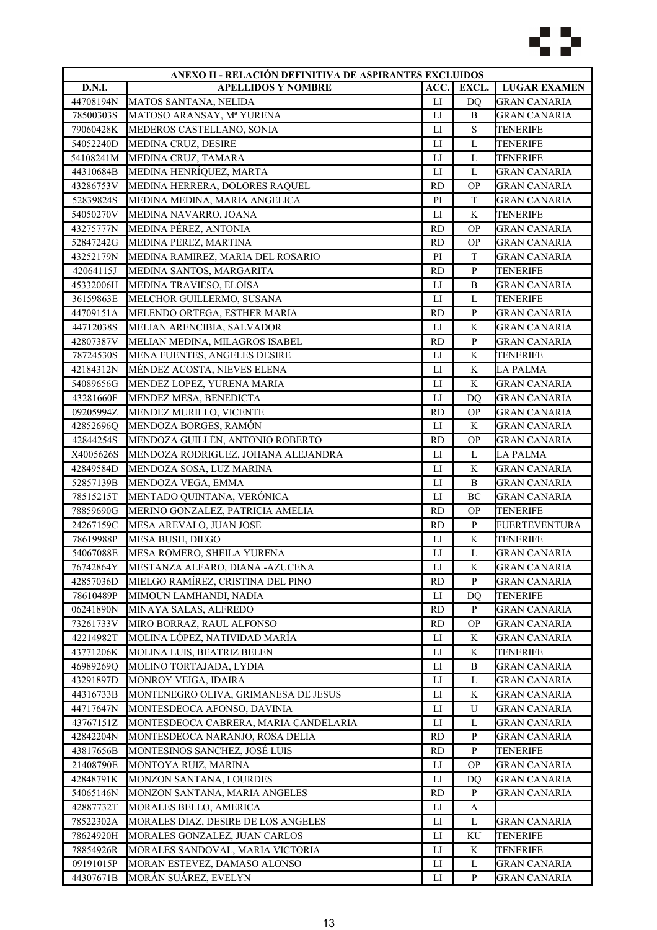

| ANEXO II - RELACIÓN DEFINITIVA DE ASPIRANTES EXCLUIDOS |                                       |                        |              |                      |
|--------------------------------------------------------|---------------------------------------|------------------------|--------------|----------------------|
| D.N.I.                                                 | <b>APELLIDOS Y NOMBRE</b>             | ACC.                   | EXCL.        | <b>LUGAR EXAMEN</b>  |
| 44708194N                                              | MATOS SANTANA, NELIDA                 | $_{\text{LI}}$         | DQ           | <b>GRAN CANARIA</b>  |
| 78500303S                                              | MATOSO ARANSAY, Mª YURENA             | $_{\text{LI}}$         | B            | <b>GRAN CANARIA</b>  |
| 79060428K                                              | MEDEROS CASTELLANO, SONIA             | LI                     | ${\bf S}$    | TENERIFE             |
| 54052240D                                              | MEDINA CRUZ, DESIRE                   | LI                     | L            | <b>TENERIFE</b>      |
| 54108241M                                              | MEDINA CRUZ, TAMARA                   | $_{\text{LI}}$         | L            | <b>TENERIFE</b>      |
| 44310684B                                              | MEDINA HENRÍQUEZ, MARTA               | LI                     | L            | <b>GRAN CANARIA</b>  |
| 43286753V                                              | MEDINA HERRERA, DOLORES RAQUEL        | <b>RD</b>              | <b>OP</b>    | <b>GRAN CANARIA</b>  |
| 52839824S                                              | MEDINA MEDINA, MARIA ANGELICA         | PI                     | T            | <b>GRAN CANARIA</b>  |
| 54050270V                                              | MEDINA NAVARRO, JOANA                 | $\mathbf{L}\mathbf{I}$ | K            | <b>TENERIFE</b>      |
| 43275777N                                              | MEDINA PÉREZ, ANTONIA                 | <b>RD</b>              | <b>OP</b>    | <b>GRAN CANARIA</b>  |
| 52847242G                                              | MEDINA PÉREZ, MARTINA                 | <b>RD</b>              | <b>OP</b>    | GRAN CANARIA         |
| 43252179N                                              | MEDINA RAMIREZ, MARIA DEL ROSARIO     | PI                     | $\mathbf T$  | <b>GRAN CANARIA</b>  |
| 42064115J                                              | MEDINA SANTOS, MARGARITA              | <b>RD</b>              | ${\bf P}$    | <b>TENERIFE</b>      |
| 45332006H                                              | MEDINA TRAVIESO, ELOÍSA               | LI                     | B            | <b>GRAN CANARIA</b>  |
| 36159863E                                              | MELCHOR GUILLERMO, SUSANA             | LI                     | L            | <b>TENERIFE</b>      |
| 44709151A                                              | MELENDO ORTEGA, ESTHER MARIA          | <b>RD</b>              | $\mathbf{P}$ | <b>GRAN CANARIA</b>  |
| 44712038S                                              | MELIAN ARENCIBIA, SALVADOR            | $_{\rm LI}$            | K            | <b>GRAN CANARIA</b>  |
| 42807387V                                              | MELIAN MEDINA, MILAGROS ISABEL        | <b>RD</b>              | $\mathbf{P}$ | <b>GRAN CANARIA</b>  |
| 78724530S                                              | MENA FUENTES, ANGELES DESIRE          | LI                     | K            | TENERIFE             |
| 42184312N                                              | MÉNDEZ ACOSTA, NIEVES ELENA           | LI                     | K            | <b>LA PALMA</b>      |
| 54089656G                                              | MENDEZ LOPEZ, YURENA MARIA            | $\mathbf{L}$           | K            | <b>GRAN CANARIA</b>  |
| 43281660F                                              | MENDEZ MESA, BENEDICTA                | LI                     | DO           | <b>GRAN CANARIA</b>  |
| 09205994Z                                              | MENDEZ MURILLO, VICENTE               | <b>RD</b>              | <b>OP</b>    | <b>GRAN CANARIA</b>  |
| 42852696Q                                              | MENDOZA BORGES, RAMÓN                 | LI                     | K            | <b>GRAN CANARIA</b>  |
| 42844254S                                              | MENDOZA GUILLÉN, ANTONIO ROBERTO      | <b>RD</b>              | <b>OP</b>    | <b>GRAN CANARIA</b>  |
| X4005626S                                              | MENDOZA RODRIGUEZ, JOHANA ALEJANDRA   | LI                     | L            | LA PALMA             |
| 42849584D                                              | MENDOZA SOSA, LUZ MARINA              | LI                     | K            | <b>GRAN CANARIA</b>  |
| 52857139B                                              | MENDOZA VEGA, EMMA                    | $\mathbf{L}$           | B            | <b>GRAN CANARIA</b>  |
| 78515215T                                              | MENTADO QUINTANA, VERÓNICA            | $_{\rm LI}$            | BC           | <b>GRAN CANARIA</b>  |
| 78859690G                                              | MERINO GONZALEZ, PATRICIA AMELIA      | <b>RD</b>              | <b>OP</b>    | <b>TENERIFE</b>      |
| 24267159C                                              | MESA AREVALO, JUAN JOSE               | <b>RD</b>              | $\mathbf{P}$ | <b>FUERTEVENTURA</b> |
| 78619988P                                              | MESA BUSH, DIEGO                      | $_{\rm LI}$            | K            | <b>TENERIFE</b>      |
| 54067088E                                              | MESA ROMERO, SHEILA YURENA            | LI                     | L            | <b>GRAN CANARIA</b>  |
| 76742864Y                                              | MESTANZA ALFARO, DIANA -AZUCENA       | LI                     | K            | <b>GRAN CANARIA</b>  |
| 42857036D                                              | MIELGO RAMÍREZ, CRISTINA DEL PINO     | <b>RD</b>              | P            | <b>GRAN CANARIA</b>  |
| 78610489P                                              | MIMOUN LAMHANDI, NADIA                | ${\rm LI}$             | DQ           | <b>TENERIFE</b>      |
| 06241890N                                              | MINAYA SALAS, ALFREDO                 | <b>RD</b>              | $\mathbf{P}$ | <b>GRAN CANARIA</b>  |
| 73261733V                                              | MIRO BORRAZ, RAUL ALFONSO             | <b>RD</b>              | <b>OP</b>    | <b>GRAN CANARIA</b>  |
| 42214982T                                              | MOLINA LÓPEZ, NATIVIDAD MARÍA         | LI                     | K            | <b>GRAN CANARIA</b>  |
| 43771206K                                              | MOLINA LUIS, BEATRIZ BELEN            | LI                     | K            | TENERIFE             |
| 46989269Q                                              | MOLINO TORTAJADA, LYDIA               | LI                     | B            | GRAN CANARIA         |
| 43291897D                                              | MONROY VEIGA, IDAIRA                  | LI                     | L            | <b>GRAN CANARIA</b>  |
| 44316733B                                              | MONTENEGRO OLIVA, GRIMANESA DE JESUS  | ${\rm LI}$             | K            | <b>GRAN CANARIA</b>  |
| 44717647N                                              | MONTESDEOCA AFONSO, DAVINIA           | ${\rm LI}$             | U            | <b>GRAN CANARIA</b>  |
| 43767151Z                                              | MONTESDEOCA CABRERA, MARIA CANDELARIA | LI                     | L            | <b>GRAN CANARIA</b>  |
| 42842204N                                              | MONTESDEOCA NARANJO, ROSA DELIA       | <b>RD</b>              | $\mathbf{P}$ | <b>GRAN CANARIA</b>  |
| 43817656B                                              | MONTESINOS SANCHEZ, JOSÉ LUIS         | RD                     | P            | TENERIFE             |
| 21408790E                                              | MONTOYA RUIZ, MARINA                  | LI                     | <b>OP</b>    | GRAN CANARIA         |
| 42848791K                                              | MONZON SANTANA, LOURDES               | LI                     | DO           | GRAN CANARIA         |
| 54065146N                                              | MONZON SANTANA, MARIA ANGELES         | <b>RD</b>              | P            | GRAN CANARIA         |
| 42887732T                                              | MORALES BELLO, AMERICA                | $_{\rm LI}$            | A            |                      |
| 78522302A                                              | MORALES DIAZ, DESIRE DE LOS ANGELES   | LI                     | L            | <b>GRAN CANARIA</b>  |
| 78624920H                                              | MORALES GONZALEZ, JUAN CARLOS         | $_{\rm LI}$            | KU           | <b>TENERIFE</b>      |
| 78854926R                                              | MORALES SANDOVAL, MARIA VICTORIA      | LI                     | K            | TENERIFE             |
| 09191015P                                              | MORAN ESTEVEZ, DAMASO ALONSO          | $_{\text{LI}}$         | L            | <b>GRAN CANARIA</b>  |
| 44307671B                                              | MORÁN SUÁREZ, EVELYN                  | LI                     | P            | GRAN CANARIA         |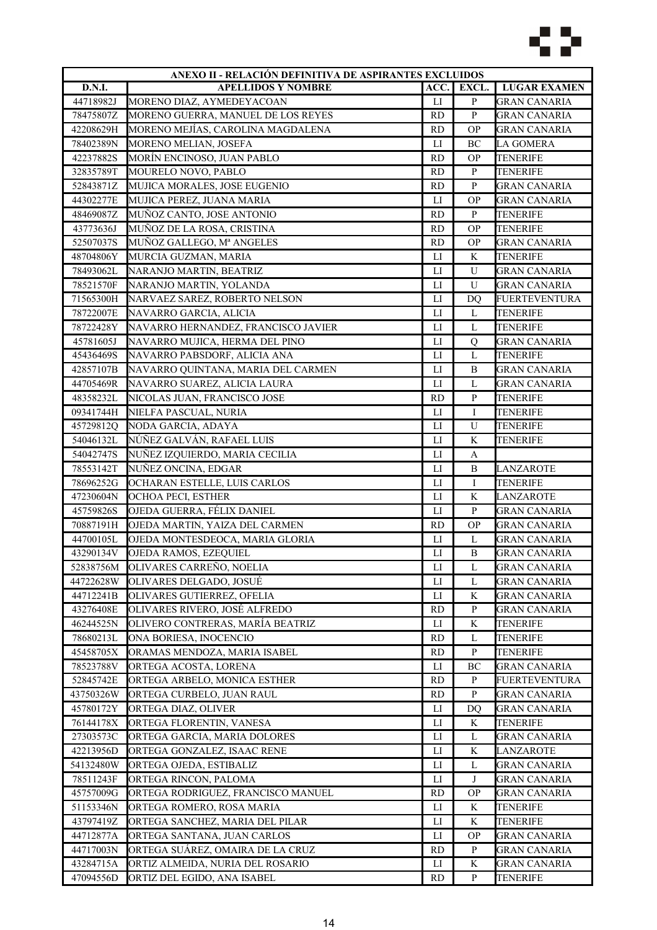

| ANEXO II - RELACIÓN DEFINITIVA DE ASPIRANTES EXCLUIDOS |                                                     |                |                   |                                 |
|--------------------------------------------------------|-----------------------------------------------------|----------------|-------------------|---------------------------------|
| D.N.I.                                                 | <b>APELLIDOS Y NOMBRE</b>                           | ACC.           | EXCL.             | <b>LUGAR EXAMEN</b>             |
| 44718982J                                              | MORENO DIAZ, AYMEDEYACOAN                           | LI             | $\, {\bf p}$      | <b>GRAN CANARIA</b>             |
| 78475807Z                                              | MORENO GUERRA, MANUEL DE LOS REYES                  | RD             | $\, {\bf P}$      | <b>GRAN CANARIA</b>             |
| 42208629H                                              | MORENO MEJÍAS, CAROLINA MAGDALENA                   | <b>RD</b>      | <b>OP</b>         | GRAN CANARIA                    |
| 78402389N                                              | MORENO MELIAN, JOSEFA                               | LI             | BC                | <b>LA GOMERA</b>                |
| 42237882S                                              | MORÍN ENCINOSO, JUAN PABLO                          | <b>RD</b>      | <b>OP</b>         | <b>TENERIFE</b>                 |
| 32835789T                                              | MOURELO NOVO, PABLO                                 | <b>RD</b>      | $\, {\bf P}$      | <b>TENERIFE</b>                 |
| 52843871Z                                              | MUJICA MORALES, JOSE EUGENIO                        | <b>RD</b>      | $\mathbf{P}$      | <b>GRAN CANARIA</b>             |
| 44302277E                                              | MUJICA PEREZ, JUANA MARIA                           | $_{\rm LI}$    | <b>OP</b>         | <b>GRAN CANARIA</b>             |
| 48469087Z                                              | MUÑOZ CANTO, JOSE ANTONIO                           | <b>RD</b>      | $\mathbf{P}$      | <b>TENERIFE</b>                 |
| 43773636J                                              | MUÑOZ DE LA ROSA, CRISTINA                          | <b>RD</b>      | <b>OP</b>         | TENERIFE                        |
| 52507037S                                              | MUÑOZ GALLEGO, Mª ANGELES                           | <b>RD</b>      | <b>OP</b>         | GRAN CANARIA                    |
| 48704806Y                                              | MURCIA GUZMAN, MARIA                                | LI             | K                 | <b>TENERIFE</b>                 |
| 78493062L                                              | NARANJO MARTIN, BEATRIZ                             | $_{\text{LI}}$ | U                 | <b>GRAN CANARIA</b>             |
| 78521570F                                              | NARANJO MARTIN, YOLANDA                             | LI             | U                 | <b>GRAN CANARIA</b>             |
| 71565300H                                              | NARVAEZ SAREZ, ROBERTO NELSON                       | LI             | D <sub>O</sub>    | <b>FUERTEVENTURA</b>            |
| 78722007E                                              | NAVARRO GARCIA, ALICIA                              | $_{\text{LI}}$ | L                 | <b>TENERIFE</b>                 |
| 78722428Y                                              | NAVARRO HERNANDEZ, FRANCISCO JAVIER                 | $_{\text{LI}}$ | L                 | TENERIFE                        |
| 45781605J                                              | NAVARRO MUJICA, HERMA DEL PINO                      | $_{\rm LI}$    | Q                 | GRAN CANARIA                    |
| 45436469S                                              | NAVARRO PABSDORF, ALICIA ANA                        | LI             | L                 | <b>TENERIFE</b>                 |
| 42857107B                                              | NAVARRO QUINTANA, MARIA DEL CARMEN                  | $_{\text{LI}}$ | B                 | <b>GRAN CANARIA</b>             |
| 44705469R                                              | NAVARRO SUAREZ, ALICIA LAURA                        | $_{\text{LI}}$ | L                 | <b>GRAN CANARIA</b>             |
| 48358232L                                              | NICOLAS JUAN, FRANCISCO JOSE                        | <b>RD</b>      | $\, {\bf p}$      | <b>TENERIFE</b>                 |
| 09341744H                                              | NIELFA PASCUAL, NURIA                               | $_{\rm LI}$    | I                 | <b>TENERIFE</b>                 |
| 45729812Q                                              | NODA GARCIA, ADAYA                                  | $_{\text{LI}}$ | U                 | <b>TENERIFE</b>                 |
| 54046132L                                              | NÚÑEZ GALVÁN, RAFAEL LUIS                           | LI             | K                 | TENERIFE                        |
| 54042747S                                              | NUÑEZ IZQUIERDO, MARIA CECILIA                      | LI             | A                 |                                 |
| 78553142T                                              | NUÑEZ ONCINA, EDGAR                                 | LI             | B                 | <b>LANZAROTE</b>                |
| 78696252G                                              | OCHARAN ESTELLE, LUIS CARLOS                        | $_{\text{LI}}$ | I                 | <b>TENERIFE</b>                 |
| 47230604N                                              | OCHOA PECI, ESTHER                                  | LI             | K                 | <b>LANZAROTE</b>                |
| 45759826S                                              | OJEDA GUERRA, FÉLIX DANIEL                          | LI             | $\, {\bf P}$      | <b>GRAN CANARIA</b>             |
| 70887191H                                              | OJEDA MARTIN, YAIZA DEL CARMEN                      | <b>RD</b>      | <b>OP</b>         | <b>GRAN CANARIA</b>             |
| 44700105L                                              | OJEDA MONTESDEOCA, MARIA GLORIA                     | $_{\text{LI}}$ | L                 | <b>GRAN CANARIA</b>             |
| 43290134V                                              | OJEDA RAMOS, EZEQUIEL                               | LI             | B                 | <b>GRAN CANARIA</b>             |
|                                                        |                                                     | LI             | L                 | <b>GRAN CANARIA</b>             |
| 52838756M<br>44722628W                                 | OLIVARES CARRENO, NOELIA<br>OLIVARES DELGADO, JOSUÉ | $_{\rm LI}$    | L                 | <b>GRAN CANARIA</b>             |
| 44712241B                                              | OLIVARES GUTIERREZ, OFELIA                          | ${\rm LI}$     | K                 | <b>GRAN CANARIA</b>             |
| 43276408E                                              | OLIVARES RIVERO, JOSÉ ALFREDO                       |                | $\mathbf{P}$      |                                 |
|                                                        |                                                     | <b>RD</b>      |                   | GRAN CANARIA<br><b>TENERIFE</b> |
| 46244525N                                              | OLIVERO CONTRERAS, MARÍA BEATRIZ                    | $_{\rm LI}$    | K                 |                                 |
| 78680213L                                              | ONA BORIESA, INOCENCIO                              | <b>RD</b>      | L<br>$\mathbf{P}$ | TENERIFE                        |
| 45458705X                                              | ORAMAS MENDOZA, MARIA ISABEL                        | <b>RD</b>      |                   | <b>TENERIFE</b>                 |
| 78523788V                                              | ORTEGA ACOSTA, LORENA                               | LI             | BC                | GRAN CANARIA                    |
| 52845742E                                              | ORTEGA ARBELO, MONICA ESTHER                        | <b>RD</b>      | P                 | FUERTEVENTURA                   |
| 43750326W                                              | ORTEGA CURBELO, JUAN RAUL                           | <b>RD</b>      | $\mathbf{P}$      | <b>GRAN CANARIA</b>             |
| 45780172Y                                              | ORTEGA DIAZ, OLIVER                                 | LI             | DQ                | <b>GRAN CANARIA</b>             |
| 76144178X                                              | ORTEGA FLORENTIN, VANESA                            | LI             | K                 | <b>TENERIFE</b>                 |
| 27303573C                                              | ORTEGA GARCIA, MARIA DOLORES                        | LI             | L                 | <b>GRAN CANARIA</b>             |
| 42213956D                                              | ORTEGA GONZALEZ, ISAAC RENE                         | П              | K                 | LANZAROTE                       |
| 54132480W                                              | ORTEGA OJEDA, ESTIBALIZ                             | LI             | L                 | GRAN CANARIA                    |
| 78511243F                                              | ORTEGA RINCON, PALOMA                               | П              | J                 | GRAN CANARIA                    |
| 45757009G                                              | ORTEGA RODRIGUEZ, FRANCISCO MANUEL                  | <b>RD</b>      | <b>OP</b>         | GRAN CANARIA                    |
| 51153346N                                              | ORTEGA ROMERO, ROSA MARIA                           | LI             | K                 | <b>TENERIFE</b>                 |
| 43797419Z                                              | ORTEGA SANCHEZ, MARIA DEL PILAR                     | LI             | K                 | <b>TENERIFE</b>                 |
| 44712877A                                              | ORTEGA SANTANA, JUAN CARLOS                         | LI             | <b>OP</b>         | <b>GRAN CANARIA</b>             |
| 44717003N                                              | ORTEGA SUÁREZ, OMAIRA DE LA CRUZ                    | <b>RD</b>      | $\mathbf{P}$      | GRAN CANARIA                    |
| 43284715A                                              | ORTIZ ALMEIDA, NURIA DEL ROSARIO                    | П              | K                 | <b>GRAN CANARIA</b>             |
| 47094556D                                              | ORTIZ DEL EGIDO, ANA ISABEL                         | <b>RD</b>      | $\mathbf{P}$      | TENERIFE                        |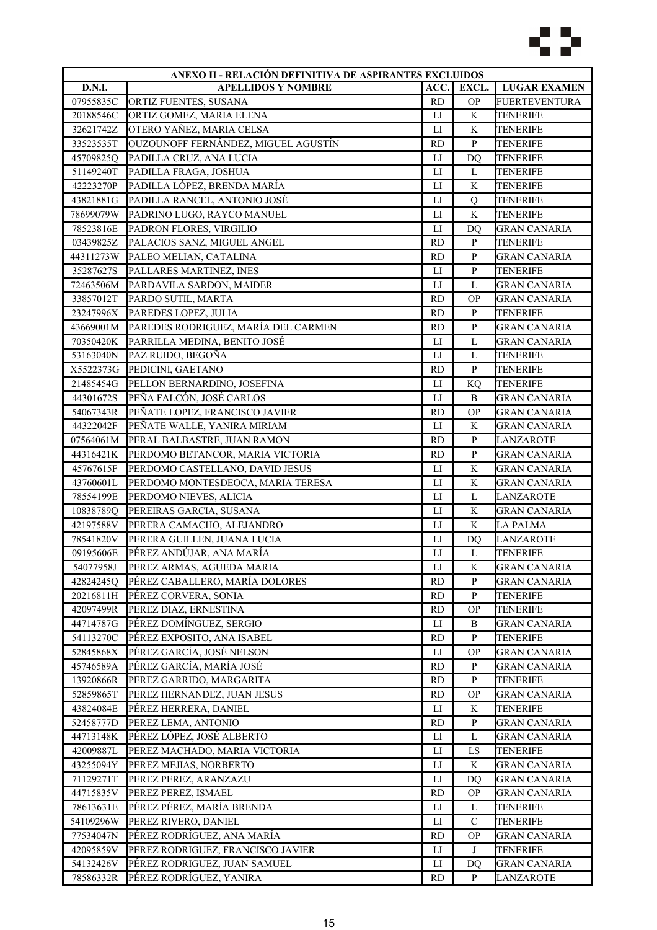

| ANEXO II - RELACIÓN DEFINITIVA DE ASPIRANTES EXCLUIDOS |                                     |                |               |                      |
|--------------------------------------------------------|-------------------------------------|----------------|---------------|----------------------|
| D.N.I.                                                 | <b>APELLIDOS Y NOMBRE</b>           | ACC.           | EXCL.         | <b>LUGAR EXAMEN</b>  |
| 07955835C                                              | ORTIZ FUENTES, SUSANA               | <b>RD</b>      | <b>OP</b>     | <b>FUERTEVENTURA</b> |
| 20188546C                                              | ORTIZ GOMEZ, MARIA ELENA            | LI             | K             | <b>TENERIFE</b>      |
| 32621742Z                                              | OTERO YAÑEZ, MARIA CELSA            | $_{\text{LI}}$ | K             | <b>TENERIFE</b>      |
| 33523535T                                              | OUZOUNOFF FERNÁNDEZ, MIGUEL AGUSTÍN | <b>RD</b>      | $\mathbf{P}$  | <b>TENERIFE</b>      |
| 45709825Q                                              | PADILLA CRUZ, ANA LUCIA             | ${\rm LI}$     | <b>DQ</b>     | <b>TENERIFE</b>      |
| 51149240T                                              | PADILLA FRAGA, JOSHUA               | LI             | L             | <b>TENERIFE</b>      |
| 42223270P                                              | PADILLA LÓPEZ, BRENDA MARÍA         | LI             | K             | <b>TENERIFE</b>      |
| 43821881G                                              | PADILLA RANCEL, ANTONIO JOSÉ        | $_{\rm LI}$    | Q             | <b>TENERIFE</b>      |
| 78699079W                                              | PADRINO LUGO, RAYCO MANUEL          | ${\rm LI}$     | $\rm K$       | <b>TENERIFE</b>      |
| 78523816E                                              | PADRON FLORES, VIRGILIO             | LI             | DO            | <b>GRAN CANARIA</b>  |
| 03439825Z                                              | PALACIOS SANZ, MIGUEL ANGEL         | <b>RD</b>      | ${\bf P}$     | TENERIFE             |
| 44311273W                                              | PALEO MELIAN, CATALINA              | <b>RD</b>      | ${\bf P}$     | <b>GRAN CANARIA</b>  |
| 35287627S                                              | PALLARES MARTINEZ, INES             | LI             | $\, {\bf p}$  | <b>TENERIFE</b>      |
| 72463506M                                              | PARDAVILA SARDON, MAIDER            | LI             | L             | <b>GRAN CANARIA</b>  |
| 33857012T                                              | PARDO SUTIL, MARTA                  | <b>RD</b>      | <b>OP</b>     | <b>GRAN CANARIA</b>  |
| 23247996X                                              | PAREDES LOPEZ, JULIA                | <b>RD</b>      | ${\bf P}$     | <b>TENERIFE</b>      |
| 43669001M                                              | PAREDES RODRIGUEZ, MARÍA DEL CARMEN | <b>RD</b>      | ${\bf P}$     | <b>GRAN CANARIA</b>  |
|                                                        | PARRILLA MEDINA, BENITO JOSÉ        | LI             | L             |                      |
| 70350420K                                              |                                     |                |               | <b>GRAN CANARIA</b>  |
| 53163040N                                              | PAZ RUIDO, BEGOÑA                   | LI             | L             | <b>TENERIFE</b>      |
| X5522373G                                              | PEDICINI, GAETANO                   | <b>RD</b>      | ${\bf P}$     | <b>TENERIFE</b>      |
| 21485454G                                              | PELLON BERNARDINO, JOSEFINA         | LI             | KQ            | <b>TENERIFE</b>      |
| 44301672S                                              | PEÑA FALCÓN, JOSÉ CARLOS            | LI             | $\, {\bf B}$  | <b>GRAN CANARIA</b>  |
| 54067343R                                              | PEÑATE LOPEZ, FRANCISCO JAVIER      | <b>RD</b>      | <b>OP</b>     | <b>GRAN CANARIA</b>  |
| 44322042F                                              | PEÑATE WALLE, YANIRA MIRIAM         | $\mathbf{L}$   | K             | <b>GRAN CANARIA</b>  |
| 07564061M                                              | PERAL BALBASTRE, JUAN RAMON         | <b>RD</b>      | ${\bf P}$     | LANZAROTE            |
| 44316421K                                              | PERDOMO BETANCOR, MARIA VICTORIA    | <b>RD</b>      | $\mathbf{P}$  | <b>GRAN CANARIA</b>  |
| 45767615F                                              | PERDOMO CASTELLANO, DAVID JESUS     | $_{\rm LI}$    | K             | <b>GRAN CANARIA</b>  |
| 43760601L                                              | PERDOMO MONTESDEOCA, MARIA TERESA   | $\mathbf{L}$   | $\mathbf K$   | <b>GRAN CANARIA</b>  |
| 78554199E                                              | PERDOMO NIEVES, ALICIA              | LI             | L             | <b>LANZAROTE</b>     |
| 10838789Q                                              | PEREIRAS GARCIA, SUSANA             | LI             | K             | <b>GRAN CANARIA</b>  |
| 42197588V                                              | PERERA CAMACHO, ALEJANDRO           | LI             | K             | <b>LA PALMA</b>      |
| 78541820V                                              | PERERA GUILLEN, JUANA LUCIA         | ${\rm LI}$     | DQ            | LANZAROTE            |
| 09195606E                                              | PÉREZ ANDÚJAR, ANA MARÍA            | LI             | L             | <b>TENERIFE</b>      |
| 54077958J                                              | PEREZ ARMAS, AGUEDA MARIA           | LI             | K             | <b>GRAN CANARIA</b>  |
| 42824245Q                                              | PÉREZ CABALLERO, MARÍA DOLORES      | <b>RD</b>      | P             | <b>GRAN CANARIA</b>  |
| 20216811H                                              | PÉREZ CORVERA, SONIA                | <b>RD</b>      | $\mathbf{P}$  | <b>TENERIFE</b>      |
| 42097499R                                              | PEREZ DIAZ, ERNESTINA               | RD             | <b>OP</b>     | <b>TENERIFE</b>      |
| 44714787G                                              | PÉREZ DOMÍNGUEZ, SERGIO             | LI             | B             | <b>GRAN CANARIA</b>  |
| 54113270C                                              | PÉREZ EXPOSITO, ANA ISABEL          | <b>RD</b>      | P             | <b>TENERIFE</b>      |
| 52845868X                                              | PÉREZ GARCÍA, JOSÉ NELSON           | LI             | <b>OP</b>     | <b>GRAN CANARIA</b>  |
| 45746589A                                              | PÉREZ GARCÍA, MARÍA JOSÉ            | <b>RD</b>      | P             | GRAN CANARIA         |
| 13920866R                                              | PEREZ GARRIDO, MARGARITA            | <b>RD</b>      | P             | <b>TENERIFE</b>      |
| 52859865T                                              | PEREZ HERNANDEZ, JUAN JESUS         | <b>RD</b>      | <b>OP</b>     | <b>GRAN CANARIA</b>  |
| 43824084E                                              | PÉREZ HERRERA, DANIEL               | LI             | K             | TENERIFE             |
| 52458777D                                              | PEREZ LEMA, ANTONIO                 | <b>RD</b>      | $\mathbf{P}$  | <b>GRAN CANARIA</b>  |
| 44713148K                                              | PÉREZ LÓPEZ, JOSÉ ALBERTO           | $_{\rm LI}$    | L             | <b>GRAN CANARIA</b>  |
| 42009887L                                              | PEREZ MACHADO, MARIA VICTORIA       | $_{\rm LI}$    | LS            | TENERIFE             |
| 43255094Y                                              | PEREZ MEJIAS, NORBERTO              | LI             | K             | GRAN CANARIA         |
|                                                        |                                     |                |               |                      |
| 71129271T                                              | PEREZ PEREZ, ARANZAZU               | LI             | DO            | GRAN CANARIA         |
| 44715835V                                              | PEREZ PEREZ, ISMAEL                 | <b>RD</b>      | <b>OP</b>     | <b>GRAN CANARIA</b>  |
| 78613631E                                              | PÉREZ PÉREZ, MARÍA BRENDA           | ${\rm LI}$     | L             | <b>TENERIFE</b>      |
| 54109296W                                              | PEREZ RIVERO, DANIEL                | LI             | $\mathcal{C}$ | <b>TENERIFE</b>      |
| 77534047N                                              | PÉREZ RODRÍGUEZ, ANA MARÍA          | <b>RD</b>      | <b>OP</b>     | <b>GRAN CANARIA</b>  |
| 42095859V                                              | PEREZ RODRIGUEZ, FRANCISCO JAVIER   | $_{\rm LI}$    | J             | <b>TENERIFE</b>      |
| 54132426V                                              | PÉREZ RODRIGUEZ, JUAN SAMUEL        | $_{\rm LI}$    | DQ            | <b>GRAN CANARIA</b>  |
| 78586332R                                              | PÉREZ RODRÍGUEZ, YANIRA             | <b>RD</b>      | P             | LANZAROTE            |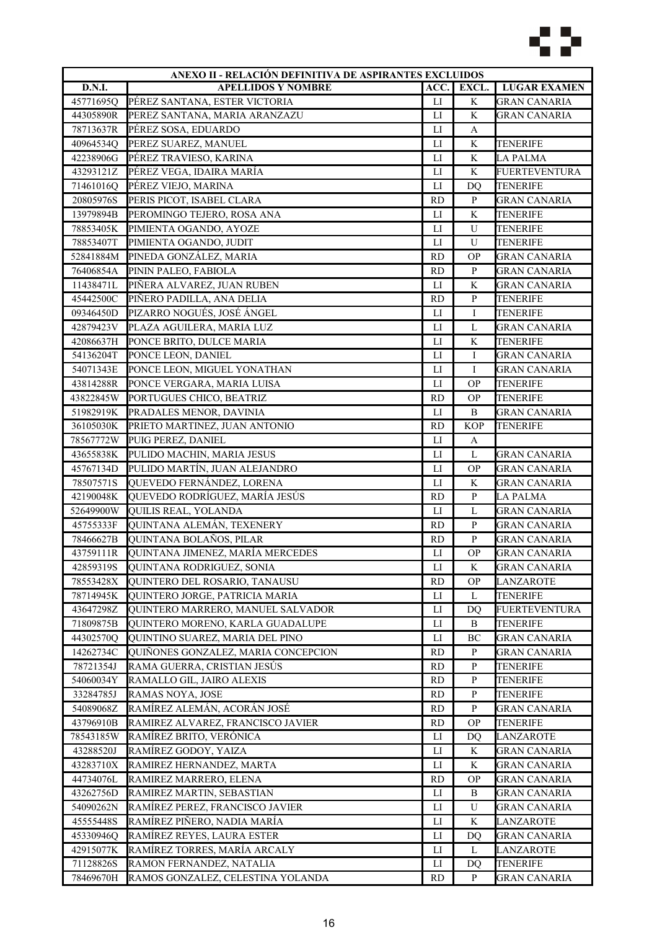

| ANEXO II - RELACIÓN DEFINITIVA DE ASPIRANTES EXCLUIDOS |                                     |                        |                |                      |
|--------------------------------------------------------|-------------------------------------|------------------------|----------------|----------------------|
| <b>D.N.I.</b>                                          | <b>APELLIDOS Y NOMBRE</b>           | ACC.                   | EXCL.          | <b>LUGAR EXAMEN</b>  |
| 45771695Q                                              | PÉREZ SANTANA, ESTER VICTORIA       | LI                     | K              | <b>GRAN CANARIA</b>  |
| 44305890R                                              | PEREZ SANTANA, MARIA ARANZAZU       | $_{\text{LI}}$         | K              | GRAN CANARIA         |
| 78713637R                                              | PÉREZ SOSA, EDUARDO                 | LI                     | A              |                      |
| 40964534Q                                              | PEREZ SUAREZ, MANUEL                | $\mathbf{L}\mathbf{I}$ | $\rm K$        | <b>TENERIFE</b>      |
| 42238906G                                              | PÉREZ TRAVIESO, KARINA              | $_{\text{LI}}$         | K              | <b>LA PALMA</b>      |
| 43293121Z                                              | PÉREZ VEGA, IDAIRA MARÍA            | LI                     | K              | <b>FUERTEVENTURA</b> |
| 71461016Q                                              | PÉREZ VIEJO, MARINA                 | $_{\text{LI}}$         | D <sub>O</sub> | <b>TENERIFE</b>      |
| 20805976S                                              | PERIS PICOT, ISABEL CLARA           | <b>RD</b>              | $\mathbf{P}$   | <b>GRAN CANARIA</b>  |
| 13979894B                                              | PEROMINGO TEJERO, ROSA ANA          | LI                     | K              | TENERIFE             |
| 78853405K                                              | PIMIENTA OGANDO, AYOZE              | LI                     | U              | TENERIFE             |
| 78853407T                                              | PIMIENTA OGANDO, JUDIT              | LI                     | U              | <b>TENERIFE</b>      |
| 52841884M                                              | PINEDA GONZÁLEZ, MARIA              | <b>RD</b>              | <b>OP</b>      | <b>GRAN CANARIA</b>  |
| 76406854A                                              | PININ PALEO, FABIOLA                | <b>RD</b>              | $\mathbf{P}$   | <b>GRAN CANARIA</b>  |
| 11438471L                                              | PIÑERA ALVAREZ, JUAN RUBEN          | LI                     | $\mathbf K$    | <b>GRAN CANARIA</b>  |
| 45442500C                                              | PIÑERO PADILLA, ANA DELIA           | <b>RD</b>              | $\mathbf{P}$   | <b>TENERIFE</b>      |
|                                                        | PIZARRO NOGUÉS, JOSÉ ÁNGEL          |                        | $\mathbf I$    |                      |
| 09346450D                                              |                                     | $_{\rm LI}$            |                | TENERIFE             |
| 42879423V                                              | PLAZA AGUILERA, MARIA LUZ           | LI                     | L              | GRAN CANARIA         |
| 42086637H                                              | PONCE BRITO, DULCE MARIA            | LI                     | K              | <b>TENERIFE</b>      |
| 54136204T                                              | PONCE LEON, DANIEL                  | LI                     | I              | <b>GRAN CANARIA</b>  |
| 54071343E                                              | PONCE LEON, MIGUEL YONATHAN         | LI                     | I              | <b>GRAN CANARIA</b>  |
| 43814288R                                              | PONCE VERGARA, MARIA LUISA          | LI                     | <b>OP</b>      | <b>TENERIFE</b>      |
| 43822845W                                              | PORTUGUES CHICO, BEATRIZ            | <b>RD</b>              | <b>OP</b>      | <b>TENERIFE</b>      |
| 51982919K                                              | PRADALES MENOR, DAVINIA             | LI                     | B              | <b>GRAN CANARIA</b>  |
| 36105030K                                              | PRIETO MARTINEZ, JUAN ANTONIO       | <b>RD</b>              | <b>KOP</b>     | TENERIFE             |
| 78567772W                                              | PUIG PEREZ, DANIEL                  | LI                     | A              |                      |
| 43655838K                                              | PULIDO MACHIN, MARIA JESUS          | LI                     | L              | <b>GRAN CANARIA</b>  |
| 45767134D                                              | PULIDO MARTÍN, JUAN ALEJANDRO       | ${\rm LI}$             | $\mathbf{OP}$  | <b>GRAN CANARIA</b>  |
| 78507571S                                              | QUEVEDO FERNÁNDEZ, LORENA           | LI                     | K              | <b>GRAN CANARIA</b>  |
| 42190048K                                              | QUEVEDO RODRÍGUEZ, MARÍA JESÚS      | <b>RD</b>              | ${\bf P}$      | <b>LA PALMA</b>      |
| 52649900W                                              | <b>QUILIS REAL, YOLANDA</b>         | LI                     | $\mathbf L$    | <b>GRAN CANARIA</b>  |
| 45755333F                                              | QUINTANA ALEMÁN, TEXENERY           | <b>RD</b>              | ${\bf P}$      | <b>GRAN CANARIA</b>  |
| 78466627B                                              | QUINTANA BOLAÑOS, PILAR             | RD                     | ${\bf P}$      | <b>GRAN CANARIA</b>  |
| 43759111R                                              | QUINTANA JIMENEZ, MARÍA MERCEDES    | LI                     | <b>OP</b>      | GRAN CANARIA         |
| 42859319S                                              | QUINTANA RODRIGUEZ, SONIA           | ${\rm LI}$             | K              | <b>GRAN CANARIA</b>  |
| 78553428X                                              | QUINTERO DEL ROSARIO, TANAUSU       | <b>RD</b>              | <b>OP</b>      | LANZAROTE            |
| 78714945K                                              | QUINTERO JORGE, PATRICIA MARIA      | LI                     | L              | <b>TENERIFE</b>      |
| 43647298Z                                              | QUINTERO MARRERO, MANUEL SALVADOR   | LI                     | D <sub>O</sub> | <b>FUERTEVENTURA</b> |
| 71809875B                                              | QUINTERO MORENO, KARLA GUADALUPE    | LI                     | B              | TENERIFE             |
| 44302570Q                                              | QUINTINO SUAREZ, MARIA DEL PINO     | $_{\rm LI}$            | BC             | <b>GRAN CANARIA</b>  |
| 14262734C                                              | QUIÑONES GONZALEZ, MARIA CONCEPCION | <b>RD</b>              | ${\bf P}$      | GRAN CANARIA         |
| 78721354J                                              | RAMA GUERRA, CRISTIAN JESÚS         | <b>RD</b>              | P              | TENERIFE             |
| 54060034Y                                              | RAMALLO GIL, JAIRO ALEXIS           | <b>RD</b>              | P              | <b>TENERIFE</b>      |
| 33284785J                                              | RAMAS NOYA, JOSE                    | RD                     | $\mathbf{P}$   | <b>TENERIFE</b>      |
| 54089068Z                                              | RAMÍREZ ALEMÁN, ACORÁN JOSÉ         | <b>RD</b>              | P              | <b>GRAN CANARIA</b>  |
| 43796910B                                              | RAMIREZ ALVAREZ, FRANCISCO JAVIER   | <b>RD</b>              | <b>OP</b>      | <b>TENERIFE</b>      |
|                                                        |                                     |                        |                |                      |
| 78543185W                                              | RAMÍREZ BRITO, VERÓNICA             | $_{\rm LI}$            | DO             | LANZAROTE            |
| 43288520J                                              | RAMÍREZ GODOY, YAIZA                | LI                     | K              | <b>GRAN CANARIA</b>  |
| 43283710X                                              | RAMIREZ HERNANDEZ, MARTA            | LI                     | K              | GRAN CANARIA         |
| 44734076L                                              | RAMIREZ MARRERO, ELENA              | <b>RD</b>              | <b>OP</b>      | GRAN CANARIA         |
| 43262756D                                              | RAMIREZ MARTIN, SEBASTIAN           | $_{\rm LI}$            | B              | <b>GRAN CANARIA</b>  |
| 54090262N                                              | RAMÍREZ PEREZ, FRANCISCO JAVIER     | LI                     | U              | <b>GRAN CANARIA</b>  |
| 45555448S                                              | RAMÍREZ PIÑERO, NADIA MARÍA         | LI                     | K              | <b>LANZAROTE</b>     |
| 45330946Q                                              | RAMÍREZ REYES, LAURA ESTER          | LI                     | DO             | <b>GRAN CANARIA</b>  |
| 42915077K                                              | RAMÍREZ TORRES, MARÍA ARCALY        | $_{\rm LI}$            | L              | LANZAROTE            |
| 71128826S                                              | RAMON FERNANDEZ, NATALIA            | П                      | DQ             | TENERIFE             |
| 78469670H                                              | RAMOS GONZALEZ, CELESTINA YOLANDA   | <b>RD</b>              | P              | <b>GRAN CANARIA</b>  |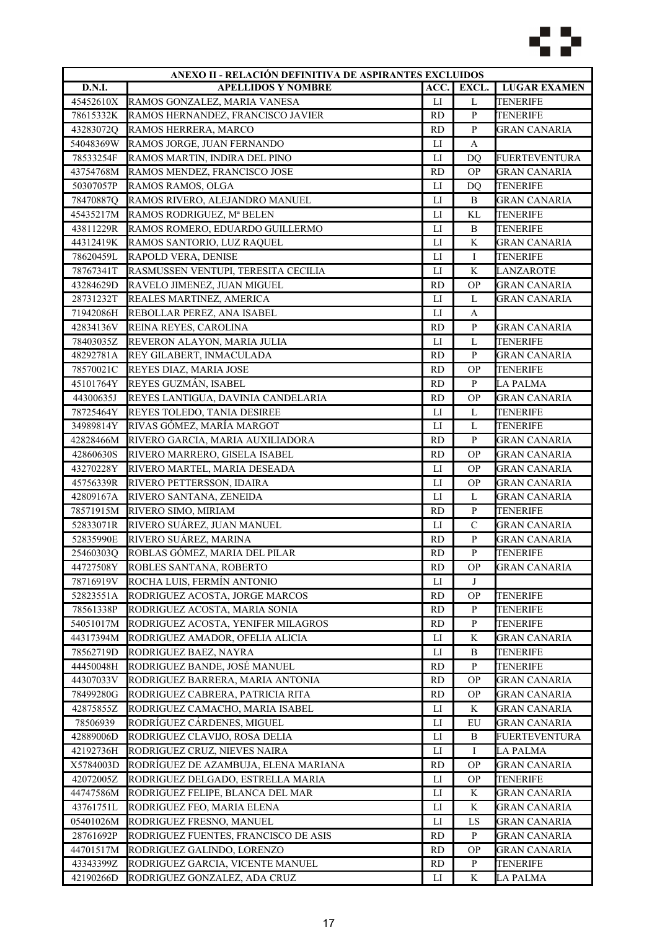

| ANEXO II - RELACIÓN DEFINITIVA DE ASPIRANTES EXCLUIDOS |                                      |                        |                |                      |
|--------------------------------------------------------|--------------------------------------|------------------------|----------------|----------------------|
| D.N.I.                                                 | <b>APELLIDOS Y NOMBRE</b>            | ACC.                   | EXCL.          | <b>LUGAR EXAMEN</b>  |
| 45452610X                                              | RAMOS GONZALEZ, MARIA VANESA         | LI                     | L              | <b>TENERIFE</b>      |
| 78615332K                                              | RAMOS HERNANDEZ, FRANCISCO JAVIER    | <b>RD</b>              | ${\bf P}$      | <b>TENERIFE</b>      |
| 43283072Q                                              | RAMOS HERRERA, MARCO                 | <b>RD</b>              | ${\bf P}$      | <b>GRAN CANARIA</b>  |
| 54048369W                                              | RAMOS JORGE, JUAN FERNANDO           | LI                     | A              |                      |
| 78533254F                                              | RAMOS MARTIN, INDIRA DEL PINO        | ${\rm LI}$             | DQ             | <b>FUERTEVENTURA</b> |
| 43754768M                                              | RAMOS MENDEZ, FRANCISCO JOSE         | <b>RD</b>              | <b>OP</b>      | <b>GRAN CANARIA</b>  |
| 50307057P                                              | RAMOS RAMOS, OLGA                    | LI                     | D <sub>O</sub> | <b>TENERIFE</b>      |
| 78470887Q                                              | RAMOS RIVERO, ALEJANDRO MANUEL       | $_{\rm LI}$            | B              | <b>GRAN CANARIA</b>  |
| 45435217M                                              | RAMOS RODRIGUEZ, Mª BELEN            | $\mathbf{L}\mathbf{I}$ | KL             | TENERIFE             |
| 43811229R                                              | RAMOS ROMERO, EDUARDO GUILLERMO      | LI                     | B              | <b>TENERIFE</b>      |
| 44312419K                                              | RAMOS SANTORIO, LUZ RAQUEL           | LI                     | K              | <b>GRAN CANARIA</b>  |
| 78620459L                                              | RAPOLD VERA, DENISE                  | $_{\text{LI}}$         | I              | <b>TENERIFE</b>      |
| 78767341T                                              | RASMUSSEN VENTUPI, TERESITA CECILIA  | LI                     | K              | <b>LANZAROTE</b>     |
| 43284629D                                              | RAVELO JIMENEZ, JUAN MIGUEL          | <b>RD</b>              | <b>OP</b>      | <b>GRAN CANARIA</b>  |
| 28731232T                                              | REALES MARTINEZ, AMERICA             | LI                     | L              | <b>GRAN CANARIA</b>  |
| 71942086H                                              | REBOLLAR PEREZ, ANA ISABEL           | $_{\text{LI}}$         | A              |                      |
| 42834136V                                              | REINA REYES, CAROLINA                | <b>RD</b>              | ${\bf P}$      | <b>GRAN CANARIA</b>  |
| 78403035Z                                              | REVERON ALAYON, MARIA JULIA          | LI                     | L              | <b>TENERIFE</b>      |
| 48292781A                                              | REY GILABERT, INMACULADA             | <b>RD</b>              | $\mathbf{P}$   | <b>GRAN CANARIA</b>  |
| 78570021C                                              | REYES DIAZ, MARIA JOSE               | <b>RD</b>              | <b>OP</b>      | <b>TENERIFE</b>      |
|                                                        | REYES GUZMÁN, ISABEL                 | <b>RD</b>              | P              | <b>LA PALMA</b>      |
| 45101764Y                                              |                                      |                        | <b>OP</b>      |                      |
| 44300635J                                              | REYES LANTIGUA, DAVINIA CANDELARIA   | <b>RD</b>              |                | <b>GRAN CANARIA</b>  |
| 78725464Y                                              | REYES TOLEDO, TANIA DESIREE          | LI                     | L              | <b>TENERIFE</b>      |
| 34989814Y                                              | RIVAS GÓMEZ, MARÍA MARGOT            | $\mathbf{L}\mathbf{I}$ | L              | <b>TENERIFE</b>      |
| 42828466M                                              | RIVERO GARCIA, MARIA AUXILIADORA     | <b>RD</b>              | $\mathbf{P}$   | GRAN CANARIA         |
| 42860630S                                              | RIVERO MARRERO, GISELA ISABEL        | <b>RD</b>              | <b>OP</b>      | <b>GRAN CANARIA</b>  |
| 43270228Y                                              | RIVERO MARTEL, MARIA DESEADA         | LI                     | <b>OP</b>      | <b>GRAN CANARIA</b>  |
| 45756339R                                              | RIVERO PETTERSSON, IDAIRA            | $\mathbf{L}$           | <b>OP</b>      | <b>GRAN CANARIA</b>  |
| 42809167A                                              | RIVERO SANTANA, ZENEIDA              | LI                     | L              | <b>GRAN CANARIA</b>  |
| 78571915M                                              | RIVERO SIMO, MIRIAM                  | <b>RD</b>              | ${\bf P}$      | <b>TENERIFE</b>      |
| 52833071R                                              | RIVERO SUÁREZ, JUAN MANUEL           | LI                     | $\mathbf C$    | <b>GRAN CANARIA</b>  |
| 52835990E                                              | RIVERO SUÁREZ, MARINA                | <b>RD</b>              | ${\bf P}$      | <b>GRAN CANARIA</b>  |
| 254603030                                              | ROBLAS GÓMEZ, MARIA DEL PILAR        | <b>RD</b>              | ${\bf P}$      | TENERIFE             |
| 44727508Y                                              | ROBLES SANTANA, ROBERTO              | <b>RD</b>              | <b>OP</b>      | <b>GRAN CANARIA</b>  |
| 78716919V                                              | ROCHA LUIS, FERMÍN ANTONIO           | $_{\rm LI}$            | J              |                      |
| 52823551A                                              | RODRIGUEZ ACOSTA, JORGE MARCOS       | <b>RD</b>              | <b>OP</b>      | <b>TENERIFE</b>      |
| 78561338P                                              | RODRIGUEZ ACOSTA, MARIA SONIA        | RD                     | P              | <b>TENERIFE</b>      |
| 54051017M                                              | RODRIGUEZ ACOSTA, YENIFER MILAGROS   | <b>RD</b>              | $\mathbf{P}$   | <b>TENERIFE</b>      |
| 44317394M                                              | RODRIGUEZ AMADOR, OFELIA ALICIA      | $_{\rm LI}$            | K              | <b>GRAN CANARIA</b>  |
| 78562719D                                              | RODRIGUEZ BAEZ, NAYRA                | $_{\rm LI}$            | B              | TENERIFE             |
| 44450048H                                              | RODRIGUEZ BANDE, JOSÉ MANUEL         | <b>RD</b>              | P              | TENERIFE             |
| 44307033V                                              | RODRIGUEZ BARRERA, MARIA ANTONIA     | <b>RD</b>              | <b>OP</b>      | <b>GRAN CANARIA</b>  |
| 78499280G                                              | RODRIGUEZ CABRERA, PATRICIA RITA     | <b>RD</b>              | <b>OP</b>      | <b>GRAN CANARIA</b>  |
| 42875855Z                                              | RODRIGUEZ CAMACHO, MARIA ISABEL      | LI                     | K              | <b>GRAN CANARIA</b>  |
| 78506939                                               | RODRÍGUEZ CÁRDENES, MIGUEL           | LI                     | EU             | <b>GRAN CANARIA</b>  |
| 42889006D                                              | RODRIGUEZ CLAVIJO, ROSA DELIA        | LI                     | В              | <b>FUERTEVENTURA</b> |
| 42192736H                                              | RODRIGUEZ CRUZ, NIEVES NAIRA         | $_{\rm LI}$            | Ι              | LA PALMA             |
| X5784003D                                              | RODRÍGUEZ DE AZAMBUJA, ELENA MARIANA | <b>RD</b>              | ОP             | GRAN CANARIA         |
| 42072005Z                                              | RODRIGUEZ DELGADO, ESTRELLA MARIA    | LI                     | <b>OP</b>      | TENERIFE             |
| 44747586M                                              | RODRIGUEZ FELIPE, BLANCA DEL MAR     | $_{\rm LI}$            | K              | <b>GRAN CANARIA</b>  |
| 43761751L                                              | RODRIGUEZ FEO, MARIA ELENA           | ${\rm LI}$             | K              | <b>GRAN CANARIA</b>  |
| 05401026M                                              | RODRIGUEZ FRESNO, MANUEL             | LI                     | LS             | <b>GRAN CANARIA</b>  |
| 28761692P                                              | RODRIGUEZ FUENTES, FRANCISCO DE ASIS | <b>RD</b>              | $\mathbf{P}$   | <b>GRAN CANARIA</b>  |
| 44701517M                                              | RODRIGUEZ GALINDO, LORENZO           | <b>RD</b>              | <b>OP</b>      | <b>GRAN CANARIA</b>  |
| 43343399Z                                              | RODRIGUEZ GARCIA, VICENTE MANUEL     | <b>RD</b>              | ${\bf P}$      | TENERIFE             |
| 42190266D                                              | RODRIGUEZ GONZALEZ, ADA CRUZ         | LI                     | K              | LA PALMA             |
|                                                        |                                      |                        |                |                      |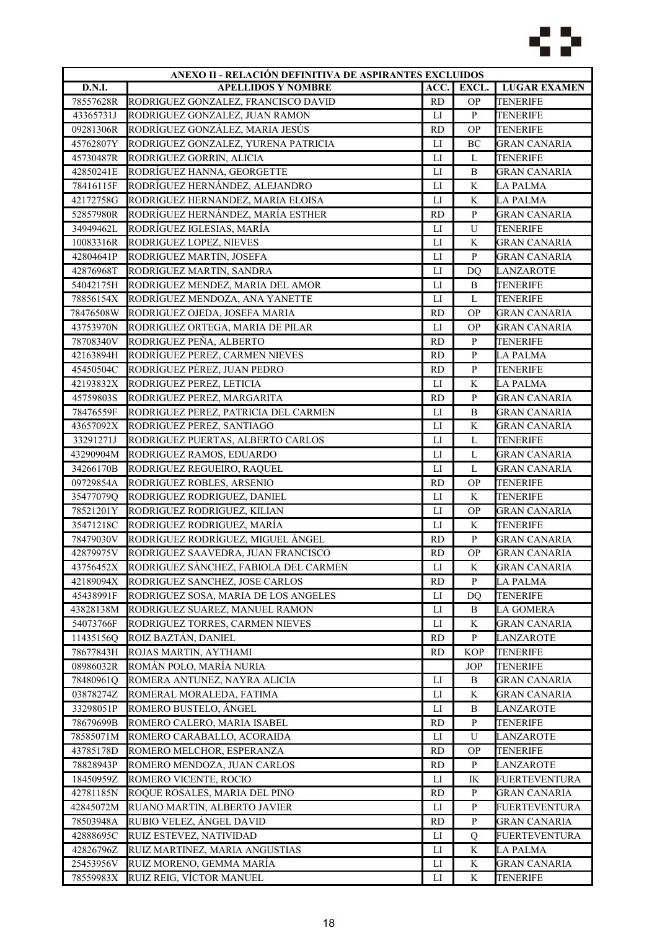

| ANEXO II - RELACIÓN DEFINITIVA DE ASPIRANTES EXCLUIDOS |                                       |                        |                |                      |
|--------------------------------------------------------|---------------------------------------|------------------------|----------------|----------------------|
| D.N.I.                                                 | <b>APELLIDOS Y NOMBRE</b>             | ACC.                   | EXCL.          | <b>LUGAR EXAMEN</b>  |
| 78557628R                                              | RODRIGUEZ GONZALEZ, FRANCISCO DAVID   | <b>RD</b>              | $\mathbf{OP}$  | TENERIFE             |
| 43365731J                                              | RODRIGUEZ GONZALEZ, JUAN RAMON        | LI                     | $\mathbf{P}$   | <b>TENERIFE</b>      |
| 09281306R                                              | RODRÍGUEZ GONZÁLEZ, MARIA JESÚS       | <b>RD</b>              | <b>OP</b>      | <b>TENERIFE</b>      |
| 45762807Y                                              | RODRIGUEZ GONZALEZ, YURENA PATRICIA   | $\mathbf{L}$           | BC             | <b>GRAN CANARIA</b>  |
| 45730487R                                              | RODRIGUEZ GORRIN, ALICIA              | LI                     | L              | <b>TENERIFE</b>      |
| 42850241E                                              | RODRÍGUEZ HANNA, GEORGETTE            | $_{\text{LI}}$         | B              | <b>GRAN CANARIA</b>  |
| 78416115F                                              | RODRÍGUEZ HERNÁNDEZ, ALEJANDRO        | $\mathbf{L}\mathbf{I}$ | K              | <b>LA PALMA</b>      |
| 42172758G                                              | RODRIGUEZ HERNANDEZ, MARIA ELOISA     | $\mathbf{L}$           | K              | <b>LA PALMA</b>      |
| 52857980R                                              | RODRÍGUEZ HERNÁNDEZ, MARÍA ESTHER     | <b>RD</b>              | ${\bf P}$      | <b>GRAN CANARIA</b>  |
| 34949462L                                              | RODRÍGUEZ IGLESIAS, MARÍA             | LI                     | U              | <b>TENERIFE</b>      |
| 10083316R                                              | RODRIGUEZ LOPEZ, NIEVES               | ${\rm LI}$             | $\rm K$        | <b>GRAN CANARIA</b>  |
| 42804641P                                              | RODRIGUEZ MARTIN, JOSEFA              | $_{\rm LI}$            | ${\bf P}$      | <b>GRAN CANARIA</b>  |
| 42876968T                                              | RODRIGUEZ MARTIN, SANDRA              | LI                     | <b>DQ</b>      | <b>LANZAROTE</b>     |
| 54042175H                                              | RODRIGUEZ MENDEZ, MARIA DEL AMOR      | $_{\text{LI}}$         | B              | <b>TENERIFE</b>      |
| 78856154X                                              | RODRÍGUEZ MENDOZA, ANA YANETTE        | $\mathbf{L}$           | $\mathbf L$    | <b>TENERIFE</b>      |
| 78476508W                                              | RODRIGUEZ OJEDA, JOSEFA MARIA         | <b>RD</b>              | <b>OP</b>      | GRAN CANARIA         |
| 43753970N                                              | RODRIGUEZ ORTEGA, MARIA DE PILAR      | LI                     | <b>OP</b>      | <b>GRAN CANARIA</b>  |
| 78708340V                                              | RODRIGUEZ PEÑA, ALBERTO               | <b>RD</b>              | $\mathbf{P}$   | <b>TENERIFE</b>      |
| 42163894H                                              | RODRÍGUEZ PEREZ, CARMEN NIEVES        | <b>RD</b>              | $\, {\bf p}$   | <b>LA PALMA</b>      |
| 45450504C                                              | RODRÍGUEZ PÉREZ, JUAN PEDRO           | <b>RD</b>              | ${\bf P}$      | <b>TENERIFE</b>      |
| 42193832X                                              | RODRIGUEZ PEREZ, LETICIA              | LI                     | $\rm K$        | <b>LA PALMA</b>      |
| 45759803S                                              | RODRIGUEZ PEREZ, MARGARITA            | <b>RD</b>              | ${\bf P}$      | <b>GRAN CANARIA</b>  |
| 78476559F                                              | RODRIGUEZ PEREZ, PATRICIA DEL CARMEN  | $\mathbf{L}$           | B              | <b>GRAN CANARIA</b>  |
|                                                        |                                       |                        |                |                      |
| 43657092X                                              | RODRIGUEZ PEREZ, SANTIAGO             | $\mathbf{L}$           | K              | <b>GRAN CANARIA</b>  |
| 33291271J                                              | RODRIGUEZ PUERTAS, ALBERTO CARLOS     | $_{\rm LI}$            | L              | <b>TENERIFE</b>      |
| 43290904M                                              | RODRIGUEZ RAMOS, EDUARDO              | $\mathbf{L}$           | L              | <b>GRAN CANARIA</b>  |
| 34266170B                                              | RODRIGUEZ REGUEIRO, RAQUEL            | $_{\rm LI}$            | L              | <b>GRAN CANARIA</b>  |
| 09729854A                                              | RODRIGUEZ ROBLES, ARSENIO             | <b>RD</b>              | <b>OP</b>      | <b>TENERIFE</b>      |
| 35477079Q                                              | RODRIGUEZ RODRIGUEZ, DANIEL           | LI                     | K              | <b>TENERIFE</b>      |
| 78521201Y                                              | RODRIGUEZ RODRIGUEZ, KILIAN           | LI                     | <b>OP</b>      | <b>GRAN CANARIA</b>  |
| 35471218C                                              | RODRIGUEZ RODRIGUEZ, MARÍA            | LI                     | K              | <b>TENERIFE</b>      |
| 78479030V                                              | RODRÍGUEZ RODRÍGUEZ, MIGUEL ÁNGEL     | <b>RD</b>              | ${\bf P}$      | <b>GRAN CANARIA</b>  |
| 42879975V                                              | RODRIGUEZ SAAVEDRA, JUAN FRANCISCO    | <b>RD</b>              | <b>OP</b>      | <b>GRAN CANARIA</b>  |
| 43756452X                                              | RODRIGUEZ SÀNCHEZ, FABIOLA DEL CARMEN | LI                     | K              | <b>GRAN CANARIA</b>  |
| 42189094X                                              | RODRIGUEZ SANCHEZ, JOSE CARLOS        | <b>RD</b>              | $\mathbf{P}$   | <b>LA PALMA</b>      |
| 45438991F                                              | RODRIGUEZ SOSA, MARIA DE LOS ANGELES  | LI                     | D <sub>O</sub> | <b>TENERIFE</b>      |
| 43828138M                                              | RODRIGUEZ SUAREZ, MANUEL RAMON        | $_{\rm LI}$            | B              | LA GOMERA            |
| 54073766F                                              | RODRIGUEZ TORRES, CARMEN NIEVES       | $_{\rm LI}$            | K              | <b>GRAN CANARIA</b>  |
| 11435156Q                                              | ROIZ BAZTÁN, DANIEL                   | <b>RD</b>              | ${\bf P}$      | LANZAROTE            |
| 78677843H                                              | ROJAS MARTIN, AYTHAMI                 | <b>RD</b>              | <b>KOP</b>     | TENERIFE             |
| 08986032R                                              | ROMÁN POLO, MARÍA NURIA               |                        | <b>JOP</b>     | TENERIFE             |
| 78480961Q                                              | ROMERA ANTUNEZ, NAYRA ALICIA          | ${\rm LI}$             | B              | <b>GRAN CANARIA</b>  |
| 03878274Z                                              | ROMERAL MORALEDA, FATIMA              | LI                     | K              | <b>GRAN CANARIA</b>  |
| 33298051P                                              | ROMERO BUSTELO, ÁNGEL                 | LI                     | B              | <b>LANZAROTE</b>     |
| 78679699B                                              | ROMERO CALERO, MARIA ISABEL           | <b>RD</b>              | P              | TENERIFE             |
| 78585071M                                              | ROMERO CARABALLO, ACORAIDA            | LI                     | U              | LANZAROTE            |
| 43785178D                                              | ROMERO MELCHOR, ESPERANZA             | RD                     | ОP             | TENERIFE             |
| 78828943P                                              | ROMERO MENDOZA, JUAN CARLOS           | <b>RD</b>              | P              | LANZAROTE            |
| 18450959Z                                              | ROMERO VICENTE, ROCIO                 | LI                     | IK             | <b>FUERTEVENTURA</b> |
| 42781185N                                              | ROQUE ROSALES, MARIA DEL PINO         | <b>RD</b>              | $\mathbf{P}$   | <b>GRAN CANARIA</b>  |
| 42845072M                                              | RUANO MARTIN, ALBERTO JAVIER          | $_{\rm LI}$            | $\mathbf{P}$   | <b>FUERTEVENTURA</b> |
| 78503948A                                              | RUBIO VELEZ, ÁNGEL DAVID              | <b>RD</b>              | $\mathbf{P}$   | <b>GRAN CANARIA</b>  |
| 42888695C                                              | RUIZ ESTEVEZ, NATIVIDAD               | $_{\rm LI}$            | Q              | FUERTEVENTURA        |
| 42826796Z                                              | RUIZ MARTINEZ, MARIA ANGUSTIAS        | LI                     | K              | LA PALMA             |
| 25453956V                                              | RUIZ MORENO, GEMMA MARÍA              | $_{\rm LI}$            | K              | GRAN CANARIA         |
| 78559983X                                              | RUIZ REIG, VÍCTOR MANUEL              | LI                     | K              | TENERIFE             |
|                                                        |                                       |                        |                |                      |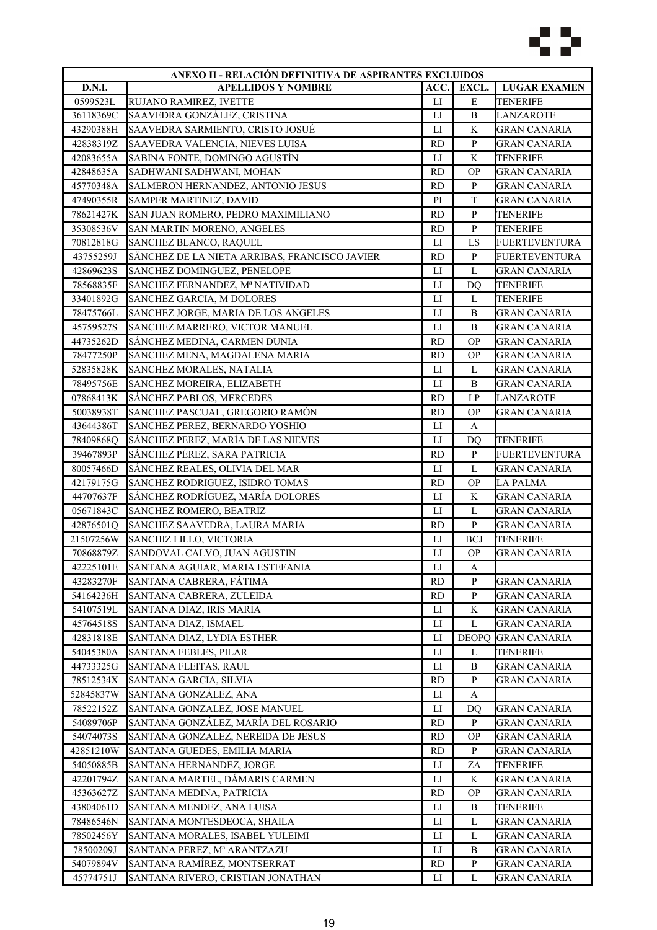

| ANEXO II - RELACIÓN DEFINITIVA DE ASPIRANTES EXCLUIDOS |                                               |                |                |                      |
|--------------------------------------------------------|-----------------------------------------------|----------------|----------------|----------------------|
| <b>D.N.I.</b>                                          | <b>APELLIDOS Y NOMBRE</b>                     | ACC.           | EXCL.          | <b>LUGAR EXAMEN</b>  |
| 0599523L                                               | RUJANO RAMIREZ, IVETTE                        | $_{\rm LI}$    | E              | <b>TENERIFE</b>      |
| 36118369C                                              | SAAVEDRA GONZÁLEZ, CRISTINA                   | LI             | $\, {\bf B}$   | LANZAROTE            |
| 43290388H                                              | SAAVEDRA SARMIENTO, CRISTO JOSUÉ              | LI             | K              | <b>GRAN CANARIA</b>  |
| 42838319Z                                              | SAAVEDRA VALENCIA, NIEVES LUISA               | <b>RD</b>      | $\, {\bf p}$   | <b>GRAN CANARIA</b>  |
| 42083655A                                              | SABINA FONTE, DOMINGO AGUSTÍN                 | LI             | K              | <b>TENERIFE</b>      |
| 42848635A                                              | SADHWANI SADHWANI, MOHAN                      | <b>RD</b>      | <b>OP</b>      | <b>GRAN CANARIA</b>  |
| 45770348A                                              | SALMERON HERNANDEZ, ANTONIO JESUS             | <b>RD</b>      | $\, {\bf p}$   | <b>GRAN CANARIA</b>  |
| 47490355R                                              | <b>SAMPER MARTINEZ, DAVID</b>                 | PI             | $\mathbf T$    | <b>GRAN CANARIA</b>  |
| 78621427K                                              | SAN JUAN ROMERO, PEDRO MAXIMILIANO            | <b>RD</b>      | $\mathbf{P}$   | TENERIFE             |
| 35308536V                                              | SAN MARTIN MORENO, ANGELES                    | <b>RD</b>      | $\, {\bf P}$   | TENERIFE             |
| 70812818G                                              | SANCHEZ BLANCO, RAQUEL                        | LI             | LS             | FUERTEVENTURA        |
| 43755259J                                              | SÄNCHEZ DE LA NIETA ARRIBAS, FRANCISCO JAVIER | <b>RD</b>      | ${\bf P}$      | <b>FUERTEVENTURA</b> |
| 42869623S                                              | SANCHEZ DOMINGUEZ, PENELOPE                   | LI             | L              | <b>GRAN CANARIA</b>  |
| 78568835F                                              | SANCHEZ FERNANDEZ, Mª NATIVIDAD               | ${\rm LI}$     | <b>DQ</b>      | <b>TENERIFE</b>      |
| 33401892G                                              | SANCHEZ GARCIA, M DOLORES                     | $_{\text{LI}}$ | L              | <b>TENERIFE</b>      |
| 78475766L                                              | SANCHEZ JORGE, MARIA DE LOS ANGELES           | $_{\rm LI}$    | B              | <b>GRAN CANARIA</b>  |
| 45759527S                                              | SANCHEZ MARRERO, VICTOR MANUEL                | LI             | B              | GRAN CANARIA         |
| 44735262D                                              | SÁNCHEZ MEDINA, CARMEN DUNIA                  | <b>RD</b>      | <b>OP</b>      | <b>GRAN CANARIA</b>  |
| 78477250P                                              | SANCHEZ MENA, MAGDALENA MARIA                 | <b>RD</b>      | <b>OP</b>      | <b>GRAN CANARIA</b>  |
| 52835828K                                              | SANCHEZ MORALES, NATALIA                      | ${\rm LI}$     | L              | <b>GRAN CANARIA</b>  |
| 78495756E                                              | SANCHEZ MOREIRA, ELIZABETH                    | LI             | $\, {\bf B}$   | <b>GRAN CANARIA</b>  |
| 07868413K                                              | SÁNCHEZ PABLOS, MERCEDES                      | <b>RD</b>      | LP             | <b>LANZAROTE</b>     |
| 50038938T                                              | SANCHEZ PASCUAL, GREGORIO RAMÓN               | <b>RD</b>      | <b>OP</b>      | <b>GRAN CANARIA</b>  |
| 43644386T                                              | SANCHEZ PEREZ, BERNARDO YOSHIO                | $_{\text{LI}}$ | A              |                      |
| 78409868Q                                              | SÁNCHEZ PEREZ, MARÍA DE LAS NIEVES            | П              | DQ             | <b>TENERIFE</b>      |
| 39467893P                                              | SÁNCHEZ PÉREZ, SARA PATRICIA                  | <b>RD</b>      | $\, {\bf P}$   | <b>FUERTEVENTURA</b> |
| 80057466D                                              | SÁNCHEZ REALES, OLIVIA DEL MAR                | ${\rm LI}$     | L              | <b>GRAN CANARIA</b>  |
| 42179175G                                              | SANCHEZ RODRIGUEZ, ISIDRO TOMAS               | <b>RD</b>      | <b>OP</b>      | <b>LA PALMA</b>      |
| 44707637F                                              | SÁNCHEZ RODRÍGUEZ, MARÍA DOLORES              | LI             | K              | <b>GRAN CANARIA</b>  |
| 05671843C                                              | SANCHEZ ROMERO, BEATRIZ                       | $_{\text{LI}}$ | $\mathbf L$    | <b>GRAN CANARIA</b>  |
| 42876501Q                                              | SANCHEZ SAAVEDRA, LAURA MARIA                 | <b>RD</b>      | ${\bf P}$      | <b>GRAN CANARIA</b>  |
| 21507256W                                              | SANCHIZ LILLO, VICTORIA                       | LI             | <b>BCJ</b>     | TENERIFE             |
| 70868879Z                                              | SANDOVAL CALVO, JUAN AGUSTIN                  | LI             | <b>OP</b>      | <b>GRAN CANARIA</b>  |
|                                                        |                                               |                |                |                      |
| 42225101E                                              | SANTANA AGUIAR, MARIA ESTEFANIA               | ${\rm LI}$     | A<br>${\bf P}$ |                      |
| 43283270F                                              | SANTANA CABRERA, FÁTIMA                       | <b>RD</b>      |                | <b>GRAN CANARIA</b>  |
| 54164236H                                              | SANTANA CABRERA, ZULEIDA                      | <b>RD</b>      | $\, {\bf P}$   | <b>GRAN CANARIA</b>  |
| 54107519L                                              | SANTANA DÍAZ, IRIS MARÍA                      | $_{\rm LI}$    | K              | <b>GRAN CANARIA</b>  |
| 45764518S                                              | SANTANA DIAZ, ISMAEL                          | LI             | L              | <b>GRAN CANARIA</b>  |
| 42831818E                                              | SANTANA DIAZ, LYDIA ESTHER                    | П              | <b>DEOPQ</b>   | <b>GRAN CANARIA</b>  |
| 54045380A                                              | SANTANA FEBLES, PILAR                         | $_{\rm LI}$    | L              | TENERIFE             |
| 44733325G                                              | SANTANA FLEITAS, RAUL                         | LI             | B              | GRAN CANARIA         |
| 78512534X                                              | SANTANA GARCIA, SILVIA                        | <b>RD</b>      | $\mathbf{P}$   | <b>GRAN CANARIA</b>  |
| 52845837W                                              | SANTANA GONZÁLEZ, ANA                         | $_{\rm LI}$    | A              |                      |
| 78522152Z                                              | SANTANA GONZALEZ, JOSE MANUEL                 | LI             | DQ             | <b>GRAN CANARIA</b>  |
| 54089706P                                              | SANTANA GONZÁLEZ, MARÍA DEL ROSARIO           | <b>RD</b>      | $\mathbf{P}$   | <b>GRAN CANARIA</b>  |
| 54074073S                                              | SANTANA GONZALEZ, NEREIDA DE JESUS            | RD             | ОP             | <b>GRAN CANARIA</b>  |
| 42851210W                                              | SANTANA GUEDES, EMILIA MARIA                  | <b>RD</b>      | P              | GRAN CANARIA         |
| 54050885B                                              | SANTANA HERNANDEZ, JORGE                      | LI             | ZA             | TENERIFE             |
| 42201794Z                                              | SANTANA MARTEL, DÁMARIS CARMEN                | LI             | K              | GRAN CANARIA         |
| 45363627Z                                              | SANTANA MEDINA, PATRICIA                      | <b>RD</b>      | <b>OP</b>      | <b>GRAN CANARIA</b>  |
| 43804061D                                              | SANTANA MENDEZ, ANA LUISA                     | LI             | B              | TENERIFE             |
| 78486546N                                              | SANTANA MONTESDEOCA, SHAILA                   | LI             | L              | <b>GRAN CANARIA</b>  |
| 78502456Y                                              | SANTANA MORALES, ISABEL YULEIMI               | LI             | L              | <b>GRAN CANARIA</b>  |
| 78500209J                                              | SANTANA PEREZ, Mª ARANTZAZU                   | $_{\rm LI}$    | B              | <b>GRAN CANARIA</b>  |
| 54079894V                                              | SANTANA RAMÍREZ, MONTSERRAT                   | <b>RD</b>      | P              | GRAN CANARIA         |
| 45774751J                                              | SANTANA RIVERO, CRISTIAN JONATHAN             | LI             | L              | <b>GRAN CANARIA</b>  |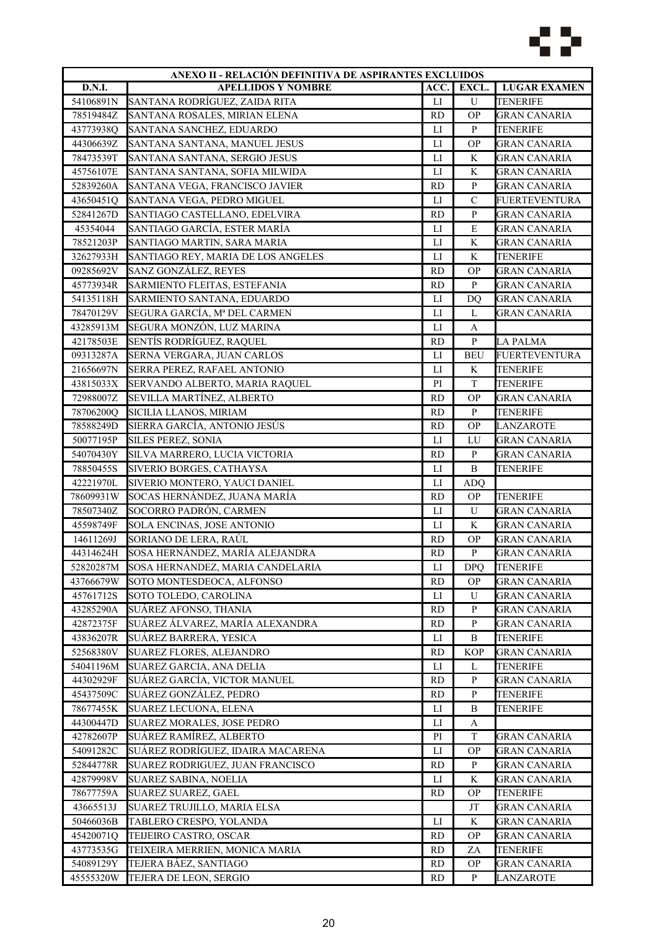

| D.N.I.<br><b>LUGAR EXAMEN</b><br><b>APELLIDOS Y NOMBRE</b><br>ACC.<br>EXCL.<br>54106891N<br>SANTANA RODRÍGUEZ, ZAIDA RITA<br>$\mathbf U$<br><b>TENERIFE</b><br>LI<br><b>RD</b><br><b>OP</b><br><b>GRAN CANARIA</b><br>78519484Z<br>SANTANA ROSALES, MIRIAN ELENA<br>43773938Q<br>$\mathbf{P}$<br><b>TENERIFE</b><br>SANTANA SANCHEZ, EDUARDO<br>LI<br>SANTANA SANTANA, MANUEL JESUS<br>LI<br><b>OP</b><br><b>GRAN CANARIA</b><br>44306639Z<br>SANTANA SANTANA, SERGIO JESUS<br>K<br><b>GRAN CANARIA</b><br>78473539T<br>LI<br>$\rm K$<br><b>GRAN CANARIA</b><br>45756107E<br>SANTANA SANTANA, SOFIA MILWIDA<br>LI<br>$\mathbf{P}$<br>SANTANA VEGA, FRANCISCO JAVIER<br><b>GRAN CANARIA</b><br>52839260A<br><b>RD</b><br>$\mathcal{C}$<br>SANTANA VEGA, PEDRO MIGUEL<br><b>FUERTEVENTURA</b><br>43650451Q<br>LI<br><b>RD</b><br>$\, {\bf P}$<br>52841267D<br>SANTIAGO CASTELLANO, EDELVIRA<br><b>GRAN CANARIA</b><br>E<br>45354044<br>SANTIAGO GARCÍA, ESTER MARÍA<br>LI<br>GRAN CANARIA<br>78521203P<br>SANTIAGO MARTIN, SARA MARIA<br>$_{\text{LI}}$<br>K<br><b>GRAN CANARIA</b><br>$\rm K$<br>32627933H<br>SANTIAGO REY, MARIA DE LOS ANGELES<br>$_{\text{LI}}$<br><b>TENERIFE</b><br>SANZ GONZÁLEZ, REYES<br><b>OP</b><br>09285692V<br><b>RD</b><br><b>GRAN CANARIA</b><br>$\mathbf{P}$<br>SARMIENTO FLEITAS, ESTEFANIA<br><b>RD</b><br><b>GRAN CANARIA</b><br>45773934R<br>54135118H<br>SARMIENTO SANTANA, EDUARDO<br>$_{\rm LI}$<br><b>GRAN CANARIA</b><br>DQ<br>SEGURA GARCÍA, Mª DEL CARMEN<br>78470129V<br>$_{\text{LI}}$<br><b>GRAN CANARIA</b><br>L<br>SEGURA MONZÓN, LUZ MARINA<br>$_{\rm LI}$<br>43285913M<br>A<br>42178503E<br>SENTÍS RODRÍGUEZ, RAQUEL<br><b>RD</b><br>$\mathbf{P}$<br><b>LA PALMA</b><br>09313287A<br>SERNA VERGARA, JUAN CARLOS<br>$_{\text{LI}}$<br><b>BEU</b><br><b>FUERTEVENTURA</b><br>21656697N<br>SERRA PEREZ, RAFAEL ANTONIO<br>$_{\text{LI}}$<br>K<br><b>TENERIFE</b><br>$\mathbf T$<br>43815033X<br>SERVANDO ALBERTO, MARIA RAQUEL<br>PI<br><b>TENERIFE</b><br>SEVILLA MARTÍNEZ, ALBERTO<br><b>OP</b><br><b>GRAN CANARIA</b><br>72988007Z<br><b>RD</b><br>${\bf P}$<br>78706200Q<br>SICILIA LLANOS, MIRIAM<br><b>RD</b><br><b>TENERIFE</b><br>SIERRA GARCÍA, ANTONIO JESÚS<br>78588249D<br><b>RD</b><br><b>OP</b><br>LANZAROTE<br><b>SILES PEREZ, SONIA</b><br>50077195P<br>$_{\rm LI}$<br>LU<br><b>GRAN CANARIA</b><br>54070430Y<br>SILVA MARRERO, LUCIA VICTORIA<br>$\mathbf{P}$<br><b>GRAN CANARIA</b><br><b>RD</b><br>SIVERIO BORGES, CATHAYSA<br>$\, {\bf B}$<br>78850455S<br>${\rm LI}$<br><b>TENERIFE</b><br>SIVERIO MONTERO, YAUCI DANIEL<br>42221970L<br>LI<br><b>ADQ</b><br>SOCAS HERNÁNDEZ, JUANA MARÍA<br>78609931W<br><b>TENERIFE</b><br><b>RD</b><br><b>OP</b><br>SOCORRO PADRÓN, CARMEN<br>$_{\text{LI}}$<br>U<br><b>GRAN CANARIA</b><br>78507340Z<br>K<br>45598749F<br>SOLA ENCINAS, JOSE ANTONIO<br>$_{\text{LI}}$<br><b>GRAN CANARIA</b><br>14611269J<br>SORIANO DE LERA, RAÚL<br><b>RD</b><br><b>OP</b><br>GRAN CANARIA<br>${\bf P}$<br>44314624H<br>SOSA HERNÁNDEZ, MARÍA ALEJANDRA<br><b>RD</b><br><b>GRAN CANARIA</b><br>52820287M<br>SOSA HERNANDEZ, MARIA CANDELARIA<br>$_{\rm LI}$<br><b>TENERIFE</b><br><b>DPQ</b><br>43766679W<br>SOTO MONTESDEOCA, ALFONSO<br><b>RD</b><br><b>OP</b><br><b>GRAN CANARIA</b><br>45761712S<br>SOTO TOLEDO, CAROLINA<br>$_{\rm LI}$<br>U<br><b>GRAN CANARIA</b><br>$\, {\bf P}$<br>43285290A<br>SUÁREZ AFONSO, THANIA<br><b>RD</b><br><b>GRAN CANARIA</b><br>SUÁREZ ÁLVAREZ, MARÍA ALEXANDRA<br>$\mathbf{P}$<br><b>GRAN CANARIA</b><br>42872375F<br><b>RD</b><br>43836207R<br>SUÁREZ BARRERA, YESICA<br>$_{\rm LI}$<br>B<br>TENERIFE<br>52568380V<br><b>SUAREZ FLORES, ALEJANDRO</b><br><b>RD</b><br><b>KOP</b><br><b>GRAN CANARIA</b><br>54041196M<br>SUAREZ GARCIA, ANA DELIA<br>LI<br>TENERIFE<br>L<br>44302929F<br>SUÁREZ GARCÍA, VICTOR MANUEL<br><b>RD</b><br>${\bf P}$<br><b>GRAN CANARIA</b><br>SUÁREZ GONZÁLEZ, PEDRO<br>$\mathbf{P}$<br><b>TENERIFE</b><br>45437509C<br><b>RD</b><br>SUAREZ LECUONA, ELENA<br>78677455K<br>LI<br>B<br><b>TENERIFE</b><br>44300447D<br><b>SUAREZ MORALES, JOSE PEDRO</b><br>LI<br>A<br>SUÁREZ RAMÍREZ, ALBERTO<br>42782607P<br>$\mathbf T$<br>PI<br><b>GRAN CANARIA</b><br>SUÁREZ RODRÍGUEZ, IDAIRA MACARENA<br>54091282C<br>LI<br><b>OP</b><br>GRAN CANARIA<br>52844778R<br>SUAREZ RODRIGUEZ, JUAN FRANCISCO<br><b>RD</b><br>P<br>GRAN CANARIA<br>42879998V<br><b>SUAREZ SABINA, NOELIA</b><br>LI<br>K<br><b>GRAN CANARIA</b><br><b>SUAREZ SUAREZ, GAEL</b><br><b>RD</b><br><b>OP</b><br><b>TENERIFE</b><br>78677759A<br>43665513J<br>SUAREZ TRUJILLO, MARIA ELSA<br>JT<br><b>GRAN CANARIA</b><br>LI<br>K<br>50466036B<br>TABLERO CRESPO, YOLANDA<br><b>GRAN CANARIA</b><br>45420071Q<br>TEIJEIRO CASTRO, OSCAR<br><b>RD</b><br><b>OP</b><br><b>GRAN CANARIA</b><br>43773535G<br><b>TENERIFE</b><br>TEIXEIRA MERRIEN, MONICA MARIA<br><b>RD</b><br>ZA<br>54089129Y<br>TEJERA BÁEZ, SANTIAGO<br>GRAN CANARIA<br><b>RD</b><br><b>OP</b><br>45555320W<br>TEJERA DE LEON, SERGIO<br><b>RD</b><br>P<br>LANZAROTE | ANEXO II - RELACIÓN DEFINITIVA DE ASPIRANTES EXCLUIDOS |  |  |  |  |
|---------------------------------------------------------------------------------------------------------------------------------------------------------------------------------------------------------------------------------------------------------------------------------------------------------------------------------------------------------------------------------------------------------------------------------------------------------------------------------------------------------------------------------------------------------------------------------------------------------------------------------------------------------------------------------------------------------------------------------------------------------------------------------------------------------------------------------------------------------------------------------------------------------------------------------------------------------------------------------------------------------------------------------------------------------------------------------------------------------------------------------------------------------------------------------------------------------------------------------------------------------------------------------------------------------------------------------------------------------------------------------------------------------------------------------------------------------------------------------------------------------------------------------------------------------------------------------------------------------------------------------------------------------------------------------------------------------------------------------------------------------------------------------------------------------------------------------------------------------------------------------------------------------------------------------------------------------------------------------------------------------------------------------------------------------------------------------------------------------------------------------------------------------------------------------------------------------------------------------------------------------------------------------------------------------------------------------------------------------------------------------------------------------------------------------------------------------------------------------------------------------------------------------------------------------------------------------------------------------------------------------------------------------------------------------------------------------------------------------------------------------------------------------------------------------------------------------------------------------------------------------------------------------------------------------------------------------------------------------------------------------------------------------------------------------------------------------------------------------------------------------------------------------------------------------------------------------------------------------------------------------------------------------------------------------------------------------------------------------------------------------------------------------------------------------------------------------------------------------------------------------------------------------------------------------------------------------------------------------------------------------------------------------------------------------------------------------------------------------------------------------------------------------------------------------------------------------------------------------------------------------------------------------------------------------------------------------------------------------------------------------------------------------------------------------------------------------------------------------------------------------------------------------------------------------------------------------------------------------------------------------------------------------------------------------------------------------------------------------------------------------------------------------------------------------------------------------------------------------------------------------------------------------------------------------------------------------------------------------------------------------------------------------------------------------------------------------------------------------------------------------------------------------------------------------------------------------------------------------------------------------------------------------------------------------------------------------------------------------------------------------------------------------------------------------|--------------------------------------------------------|--|--|--|--|
|                                                                                                                                                                                                                                                                                                                                                                                                                                                                                                                                                                                                                                                                                                                                                                                                                                                                                                                                                                                                                                                                                                                                                                                                                                                                                                                                                                                                                                                                                                                                                                                                                                                                                                                                                                                                                                                                                                                                                                                                                                                                                                                                                                                                                                                                                                                                                                                                                                                                                                                                                                                                                                                                                                                                                                                                                                                                                                                                                                                                                                                                                                                                                                                                                                                                                                                                                                                                                                                                                                                                                                                                                                                                                                                                                                                                                                                                                                                                                                                                                                                                                                                                                                                                                                                                                                                                                                                                                                                                                                                                                                                                                                                                                                                                                                                                                                                                                                                                                                                                                                                         |                                                        |  |  |  |  |
|                                                                                                                                                                                                                                                                                                                                                                                                                                                                                                                                                                                                                                                                                                                                                                                                                                                                                                                                                                                                                                                                                                                                                                                                                                                                                                                                                                                                                                                                                                                                                                                                                                                                                                                                                                                                                                                                                                                                                                                                                                                                                                                                                                                                                                                                                                                                                                                                                                                                                                                                                                                                                                                                                                                                                                                                                                                                                                                                                                                                                                                                                                                                                                                                                                                                                                                                                                                                                                                                                                                                                                                                                                                                                                                                                                                                                                                                                                                                                                                                                                                                                                                                                                                                                                                                                                                                                                                                                                                                                                                                                                                                                                                                                                                                                                                                                                                                                                                                                                                                                                                         |                                                        |  |  |  |  |
|                                                                                                                                                                                                                                                                                                                                                                                                                                                                                                                                                                                                                                                                                                                                                                                                                                                                                                                                                                                                                                                                                                                                                                                                                                                                                                                                                                                                                                                                                                                                                                                                                                                                                                                                                                                                                                                                                                                                                                                                                                                                                                                                                                                                                                                                                                                                                                                                                                                                                                                                                                                                                                                                                                                                                                                                                                                                                                                                                                                                                                                                                                                                                                                                                                                                                                                                                                                                                                                                                                                                                                                                                                                                                                                                                                                                                                                                                                                                                                                                                                                                                                                                                                                                                                                                                                                                                                                                                                                                                                                                                                                                                                                                                                                                                                                                                                                                                                                                                                                                                                                         |                                                        |  |  |  |  |
|                                                                                                                                                                                                                                                                                                                                                                                                                                                                                                                                                                                                                                                                                                                                                                                                                                                                                                                                                                                                                                                                                                                                                                                                                                                                                                                                                                                                                                                                                                                                                                                                                                                                                                                                                                                                                                                                                                                                                                                                                                                                                                                                                                                                                                                                                                                                                                                                                                                                                                                                                                                                                                                                                                                                                                                                                                                                                                                                                                                                                                                                                                                                                                                                                                                                                                                                                                                                                                                                                                                                                                                                                                                                                                                                                                                                                                                                                                                                                                                                                                                                                                                                                                                                                                                                                                                                                                                                                                                                                                                                                                                                                                                                                                                                                                                                                                                                                                                                                                                                                                                         |                                                        |  |  |  |  |
|                                                                                                                                                                                                                                                                                                                                                                                                                                                                                                                                                                                                                                                                                                                                                                                                                                                                                                                                                                                                                                                                                                                                                                                                                                                                                                                                                                                                                                                                                                                                                                                                                                                                                                                                                                                                                                                                                                                                                                                                                                                                                                                                                                                                                                                                                                                                                                                                                                                                                                                                                                                                                                                                                                                                                                                                                                                                                                                                                                                                                                                                                                                                                                                                                                                                                                                                                                                                                                                                                                                                                                                                                                                                                                                                                                                                                                                                                                                                                                                                                                                                                                                                                                                                                                                                                                                                                                                                                                                                                                                                                                                                                                                                                                                                                                                                                                                                                                                                                                                                                                                         |                                                        |  |  |  |  |
|                                                                                                                                                                                                                                                                                                                                                                                                                                                                                                                                                                                                                                                                                                                                                                                                                                                                                                                                                                                                                                                                                                                                                                                                                                                                                                                                                                                                                                                                                                                                                                                                                                                                                                                                                                                                                                                                                                                                                                                                                                                                                                                                                                                                                                                                                                                                                                                                                                                                                                                                                                                                                                                                                                                                                                                                                                                                                                                                                                                                                                                                                                                                                                                                                                                                                                                                                                                                                                                                                                                                                                                                                                                                                                                                                                                                                                                                                                                                                                                                                                                                                                                                                                                                                                                                                                                                                                                                                                                                                                                                                                                                                                                                                                                                                                                                                                                                                                                                                                                                                                                         |                                                        |  |  |  |  |
|                                                                                                                                                                                                                                                                                                                                                                                                                                                                                                                                                                                                                                                                                                                                                                                                                                                                                                                                                                                                                                                                                                                                                                                                                                                                                                                                                                                                                                                                                                                                                                                                                                                                                                                                                                                                                                                                                                                                                                                                                                                                                                                                                                                                                                                                                                                                                                                                                                                                                                                                                                                                                                                                                                                                                                                                                                                                                                                                                                                                                                                                                                                                                                                                                                                                                                                                                                                                                                                                                                                                                                                                                                                                                                                                                                                                                                                                                                                                                                                                                                                                                                                                                                                                                                                                                                                                                                                                                                                                                                                                                                                                                                                                                                                                                                                                                                                                                                                                                                                                                                                         |                                                        |  |  |  |  |
|                                                                                                                                                                                                                                                                                                                                                                                                                                                                                                                                                                                                                                                                                                                                                                                                                                                                                                                                                                                                                                                                                                                                                                                                                                                                                                                                                                                                                                                                                                                                                                                                                                                                                                                                                                                                                                                                                                                                                                                                                                                                                                                                                                                                                                                                                                                                                                                                                                                                                                                                                                                                                                                                                                                                                                                                                                                                                                                                                                                                                                                                                                                                                                                                                                                                                                                                                                                                                                                                                                                                                                                                                                                                                                                                                                                                                                                                                                                                                                                                                                                                                                                                                                                                                                                                                                                                                                                                                                                                                                                                                                                                                                                                                                                                                                                                                                                                                                                                                                                                                                                         |                                                        |  |  |  |  |
|                                                                                                                                                                                                                                                                                                                                                                                                                                                                                                                                                                                                                                                                                                                                                                                                                                                                                                                                                                                                                                                                                                                                                                                                                                                                                                                                                                                                                                                                                                                                                                                                                                                                                                                                                                                                                                                                                                                                                                                                                                                                                                                                                                                                                                                                                                                                                                                                                                                                                                                                                                                                                                                                                                                                                                                                                                                                                                                                                                                                                                                                                                                                                                                                                                                                                                                                                                                                                                                                                                                                                                                                                                                                                                                                                                                                                                                                                                                                                                                                                                                                                                                                                                                                                                                                                                                                                                                                                                                                                                                                                                                                                                                                                                                                                                                                                                                                                                                                                                                                                                                         |                                                        |  |  |  |  |
|                                                                                                                                                                                                                                                                                                                                                                                                                                                                                                                                                                                                                                                                                                                                                                                                                                                                                                                                                                                                                                                                                                                                                                                                                                                                                                                                                                                                                                                                                                                                                                                                                                                                                                                                                                                                                                                                                                                                                                                                                                                                                                                                                                                                                                                                                                                                                                                                                                                                                                                                                                                                                                                                                                                                                                                                                                                                                                                                                                                                                                                                                                                                                                                                                                                                                                                                                                                                                                                                                                                                                                                                                                                                                                                                                                                                                                                                                                                                                                                                                                                                                                                                                                                                                                                                                                                                                                                                                                                                                                                                                                                                                                                                                                                                                                                                                                                                                                                                                                                                                                                         |                                                        |  |  |  |  |
|                                                                                                                                                                                                                                                                                                                                                                                                                                                                                                                                                                                                                                                                                                                                                                                                                                                                                                                                                                                                                                                                                                                                                                                                                                                                                                                                                                                                                                                                                                                                                                                                                                                                                                                                                                                                                                                                                                                                                                                                                                                                                                                                                                                                                                                                                                                                                                                                                                                                                                                                                                                                                                                                                                                                                                                                                                                                                                                                                                                                                                                                                                                                                                                                                                                                                                                                                                                                                                                                                                                                                                                                                                                                                                                                                                                                                                                                                                                                                                                                                                                                                                                                                                                                                                                                                                                                                                                                                                                                                                                                                                                                                                                                                                                                                                                                                                                                                                                                                                                                                                                         |                                                        |  |  |  |  |
|                                                                                                                                                                                                                                                                                                                                                                                                                                                                                                                                                                                                                                                                                                                                                                                                                                                                                                                                                                                                                                                                                                                                                                                                                                                                                                                                                                                                                                                                                                                                                                                                                                                                                                                                                                                                                                                                                                                                                                                                                                                                                                                                                                                                                                                                                                                                                                                                                                                                                                                                                                                                                                                                                                                                                                                                                                                                                                                                                                                                                                                                                                                                                                                                                                                                                                                                                                                                                                                                                                                                                                                                                                                                                                                                                                                                                                                                                                                                                                                                                                                                                                                                                                                                                                                                                                                                                                                                                                                                                                                                                                                                                                                                                                                                                                                                                                                                                                                                                                                                                                                         |                                                        |  |  |  |  |
|                                                                                                                                                                                                                                                                                                                                                                                                                                                                                                                                                                                                                                                                                                                                                                                                                                                                                                                                                                                                                                                                                                                                                                                                                                                                                                                                                                                                                                                                                                                                                                                                                                                                                                                                                                                                                                                                                                                                                                                                                                                                                                                                                                                                                                                                                                                                                                                                                                                                                                                                                                                                                                                                                                                                                                                                                                                                                                                                                                                                                                                                                                                                                                                                                                                                                                                                                                                                                                                                                                                                                                                                                                                                                                                                                                                                                                                                                                                                                                                                                                                                                                                                                                                                                                                                                                                                                                                                                                                                                                                                                                                                                                                                                                                                                                                                                                                                                                                                                                                                                                                         |                                                        |  |  |  |  |
|                                                                                                                                                                                                                                                                                                                                                                                                                                                                                                                                                                                                                                                                                                                                                                                                                                                                                                                                                                                                                                                                                                                                                                                                                                                                                                                                                                                                                                                                                                                                                                                                                                                                                                                                                                                                                                                                                                                                                                                                                                                                                                                                                                                                                                                                                                                                                                                                                                                                                                                                                                                                                                                                                                                                                                                                                                                                                                                                                                                                                                                                                                                                                                                                                                                                                                                                                                                                                                                                                                                                                                                                                                                                                                                                                                                                                                                                                                                                                                                                                                                                                                                                                                                                                                                                                                                                                                                                                                                                                                                                                                                                                                                                                                                                                                                                                                                                                                                                                                                                                                                         |                                                        |  |  |  |  |
|                                                                                                                                                                                                                                                                                                                                                                                                                                                                                                                                                                                                                                                                                                                                                                                                                                                                                                                                                                                                                                                                                                                                                                                                                                                                                                                                                                                                                                                                                                                                                                                                                                                                                                                                                                                                                                                                                                                                                                                                                                                                                                                                                                                                                                                                                                                                                                                                                                                                                                                                                                                                                                                                                                                                                                                                                                                                                                                                                                                                                                                                                                                                                                                                                                                                                                                                                                                                                                                                                                                                                                                                                                                                                                                                                                                                                                                                                                                                                                                                                                                                                                                                                                                                                                                                                                                                                                                                                                                                                                                                                                                                                                                                                                                                                                                                                                                                                                                                                                                                                                                         |                                                        |  |  |  |  |
|                                                                                                                                                                                                                                                                                                                                                                                                                                                                                                                                                                                                                                                                                                                                                                                                                                                                                                                                                                                                                                                                                                                                                                                                                                                                                                                                                                                                                                                                                                                                                                                                                                                                                                                                                                                                                                                                                                                                                                                                                                                                                                                                                                                                                                                                                                                                                                                                                                                                                                                                                                                                                                                                                                                                                                                                                                                                                                                                                                                                                                                                                                                                                                                                                                                                                                                                                                                                                                                                                                                                                                                                                                                                                                                                                                                                                                                                                                                                                                                                                                                                                                                                                                                                                                                                                                                                                                                                                                                                                                                                                                                                                                                                                                                                                                                                                                                                                                                                                                                                                                                         |                                                        |  |  |  |  |
|                                                                                                                                                                                                                                                                                                                                                                                                                                                                                                                                                                                                                                                                                                                                                                                                                                                                                                                                                                                                                                                                                                                                                                                                                                                                                                                                                                                                                                                                                                                                                                                                                                                                                                                                                                                                                                                                                                                                                                                                                                                                                                                                                                                                                                                                                                                                                                                                                                                                                                                                                                                                                                                                                                                                                                                                                                                                                                                                                                                                                                                                                                                                                                                                                                                                                                                                                                                                                                                                                                                                                                                                                                                                                                                                                                                                                                                                                                                                                                                                                                                                                                                                                                                                                                                                                                                                                                                                                                                                                                                                                                                                                                                                                                                                                                                                                                                                                                                                                                                                                                                         |                                                        |  |  |  |  |
|                                                                                                                                                                                                                                                                                                                                                                                                                                                                                                                                                                                                                                                                                                                                                                                                                                                                                                                                                                                                                                                                                                                                                                                                                                                                                                                                                                                                                                                                                                                                                                                                                                                                                                                                                                                                                                                                                                                                                                                                                                                                                                                                                                                                                                                                                                                                                                                                                                                                                                                                                                                                                                                                                                                                                                                                                                                                                                                                                                                                                                                                                                                                                                                                                                                                                                                                                                                                                                                                                                                                                                                                                                                                                                                                                                                                                                                                                                                                                                                                                                                                                                                                                                                                                                                                                                                                                                                                                                                                                                                                                                                                                                                                                                                                                                                                                                                                                                                                                                                                                                                         |                                                        |  |  |  |  |
|                                                                                                                                                                                                                                                                                                                                                                                                                                                                                                                                                                                                                                                                                                                                                                                                                                                                                                                                                                                                                                                                                                                                                                                                                                                                                                                                                                                                                                                                                                                                                                                                                                                                                                                                                                                                                                                                                                                                                                                                                                                                                                                                                                                                                                                                                                                                                                                                                                                                                                                                                                                                                                                                                                                                                                                                                                                                                                                                                                                                                                                                                                                                                                                                                                                                                                                                                                                                                                                                                                                                                                                                                                                                                                                                                                                                                                                                                                                                                                                                                                                                                                                                                                                                                                                                                                                                                                                                                                                                                                                                                                                                                                                                                                                                                                                                                                                                                                                                                                                                                                                         |                                                        |  |  |  |  |
|                                                                                                                                                                                                                                                                                                                                                                                                                                                                                                                                                                                                                                                                                                                                                                                                                                                                                                                                                                                                                                                                                                                                                                                                                                                                                                                                                                                                                                                                                                                                                                                                                                                                                                                                                                                                                                                                                                                                                                                                                                                                                                                                                                                                                                                                                                                                                                                                                                                                                                                                                                                                                                                                                                                                                                                                                                                                                                                                                                                                                                                                                                                                                                                                                                                                                                                                                                                                                                                                                                                                                                                                                                                                                                                                                                                                                                                                                                                                                                                                                                                                                                                                                                                                                                                                                                                                                                                                                                                                                                                                                                                                                                                                                                                                                                                                                                                                                                                                                                                                                                                         |                                                        |  |  |  |  |
|                                                                                                                                                                                                                                                                                                                                                                                                                                                                                                                                                                                                                                                                                                                                                                                                                                                                                                                                                                                                                                                                                                                                                                                                                                                                                                                                                                                                                                                                                                                                                                                                                                                                                                                                                                                                                                                                                                                                                                                                                                                                                                                                                                                                                                                                                                                                                                                                                                                                                                                                                                                                                                                                                                                                                                                                                                                                                                                                                                                                                                                                                                                                                                                                                                                                                                                                                                                                                                                                                                                                                                                                                                                                                                                                                                                                                                                                                                                                                                                                                                                                                                                                                                                                                                                                                                                                                                                                                                                                                                                                                                                                                                                                                                                                                                                                                                                                                                                                                                                                                                                         |                                                        |  |  |  |  |
|                                                                                                                                                                                                                                                                                                                                                                                                                                                                                                                                                                                                                                                                                                                                                                                                                                                                                                                                                                                                                                                                                                                                                                                                                                                                                                                                                                                                                                                                                                                                                                                                                                                                                                                                                                                                                                                                                                                                                                                                                                                                                                                                                                                                                                                                                                                                                                                                                                                                                                                                                                                                                                                                                                                                                                                                                                                                                                                                                                                                                                                                                                                                                                                                                                                                                                                                                                                                                                                                                                                                                                                                                                                                                                                                                                                                                                                                                                                                                                                                                                                                                                                                                                                                                                                                                                                                                                                                                                                                                                                                                                                                                                                                                                                                                                                                                                                                                                                                                                                                                                                         |                                                        |  |  |  |  |
|                                                                                                                                                                                                                                                                                                                                                                                                                                                                                                                                                                                                                                                                                                                                                                                                                                                                                                                                                                                                                                                                                                                                                                                                                                                                                                                                                                                                                                                                                                                                                                                                                                                                                                                                                                                                                                                                                                                                                                                                                                                                                                                                                                                                                                                                                                                                                                                                                                                                                                                                                                                                                                                                                                                                                                                                                                                                                                                                                                                                                                                                                                                                                                                                                                                                                                                                                                                                                                                                                                                                                                                                                                                                                                                                                                                                                                                                                                                                                                                                                                                                                                                                                                                                                                                                                                                                                                                                                                                                                                                                                                                                                                                                                                                                                                                                                                                                                                                                                                                                                                                         |                                                        |  |  |  |  |
|                                                                                                                                                                                                                                                                                                                                                                                                                                                                                                                                                                                                                                                                                                                                                                                                                                                                                                                                                                                                                                                                                                                                                                                                                                                                                                                                                                                                                                                                                                                                                                                                                                                                                                                                                                                                                                                                                                                                                                                                                                                                                                                                                                                                                                                                                                                                                                                                                                                                                                                                                                                                                                                                                                                                                                                                                                                                                                                                                                                                                                                                                                                                                                                                                                                                                                                                                                                                                                                                                                                                                                                                                                                                                                                                                                                                                                                                                                                                                                                                                                                                                                                                                                                                                                                                                                                                                                                                                                                                                                                                                                                                                                                                                                                                                                                                                                                                                                                                                                                                                                                         |                                                        |  |  |  |  |
|                                                                                                                                                                                                                                                                                                                                                                                                                                                                                                                                                                                                                                                                                                                                                                                                                                                                                                                                                                                                                                                                                                                                                                                                                                                                                                                                                                                                                                                                                                                                                                                                                                                                                                                                                                                                                                                                                                                                                                                                                                                                                                                                                                                                                                                                                                                                                                                                                                                                                                                                                                                                                                                                                                                                                                                                                                                                                                                                                                                                                                                                                                                                                                                                                                                                                                                                                                                                                                                                                                                                                                                                                                                                                                                                                                                                                                                                                                                                                                                                                                                                                                                                                                                                                                                                                                                                                                                                                                                                                                                                                                                                                                                                                                                                                                                                                                                                                                                                                                                                                                                         |                                                        |  |  |  |  |
|                                                                                                                                                                                                                                                                                                                                                                                                                                                                                                                                                                                                                                                                                                                                                                                                                                                                                                                                                                                                                                                                                                                                                                                                                                                                                                                                                                                                                                                                                                                                                                                                                                                                                                                                                                                                                                                                                                                                                                                                                                                                                                                                                                                                                                                                                                                                                                                                                                                                                                                                                                                                                                                                                                                                                                                                                                                                                                                                                                                                                                                                                                                                                                                                                                                                                                                                                                                                                                                                                                                                                                                                                                                                                                                                                                                                                                                                                                                                                                                                                                                                                                                                                                                                                                                                                                                                                                                                                                                                                                                                                                                                                                                                                                                                                                                                                                                                                                                                                                                                                                                         |                                                        |  |  |  |  |
|                                                                                                                                                                                                                                                                                                                                                                                                                                                                                                                                                                                                                                                                                                                                                                                                                                                                                                                                                                                                                                                                                                                                                                                                                                                                                                                                                                                                                                                                                                                                                                                                                                                                                                                                                                                                                                                                                                                                                                                                                                                                                                                                                                                                                                                                                                                                                                                                                                                                                                                                                                                                                                                                                                                                                                                                                                                                                                                                                                                                                                                                                                                                                                                                                                                                                                                                                                                                                                                                                                                                                                                                                                                                                                                                                                                                                                                                                                                                                                                                                                                                                                                                                                                                                                                                                                                                                                                                                                                                                                                                                                                                                                                                                                                                                                                                                                                                                                                                                                                                                                                         |                                                        |  |  |  |  |
|                                                                                                                                                                                                                                                                                                                                                                                                                                                                                                                                                                                                                                                                                                                                                                                                                                                                                                                                                                                                                                                                                                                                                                                                                                                                                                                                                                                                                                                                                                                                                                                                                                                                                                                                                                                                                                                                                                                                                                                                                                                                                                                                                                                                                                                                                                                                                                                                                                                                                                                                                                                                                                                                                                                                                                                                                                                                                                                                                                                                                                                                                                                                                                                                                                                                                                                                                                                                                                                                                                                                                                                                                                                                                                                                                                                                                                                                                                                                                                                                                                                                                                                                                                                                                                                                                                                                                                                                                                                                                                                                                                                                                                                                                                                                                                                                                                                                                                                                                                                                                                                         |                                                        |  |  |  |  |
|                                                                                                                                                                                                                                                                                                                                                                                                                                                                                                                                                                                                                                                                                                                                                                                                                                                                                                                                                                                                                                                                                                                                                                                                                                                                                                                                                                                                                                                                                                                                                                                                                                                                                                                                                                                                                                                                                                                                                                                                                                                                                                                                                                                                                                                                                                                                                                                                                                                                                                                                                                                                                                                                                                                                                                                                                                                                                                                                                                                                                                                                                                                                                                                                                                                                                                                                                                                                                                                                                                                                                                                                                                                                                                                                                                                                                                                                                                                                                                                                                                                                                                                                                                                                                                                                                                                                                                                                                                                                                                                                                                                                                                                                                                                                                                                                                                                                                                                                                                                                                                                         |                                                        |  |  |  |  |
|                                                                                                                                                                                                                                                                                                                                                                                                                                                                                                                                                                                                                                                                                                                                                                                                                                                                                                                                                                                                                                                                                                                                                                                                                                                                                                                                                                                                                                                                                                                                                                                                                                                                                                                                                                                                                                                                                                                                                                                                                                                                                                                                                                                                                                                                                                                                                                                                                                                                                                                                                                                                                                                                                                                                                                                                                                                                                                                                                                                                                                                                                                                                                                                                                                                                                                                                                                                                                                                                                                                                                                                                                                                                                                                                                                                                                                                                                                                                                                                                                                                                                                                                                                                                                                                                                                                                                                                                                                                                                                                                                                                                                                                                                                                                                                                                                                                                                                                                                                                                                                                         |                                                        |  |  |  |  |
|                                                                                                                                                                                                                                                                                                                                                                                                                                                                                                                                                                                                                                                                                                                                                                                                                                                                                                                                                                                                                                                                                                                                                                                                                                                                                                                                                                                                                                                                                                                                                                                                                                                                                                                                                                                                                                                                                                                                                                                                                                                                                                                                                                                                                                                                                                                                                                                                                                                                                                                                                                                                                                                                                                                                                                                                                                                                                                                                                                                                                                                                                                                                                                                                                                                                                                                                                                                                                                                                                                                                                                                                                                                                                                                                                                                                                                                                                                                                                                                                                                                                                                                                                                                                                                                                                                                                                                                                                                                                                                                                                                                                                                                                                                                                                                                                                                                                                                                                                                                                                                                         |                                                        |  |  |  |  |
|                                                                                                                                                                                                                                                                                                                                                                                                                                                                                                                                                                                                                                                                                                                                                                                                                                                                                                                                                                                                                                                                                                                                                                                                                                                                                                                                                                                                                                                                                                                                                                                                                                                                                                                                                                                                                                                                                                                                                                                                                                                                                                                                                                                                                                                                                                                                                                                                                                                                                                                                                                                                                                                                                                                                                                                                                                                                                                                                                                                                                                                                                                                                                                                                                                                                                                                                                                                                                                                                                                                                                                                                                                                                                                                                                                                                                                                                                                                                                                                                                                                                                                                                                                                                                                                                                                                                                                                                                                                                                                                                                                                                                                                                                                                                                                                                                                                                                                                                                                                                                                                         |                                                        |  |  |  |  |
|                                                                                                                                                                                                                                                                                                                                                                                                                                                                                                                                                                                                                                                                                                                                                                                                                                                                                                                                                                                                                                                                                                                                                                                                                                                                                                                                                                                                                                                                                                                                                                                                                                                                                                                                                                                                                                                                                                                                                                                                                                                                                                                                                                                                                                                                                                                                                                                                                                                                                                                                                                                                                                                                                                                                                                                                                                                                                                                                                                                                                                                                                                                                                                                                                                                                                                                                                                                                                                                                                                                                                                                                                                                                                                                                                                                                                                                                                                                                                                                                                                                                                                                                                                                                                                                                                                                                                                                                                                                                                                                                                                                                                                                                                                                                                                                                                                                                                                                                                                                                                                                         |                                                        |  |  |  |  |
|                                                                                                                                                                                                                                                                                                                                                                                                                                                                                                                                                                                                                                                                                                                                                                                                                                                                                                                                                                                                                                                                                                                                                                                                                                                                                                                                                                                                                                                                                                                                                                                                                                                                                                                                                                                                                                                                                                                                                                                                                                                                                                                                                                                                                                                                                                                                                                                                                                                                                                                                                                                                                                                                                                                                                                                                                                                                                                                                                                                                                                                                                                                                                                                                                                                                                                                                                                                                                                                                                                                                                                                                                                                                                                                                                                                                                                                                                                                                                                                                                                                                                                                                                                                                                                                                                                                                                                                                                                                                                                                                                                                                                                                                                                                                                                                                                                                                                                                                                                                                                                                         |                                                        |  |  |  |  |
|                                                                                                                                                                                                                                                                                                                                                                                                                                                                                                                                                                                                                                                                                                                                                                                                                                                                                                                                                                                                                                                                                                                                                                                                                                                                                                                                                                                                                                                                                                                                                                                                                                                                                                                                                                                                                                                                                                                                                                                                                                                                                                                                                                                                                                                                                                                                                                                                                                                                                                                                                                                                                                                                                                                                                                                                                                                                                                                                                                                                                                                                                                                                                                                                                                                                                                                                                                                                                                                                                                                                                                                                                                                                                                                                                                                                                                                                                                                                                                                                                                                                                                                                                                                                                                                                                                                                                                                                                                                                                                                                                                                                                                                                                                                                                                                                                                                                                                                                                                                                                                                         |                                                        |  |  |  |  |
|                                                                                                                                                                                                                                                                                                                                                                                                                                                                                                                                                                                                                                                                                                                                                                                                                                                                                                                                                                                                                                                                                                                                                                                                                                                                                                                                                                                                                                                                                                                                                                                                                                                                                                                                                                                                                                                                                                                                                                                                                                                                                                                                                                                                                                                                                                                                                                                                                                                                                                                                                                                                                                                                                                                                                                                                                                                                                                                                                                                                                                                                                                                                                                                                                                                                                                                                                                                                                                                                                                                                                                                                                                                                                                                                                                                                                                                                                                                                                                                                                                                                                                                                                                                                                                                                                                                                                                                                                                                                                                                                                                                                                                                                                                                                                                                                                                                                                                                                                                                                                                                         |                                                        |  |  |  |  |
|                                                                                                                                                                                                                                                                                                                                                                                                                                                                                                                                                                                                                                                                                                                                                                                                                                                                                                                                                                                                                                                                                                                                                                                                                                                                                                                                                                                                                                                                                                                                                                                                                                                                                                                                                                                                                                                                                                                                                                                                                                                                                                                                                                                                                                                                                                                                                                                                                                                                                                                                                                                                                                                                                                                                                                                                                                                                                                                                                                                                                                                                                                                                                                                                                                                                                                                                                                                                                                                                                                                                                                                                                                                                                                                                                                                                                                                                                                                                                                                                                                                                                                                                                                                                                                                                                                                                                                                                                                                                                                                                                                                                                                                                                                                                                                                                                                                                                                                                                                                                                                                         |                                                        |  |  |  |  |
|                                                                                                                                                                                                                                                                                                                                                                                                                                                                                                                                                                                                                                                                                                                                                                                                                                                                                                                                                                                                                                                                                                                                                                                                                                                                                                                                                                                                                                                                                                                                                                                                                                                                                                                                                                                                                                                                                                                                                                                                                                                                                                                                                                                                                                                                                                                                                                                                                                                                                                                                                                                                                                                                                                                                                                                                                                                                                                                                                                                                                                                                                                                                                                                                                                                                                                                                                                                                                                                                                                                                                                                                                                                                                                                                                                                                                                                                                                                                                                                                                                                                                                                                                                                                                                                                                                                                                                                                                                                                                                                                                                                                                                                                                                                                                                                                                                                                                                                                                                                                                                                         |                                                        |  |  |  |  |
|                                                                                                                                                                                                                                                                                                                                                                                                                                                                                                                                                                                                                                                                                                                                                                                                                                                                                                                                                                                                                                                                                                                                                                                                                                                                                                                                                                                                                                                                                                                                                                                                                                                                                                                                                                                                                                                                                                                                                                                                                                                                                                                                                                                                                                                                                                                                                                                                                                                                                                                                                                                                                                                                                                                                                                                                                                                                                                                                                                                                                                                                                                                                                                                                                                                                                                                                                                                                                                                                                                                                                                                                                                                                                                                                                                                                                                                                                                                                                                                                                                                                                                                                                                                                                                                                                                                                                                                                                                                                                                                                                                                                                                                                                                                                                                                                                                                                                                                                                                                                                                                         |                                                        |  |  |  |  |
|                                                                                                                                                                                                                                                                                                                                                                                                                                                                                                                                                                                                                                                                                                                                                                                                                                                                                                                                                                                                                                                                                                                                                                                                                                                                                                                                                                                                                                                                                                                                                                                                                                                                                                                                                                                                                                                                                                                                                                                                                                                                                                                                                                                                                                                                                                                                                                                                                                                                                                                                                                                                                                                                                                                                                                                                                                                                                                                                                                                                                                                                                                                                                                                                                                                                                                                                                                                                                                                                                                                                                                                                                                                                                                                                                                                                                                                                                                                                                                                                                                                                                                                                                                                                                                                                                                                                                                                                                                                                                                                                                                                                                                                                                                                                                                                                                                                                                                                                                                                                                                                         |                                                        |  |  |  |  |
|                                                                                                                                                                                                                                                                                                                                                                                                                                                                                                                                                                                                                                                                                                                                                                                                                                                                                                                                                                                                                                                                                                                                                                                                                                                                                                                                                                                                                                                                                                                                                                                                                                                                                                                                                                                                                                                                                                                                                                                                                                                                                                                                                                                                                                                                                                                                                                                                                                                                                                                                                                                                                                                                                                                                                                                                                                                                                                                                                                                                                                                                                                                                                                                                                                                                                                                                                                                                                                                                                                                                                                                                                                                                                                                                                                                                                                                                                                                                                                                                                                                                                                                                                                                                                                                                                                                                                                                                                                                                                                                                                                                                                                                                                                                                                                                                                                                                                                                                                                                                                                                         |                                                        |  |  |  |  |
|                                                                                                                                                                                                                                                                                                                                                                                                                                                                                                                                                                                                                                                                                                                                                                                                                                                                                                                                                                                                                                                                                                                                                                                                                                                                                                                                                                                                                                                                                                                                                                                                                                                                                                                                                                                                                                                                                                                                                                                                                                                                                                                                                                                                                                                                                                                                                                                                                                                                                                                                                                                                                                                                                                                                                                                                                                                                                                                                                                                                                                                                                                                                                                                                                                                                                                                                                                                                                                                                                                                                                                                                                                                                                                                                                                                                                                                                                                                                                                                                                                                                                                                                                                                                                                                                                                                                                                                                                                                                                                                                                                                                                                                                                                                                                                                                                                                                                                                                                                                                                                                         |                                                        |  |  |  |  |
|                                                                                                                                                                                                                                                                                                                                                                                                                                                                                                                                                                                                                                                                                                                                                                                                                                                                                                                                                                                                                                                                                                                                                                                                                                                                                                                                                                                                                                                                                                                                                                                                                                                                                                                                                                                                                                                                                                                                                                                                                                                                                                                                                                                                                                                                                                                                                                                                                                                                                                                                                                                                                                                                                                                                                                                                                                                                                                                                                                                                                                                                                                                                                                                                                                                                                                                                                                                                                                                                                                                                                                                                                                                                                                                                                                                                                                                                                                                                                                                                                                                                                                                                                                                                                                                                                                                                                                                                                                                                                                                                                                                                                                                                                                                                                                                                                                                                                                                                                                                                                                                         |                                                        |  |  |  |  |
|                                                                                                                                                                                                                                                                                                                                                                                                                                                                                                                                                                                                                                                                                                                                                                                                                                                                                                                                                                                                                                                                                                                                                                                                                                                                                                                                                                                                                                                                                                                                                                                                                                                                                                                                                                                                                                                                                                                                                                                                                                                                                                                                                                                                                                                                                                                                                                                                                                                                                                                                                                                                                                                                                                                                                                                                                                                                                                                                                                                                                                                                                                                                                                                                                                                                                                                                                                                                                                                                                                                                                                                                                                                                                                                                                                                                                                                                                                                                                                                                                                                                                                                                                                                                                                                                                                                                                                                                                                                                                                                                                                                                                                                                                                                                                                                                                                                                                                                                                                                                                                                         |                                                        |  |  |  |  |
|                                                                                                                                                                                                                                                                                                                                                                                                                                                                                                                                                                                                                                                                                                                                                                                                                                                                                                                                                                                                                                                                                                                                                                                                                                                                                                                                                                                                                                                                                                                                                                                                                                                                                                                                                                                                                                                                                                                                                                                                                                                                                                                                                                                                                                                                                                                                                                                                                                                                                                                                                                                                                                                                                                                                                                                                                                                                                                                                                                                                                                                                                                                                                                                                                                                                                                                                                                                                                                                                                                                                                                                                                                                                                                                                                                                                                                                                                                                                                                                                                                                                                                                                                                                                                                                                                                                                                                                                                                                                                                                                                                                                                                                                                                                                                                                                                                                                                                                                                                                                                                                         |                                                        |  |  |  |  |
|                                                                                                                                                                                                                                                                                                                                                                                                                                                                                                                                                                                                                                                                                                                                                                                                                                                                                                                                                                                                                                                                                                                                                                                                                                                                                                                                                                                                                                                                                                                                                                                                                                                                                                                                                                                                                                                                                                                                                                                                                                                                                                                                                                                                                                                                                                                                                                                                                                                                                                                                                                                                                                                                                                                                                                                                                                                                                                                                                                                                                                                                                                                                                                                                                                                                                                                                                                                                                                                                                                                                                                                                                                                                                                                                                                                                                                                                                                                                                                                                                                                                                                                                                                                                                                                                                                                                                                                                                                                                                                                                                                                                                                                                                                                                                                                                                                                                                                                                                                                                                                                         |                                                        |  |  |  |  |
|                                                                                                                                                                                                                                                                                                                                                                                                                                                                                                                                                                                                                                                                                                                                                                                                                                                                                                                                                                                                                                                                                                                                                                                                                                                                                                                                                                                                                                                                                                                                                                                                                                                                                                                                                                                                                                                                                                                                                                                                                                                                                                                                                                                                                                                                                                                                                                                                                                                                                                                                                                                                                                                                                                                                                                                                                                                                                                                                                                                                                                                                                                                                                                                                                                                                                                                                                                                                                                                                                                                                                                                                                                                                                                                                                                                                                                                                                                                                                                                                                                                                                                                                                                                                                                                                                                                                                                                                                                                                                                                                                                                                                                                                                                                                                                                                                                                                                                                                                                                                                                                         |                                                        |  |  |  |  |
|                                                                                                                                                                                                                                                                                                                                                                                                                                                                                                                                                                                                                                                                                                                                                                                                                                                                                                                                                                                                                                                                                                                                                                                                                                                                                                                                                                                                                                                                                                                                                                                                                                                                                                                                                                                                                                                                                                                                                                                                                                                                                                                                                                                                                                                                                                                                                                                                                                                                                                                                                                                                                                                                                                                                                                                                                                                                                                                                                                                                                                                                                                                                                                                                                                                                                                                                                                                                                                                                                                                                                                                                                                                                                                                                                                                                                                                                                                                                                                                                                                                                                                                                                                                                                                                                                                                                                                                                                                                                                                                                                                                                                                                                                                                                                                                                                                                                                                                                                                                                                                                         |                                                        |  |  |  |  |
|                                                                                                                                                                                                                                                                                                                                                                                                                                                                                                                                                                                                                                                                                                                                                                                                                                                                                                                                                                                                                                                                                                                                                                                                                                                                                                                                                                                                                                                                                                                                                                                                                                                                                                                                                                                                                                                                                                                                                                                                                                                                                                                                                                                                                                                                                                                                                                                                                                                                                                                                                                                                                                                                                                                                                                                                                                                                                                                                                                                                                                                                                                                                                                                                                                                                                                                                                                                                                                                                                                                                                                                                                                                                                                                                                                                                                                                                                                                                                                                                                                                                                                                                                                                                                                                                                                                                                                                                                                                                                                                                                                                                                                                                                                                                                                                                                                                                                                                                                                                                                                                         |                                                        |  |  |  |  |
|                                                                                                                                                                                                                                                                                                                                                                                                                                                                                                                                                                                                                                                                                                                                                                                                                                                                                                                                                                                                                                                                                                                                                                                                                                                                                                                                                                                                                                                                                                                                                                                                                                                                                                                                                                                                                                                                                                                                                                                                                                                                                                                                                                                                                                                                                                                                                                                                                                                                                                                                                                                                                                                                                                                                                                                                                                                                                                                                                                                                                                                                                                                                                                                                                                                                                                                                                                                                                                                                                                                                                                                                                                                                                                                                                                                                                                                                                                                                                                                                                                                                                                                                                                                                                                                                                                                                                                                                                                                                                                                                                                                                                                                                                                                                                                                                                                                                                                                                                                                                                                                         |                                                        |  |  |  |  |
|                                                                                                                                                                                                                                                                                                                                                                                                                                                                                                                                                                                                                                                                                                                                                                                                                                                                                                                                                                                                                                                                                                                                                                                                                                                                                                                                                                                                                                                                                                                                                                                                                                                                                                                                                                                                                                                                                                                                                                                                                                                                                                                                                                                                                                                                                                                                                                                                                                                                                                                                                                                                                                                                                                                                                                                                                                                                                                                                                                                                                                                                                                                                                                                                                                                                                                                                                                                                                                                                                                                                                                                                                                                                                                                                                                                                                                                                                                                                                                                                                                                                                                                                                                                                                                                                                                                                                                                                                                                                                                                                                                                                                                                                                                                                                                                                                                                                                                                                                                                                                                                         |                                                        |  |  |  |  |
|                                                                                                                                                                                                                                                                                                                                                                                                                                                                                                                                                                                                                                                                                                                                                                                                                                                                                                                                                                                                                                                                                                                                                                                                                                                                                                                                                                                                                                                                                                                                                                                                                                                                                                                                                                                                                                                                                                                                                                                                                                                                                                                                                                                                                                                                                                                                                                                                                                                                                                                                                                                                                                                                                                                                                                                                                                                                                                                                                                                                                                                                                                                                                                                                                                                                                                                                                                                                                                                                                                                                                                                                                                                                                                                                                                                                                                                                                                                                                                                                                                                                                                                                                                                                                                                                                                                                                                                                                                                                                                                                                                                                                                                                                                                                                                                                                                                                                                                                                                                                                                                         |                                                        |  |  |  |  |
|                                                                                                                                                                                                                                                                                                                                                                                                                                                                                                                                                                                                                                                                                                                                                                                                                                                                                                                                                                                                                                                                                                                                                                                                                                                                                                                                                                                                                                                                                                                                                                                                                                                                                                                                                                                                                                                                                                                                                                                                                                                                                                                                                                                                                                                                                                                                                                                                                                                                                                                                                                                                                                                                                                                                                                                                                                                                                                                                                                                                                                                                                                                                                                                                                                                                                                                                                                                                                                                                                                                                                                                                                                                                                                                                                                                                                                                                                                                                                                                                                                                                                                                                                                                                                                                                                                                                                                                                                                                                                                                                                                                                                                                                                                                                                                                                                                                                                                                                                                                                                                                         |                                                        |  |  |  |  |
|                                                                                                                                                                                                                                                                                                                                                                                                                                                                                                                                                                                                                                                                                                                                                                                                                                                                                                                                                                                                                                                                                                                                                                                                                                                                                                                                                                                                                                                                                                                                                                                                                                                                                                                                                                                                                                                                                                                                                                                                                                                                                                                                                                                                                                                                                                                                                                                                                                                                                                                                                                                                                                                                                                                                                                                                                                                                                                                                                                                                                                                                                                                                                                                                                                                                                                                                                                                                                                                                                                                                                                                                                                                                                                                                                                                                                                                                                                                                                                                                                                                                                                                                                                                                                                                                                                                                                                                                                                                                                                                                                                                                                                                                                                                                                                                                                                                                                                                                                                                                                                                         |                                                        |  |  |  |  |
|                                                                                                                                                                                                                                                                                                                                                                                                                                                                                                                                                                                                                                                                                                                                                                                                                                                                                                                                                                                                                                                                                                                                                                                                                                                                                                                                                                                                                                                                                                                                                                                                                                                                                                                                                                                                                                                                                                                                                                                                                                                                                                                                                                                                                                                                                                                                                                                                                                                                                                                                                                                                                                                                                                                                                                                                                                                                                                                                                                                                                                                                                                                                                                                                                                                                                                                                                                                                                                                                                                                                                                                                                                                                                                                                                                                                                                                                                                                                                                                                                                                                                                                                                                                                                                                                                                                                                                                                                                                                                                                                                                                                                                                                                                                                                                                                                                                                                                                                                                                                                                                         |                                                        |  |  |  |  |
|                                                                                                                                                                                                                                                                                                                                                                                                                                                                                                                                                                                                                                                                                                                                                                                                                                                                                                                                                                                                                                                                                                                                                                                                                                                                                                                                                                                                                                                                                                                                                                                                                                                                                                                                                                                                                                                                                                                                                                                                                                                                                                                                                                                                                                                                                                                                                                                                                                                                                                                                                                                                                                                                                                                                                                                                                                                                                                                                                                                                                                                                                                                                                                                                                                                                                                                                                                                                                                                                                                                                                                                                                                                                                                                                                                                                                                                                                                                                                                                                                                                                                                                                                                                                                                                                                                                                                                                                                                                                                                                                                                                                                                                                                                                                                                                                                                                                                                                                                                                                                                                         |                                                        |  |  |  |  |
|                                                                                                                                                                                                                                                                                                                                                                                                                                                                                                                                                                                                                                                                                                                                                                                                                                                                                                                                                                                                                                                                                                                                                                                                                                                                                                                                                                                                                                                                                                                                                                                                                                                                                                                                                                                                                                                                                                                                                                                                                                                                                                                                                                                                                                                                                                                                                                                                                                                                                                                                                                                                                                                                                                                                                                                                                                                                                                                                                                                                                                                                                                                                                                                                                                                                                                                                                                                                                                                                                                                                                                                                                                                                                                                                                                                                                                                                                                                                                                                                                                                                                                                                                                                                                                                                                                                                                                                                                                                                                                                                                                                                                                                                                                                                                                                                                                                                                                                                                                                                                                                         |                                                        |  |  |  |  |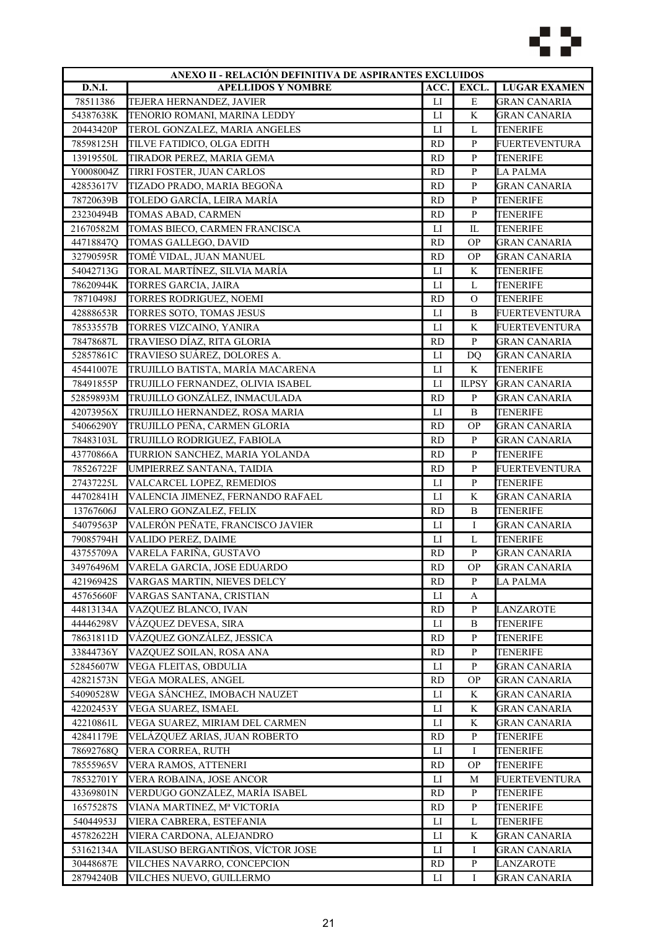

| ANEXO II - RELACIÓN DEFINITIVA DE ASPIRANTES EXCLUIDOS |                                   |                |                |                      |
|--------------------------------------------------------|-----------------------------------|----------------|----------------|----------------------|
| <b>D.N.I.</b>                                          | <b>APELLIDOS Y NOMBRE</b>         | ACC.           | EXCL.          | <b>LUGAR EXAMEN</b>  |
| 78511386                                               | TEJERA HERNANDEZ, JAVIER          | $_{\text{LI}}$ | $\mathbf E$    | <b>GRAN CANARIA</b>  |
| 54387638K                                              | TENORIO ROMANI, MARINA LEDDY      | $_{\rm LI}$    | K              | <b>GRAN CANARIA</b>  |
| 20443420P                                              | TEROL GONZALEZ, MARIA ANGELES     | LI             | L              | <b>TENERIFE</b>      |
| 78598125H                                              | TILVE FATIDICO, OLGA EDITH        | <b>RD</b>      | $\, {\bf p}$   | <b>FUERTEVENTURA</b> |
| 13919550L                                              | TIRADOR PEREZ, MARIA GEMA         | <b>RD</b>      | $\mathbf{P}$   | <b>TENERIFE</b>      |
| Y0008004Z                                              | TIRRI FOSTER, JUAN CARLOS         | <b>RD</b>      | $\, {\bf P}$   | <b>LA PALMA</b>      |
| 42853617V                                              | TIZADO PRADO, MARIA BEGOÑA        | <b>RD</b>      | $\mathbf{P}$   | <b>GRAN CANARIA</b>  |
| 78720639B                                              | TOLEDO GARCÍA, LEIRA MARÍA        | <b>RD</b>      | $\, {\bf p}$   | <b>TENERIFE</b>      |
| 23230494B                                              | TOMAS ABAD, CARMEN                | <b>RD</b>      | ${\bf P}$      | <b>TENERIFE</b>      |
| 21670582M                                              | TOMAS BIECO, CARMEN FRANCISCA     | LI             | IL             | TENERIFE             |
| 44718847Q                                              | TOMAS GALLEGO, DAVID              | <b>RD</b>      | <b>OP</b>      | GRAN CANARIA         |
| 32790595R                                              | TOMÉ VIDAL, JUAN MANUEL           | <b>RD</b>      | <b>OP</b>      | <b>GRAN CANARIA</b>  |
| 54042713G                                              | TORAL MARTÍNEZ, SILVIA MARÍA      | ${\rm LI}$     | K              | <b>TENERIFE</b>      |
| 78620944K                                              | TORRES GARCIA, JAIRA              | LI             | L              | <b>TENERIFE</b>      |
| 78710498J                                              | TORRES RODRIGUEZ, NOEMI           | <b>RD</b>      | $\overline{O}$ | <b>TENERIFE</b>      |
| 42888653R                                              | TORRES SOTO, TOMAS JESUS          | $_{\text{LI}}$ | B              | <b>FUERTEVENTURA</b> |
| 78533557B                                              | TORRES VIZCAINO, YANIRA           | $_{\text{LI}}$ | $\rm K$        | <b>FUERTEVENTURA</b> |
| 78478687L                                              | TRAVIESO DÍAZ, RITA GLORIA        | <b>RD</b>      | $\mathbf{P}$   | GRAN CANARIA         |
| 52857861C                                              | TRAVIESO SUÁREZ, DOLORES A.       | LI             | D <sub>O</sub> | <b>GRAN CANARIA</b>  |
| 45441007E                                              | TRUJILLO BATISTA, MARÍA MACARENA  | $_{\text{LI}}$ | K              | <b>TENERIFE</b>      |
| 78491855P                                              | TRUJILLO FERNANDEZ, OLIVIA ISABEL | $_{\text{LI}}$ | <b>ILPSY</b>   | <b>GRAN CANARIA</b>  |
| 52859893M                                              | TRUJILLO GONZÁLEZ, INMACULADA     | <b>RD</b>      | $\, {\bf P}$   | <b>GRAN CANARIA</b>  |
| 42073956X                                              | TRUJILLO HERNANDEZ, ROSA MARIA    | $_{\rm LI}$    | B              | <b>TENERIFE</b>      |
| 54066290Y                                              | TRUJILLO PEÑA, CARMEN GLORIA      | <b>RD</b>      | <b>OP</b>      | <b>GRAN CANARIA</b>  |
| 78483103L                                              | TRUJILLO RODRIGUEZ, FABIOLA       | <b>RD</b>      | $\, {\bf p}$   | <b>GRAN CANARIA</b>  |
| 43770866A                                              | TURRION SANCHEZ, MARIA YOLANDA    | <b>RD</b>      | P              | TENERIFE             |
| 78526722F                                              | UMPIERREZ SANTANA, TAIDIA         | <b>RD</b>      | $\mathbf{P}$   | FUERTEVENTURA        |
| 27437225L                                              | VALCARCEL LOPEZ, REMEDIOS         | ${\rm LI}$     | ${\bf P}$      | <b>TENERIFE</b>      |
| 44702841H                                              | VALENCIA JIMENEZ, FERNANDO RAFAEL | LI             | K              | <b>GRAN CANARIA</b>  |
| 13767606J                                              | VALERO GONZALEZ, FELIX            | <b>RD</b>      | $\, {\bf B}$   | <b>TENERIFE</b>      |
| 54079563P                                              | VALERÓN PEÑATE, FRANCISCO JAVIER  | $_{\text{LI}}$ | L              | <b>GRAN CANARIA</b>  |
| 79085794H                                              | VALIDO PEREZ, DAIME               | $_{\text{LI}}$ | $\mathbf L$    | <b>TENERIFE</b>      |
| 43755709A                                              | VARELA FARIÑA, GUSTAVO            | <b>RD</b>      | $\, {\bf P}$   | <b>GRAN CANARIA</b>  |
| 34976496M                                              | VARELA GARCIA, JOSE EDUARDO       | RD             | ОP             | <b>GRAN CANARIA</b>  |
| 42196942S                                              | VARGAS MARTIN, NIEVES DELCY       | <b>RD</b>      | P              | LA PALMA             |
| 45765660F                                              | VARGAS SANTANA, CRISTIAN          | ${\rm LI}$     | A              |                      |
| 44813134A                                              | VAZQUEZ BLANCO, IVAN              | <b>RD</b>      | $\, {\bf P}$   | LANZAROTE            |
| 44446298V                                              | VÁZQUEZ DEVESA, SIRA              | $_{\rm LI}$    | $\, {\bf B}$   | <b>TENERIFE</b>      |
| 78631811D                                              | VÁZQUEZ GONZÁLEZ, JESSICA         | <b>RD</b>      | $\mathbf{P}$   | TENERIFE             |
| 33844736Y                                              | VAZQUEZ SOILAN, ROSA ANA          | <b>RD</b>      | $\, {\bf p}$   | TENERIFE             |
| 52845607W                                              | VEGA FLEITAS, OBDULIA             | LI             | $\mathbf{P}$   | <b>GRAN CANARIA</b>  |
| 42821573N                                              | VEGA MORALES, ANGEL               | <b>RD</b>      | <b>OP</b>      | GRAN CANARIA         |
| 54090528W                                              | VEGA SÁNCHEZ, IMOBACH NAUZET      | $_{\rm LI}$    | K              | <b>GRAN CANARIA</b>  |
| 42202453Y                                              | VEGA SUAREZ, ISMAEL               | $_{\rm LI}$    | K              | <b>GRAN CANARIA</b>  |
| 42210861L                                              | VEGA SUAREZ, MIRIAM DEL CARMEN    | LI             | K              | <b>GRAN CANARIA</b>  |
| 42841179E                                              | VELÁZQUEZ ARIAS, JUAN ROBERTO     | <b>RD</b>      | $\mathbf{P}$   | <b>TENERIFE</b>      |
| 78692768Q                                              | VERA CORREA, RUTH                 | П              | Ι              | TENERIFE             |
| 78555965V                                              | VERA RAMOS, ATTENERI              | <b>RD</b>      | <b>OP</b>      | TENERIFE             |
|                                                        |                                   |                |                |                      |
| 78532701Y                                              | VERA ROBAINA, JOSE ANCOR          | $_{\rm LI}$    | M              | <b>FUERTEVENTURA</b> |
| 43369801N                                              | VERDUGO GONZÁLEZ, MARÍA ISABEL    | <b>RD</b>      | P              | TENERIFE             |
| 16575287S                                              | VIANA MARTINEZ, Mª VICTORIA       | <b>RD</b>      | ${\bf P}$      | <b>TENERIFE</b>      |
| 54044953J                                              | VIERA CABRERA, ESTEFANIA          | LI             | L              | <b>TENERIFE</b>      |
| 45782622H                                              | VIERA CARDONA, ALEJANDRO          | LI             | $\rm K$        | <b>GRAN CANARIA</b>  |
| 53162134A                                              | VILASUSO BERGANTIÑOS, VÍCTOR JOSE | $_{\rm LI}$    | Ι              | <b>GRAN CANARIA</b>  |
| 30448687E                                              | VILCHES NAVARRO, CONCEPCION       | <b>RD</b>      | ${\bf P}$      | LANZAROTE            |
| 28794240B                                              | VILCHES NUEVO, GUILLERMO          | LI             | Ι              | GRAN CANARIA         |